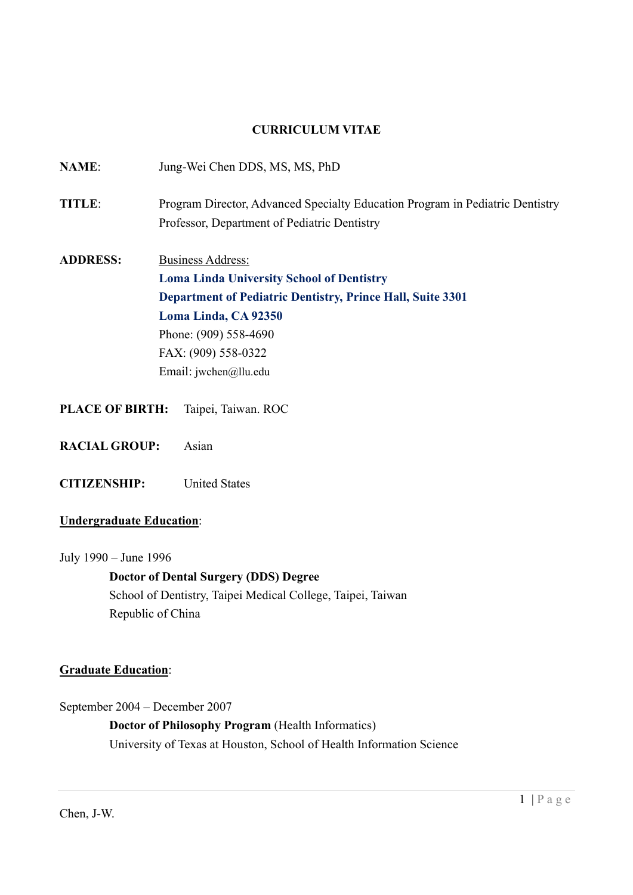#### CURRICULUM VITAE

| <b>NAME:</b>           | Jung-Wei Chen DDS, MS, MS, PhD                                                |
|------------------------|-------------------------------------------------------------------------------|
| <b>TITLE:</b>          | Program Director, Advanced Specialty Education Program in Pediatric Dentistry |
|                        | Professor, Department of Pediatric Dentistry                                  |
| <b>ADDRESS:</b>        | <b>Business Address:</b>                                                      |
|                        | <b>Loma Linda University School of Dentistry</b>                              |
|                        | <b>Department of Pediatric Dentistry, Prince Hall, Suite 3301</b>             |
|                        | Loma Linda, CA 92350                                                          |
|                        | Phone: (909) 558-4690                                                         |
|                        | FAX: (909) 558-0322                                                           |
|                        | Email: jwchen@llu.edu                                                         |
|                        |                                                                               |
| <b>PLACE OF BIRTH:</b> | Taipei, Taiwan. ROC                                                           |

- RACIAL GROUP: Asian
- CITIZENSHIP: United States

#### Undergraduate Education:

July 1990 – June 1996

 Doctor of Dental Surgery (DDS) Degree School of Dentistry, Taipei Medical College, Taipei, Taiwan Republic of China

#### **Graduate Education:**

September 2004 – December 2007

 Doctor of Philosophy Program (Health Informatics) University of Texas at Houston, School of Health Information Science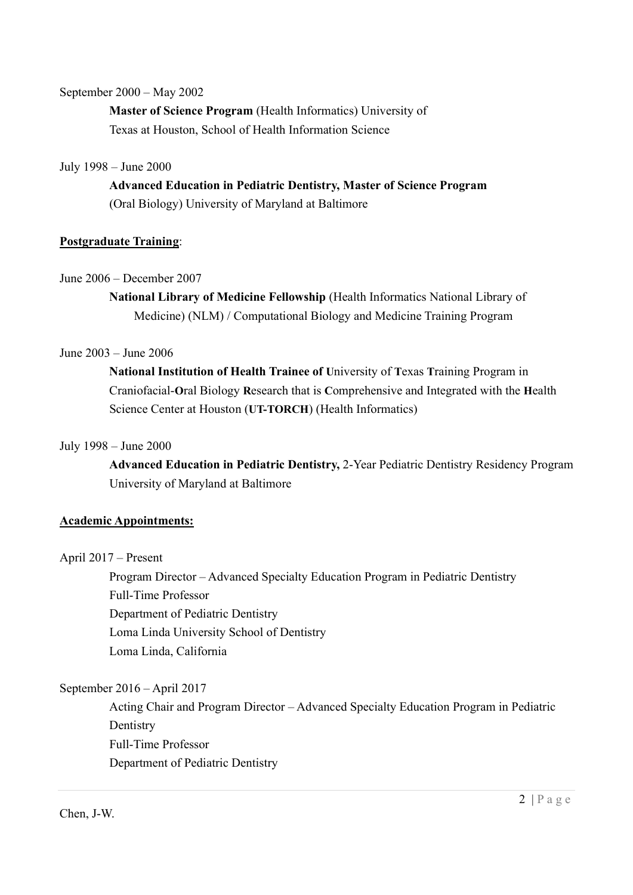#### September 2000 – May 2002

 Master of Science Program (Health Informatics) University of Texas at Houston, School of Health Information Science

#### July 1998 – June 2000

 Advanced Education in Pediatric Dentistry, Master of Science Program (Oral Biology) University of Maryland at Baltimore

## Postgraduate Training:

#### June 2006 – December 2007

 National Library of Medicine Fellowship (Health Informatics National Library of Medicine) (NLM) / Computational Biology and Medicine Training Program

#### June 2003 – June 2006

 National Institution of Health Trainee of University of Texas Training Program in Craniofacial-Oral Biology Research that is Comprehensive and Integrated with the Health Science Center at Houston (UT-TORCH) (Health Informatics)

#### July 1998 – June 2000

 Advanced Education in Pediatric Dentistry, 2-Year Pediatric Dentistry Residency Program University of Maryland at Baltimore

## Academic Appointments:

#### April 2017 – Present

Program Director – Advanced Specialty Education Program in Pediatric Dentistry Full-Time Professor Department of Pediatric Dentistry Loma Linda University School of Dentistry Loma Linda, California

## September 2016 – April 2017

Acting Chair and Program Director – Advanced Specialty Education Program in Pediatric **Dentistry**  Full-Time Professor Department of Pediatric Dentistry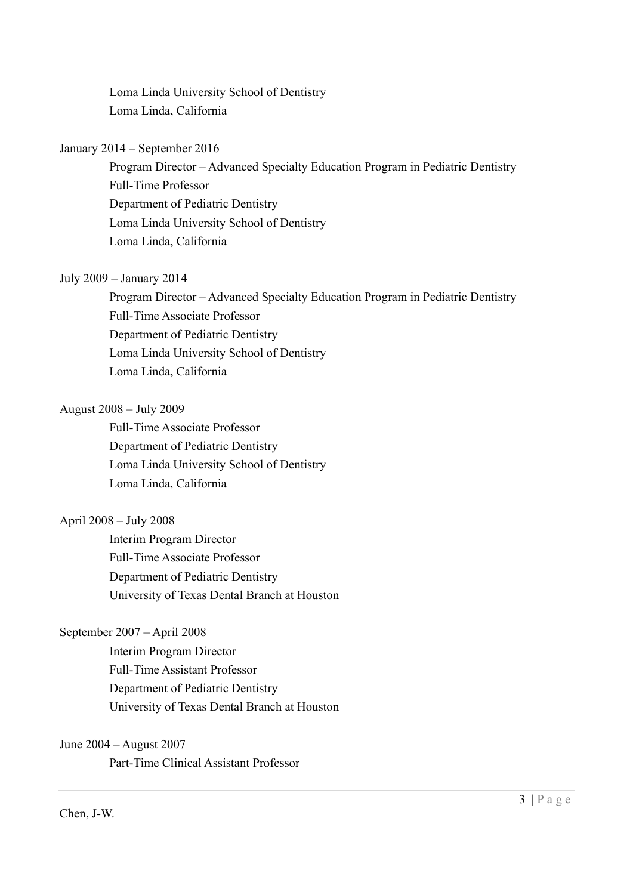Loma Linda University School of Dentistry Loma Linda, California

#### January 2014 – September 2016

 Program Director – Advanced Specialty Education Program in Pediatric Dentistry Full-Time Professor Department of Pediatric Dentistry Loma Linda University School of Dentistry Loma Linda, California

#### July 2009 – January 2014

 Program Director – Advanced Specialty Education Program in Pediatric Dentistry Full-Time Associate Professor Department of Pediatric Dentistry Loma Linda University School of Dentistry Loma Linda, California

#### August 2008 – July 2009

 Full-Time Associate Professor Department of Pediatric Dentistry Loma Linda University School of Dentistry Loma Linda, California

#### April 2008 – July 2008

 Interim Program Director Full-Time Associate Professor Department of Pediatric Dentistry University of Texas Dental Branch at Houston

#### September 2007 – April 2008

 Interim Program Director Full-Time Assistant Professor Department of Pediatric Dentistry University of Texas Dental Branch at Houston

#### June 2004 – August 2007

Part-Time Clinical Assistant Professor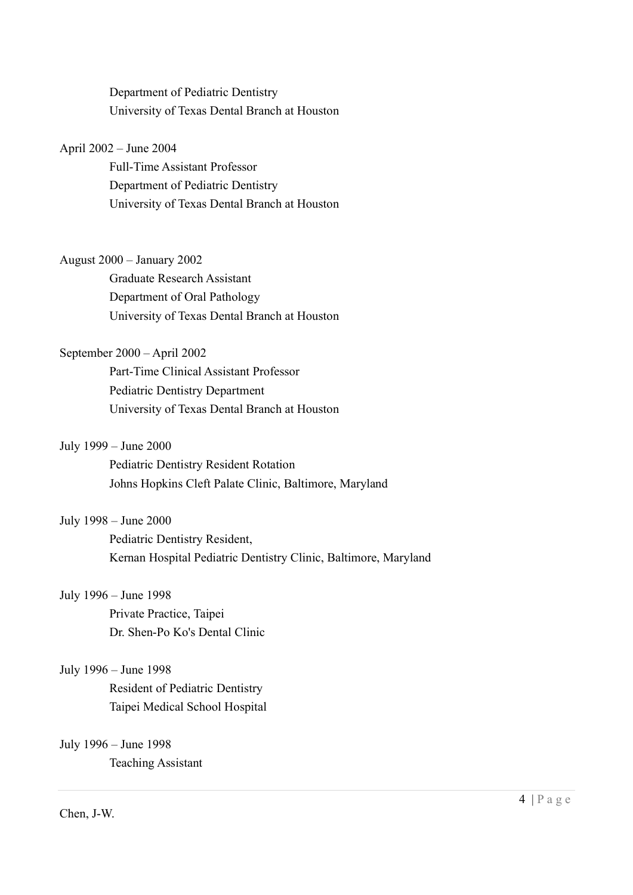Department of Pediatric Dentistry University of Texas Dental Branch at Houston

#### April 2002 – June 2004

 Full-Time Assistant Professor Department of Pediatric Dentistry University of Texas Dental Branch at Houston

#### August 2000 – January 2002

 Graduate Research Assistant Department of Oral Pathology University of Texas Dental Branch at Houston

#### September 2000 – April 2002

 Part-Time Clinical Assistant Professor Pediatric Dentistry Department University of Texas Dental Branch at Houston

#### July 1999 – June 2000

 Pediatric Dentistry Resident Rotation Johns Hopkins Cleft Palate Clinic, Baltimore, Maryland

#### July 1998 – June 2000

 Pediatric Dentistry Resident, Kernan Hospital Pediatric Dentistry Clinic, Baltimore, Maryland

#### July 1996 – June 1998

 Private Practice, Taipei Dr. Shen-Po Ko's Dental Clinic

#### July 1996 – June 1998

 Resident of Pediatric Dentistry Taipei Medical School Hospital

#### July 1996 – June 1998

Teaching Assistant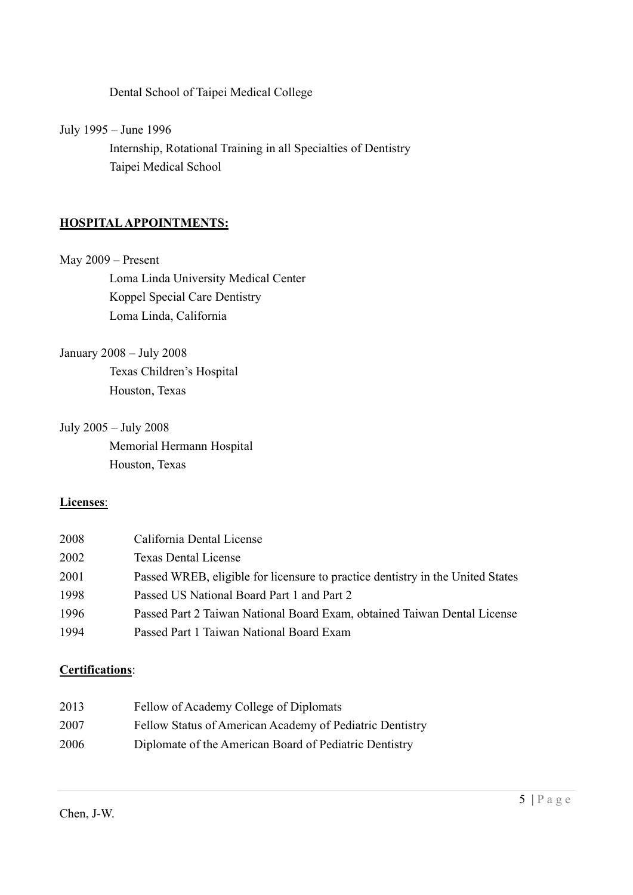Dental School of Taipei Medical College

July 1995 – June 1996

 Internship, Rotational Training in all Specialties of Dentistry Taipei Medical School

## HOSPITAL APPOINTMENTS:

#### May 2009 – Present

 Loma Linda University Medical Center Koppel Special Care Dentistry Loma Linda, California

January 2008 – July 2008

 Texas Children's Hospital Houston, Texas

July 2005 – July 2008 Memorial Hermann Hospital Houston, Texas

## Licenses:

| 2008 | California Dental License                                                      |
|------|--------------------------------------------------------------------------------|
| 2002 | Texas Dental License                                                           |
| 2001 | Passed WREB, eligible for licensure to practice dentistry in the United States |
| 1998 | Passed US National Board Part 1 and Part 2                                     |
| 1996 | Passed Part 2 Taiwan National Board Exam, obtained Taiwan Dental License       |
| 1994 | Passed Part 1 Taiwan National Board Exam                                       |

## Certifications:

| 2013 | Fellow of Academy College of Diplomats                   |
|------|----------------------------------------------------------|
| 2007 | Fellow Status of American Academy of Pediatric Dentistry |
| 2006 | Diplomate of the American Board of Pediatric Dentistry   |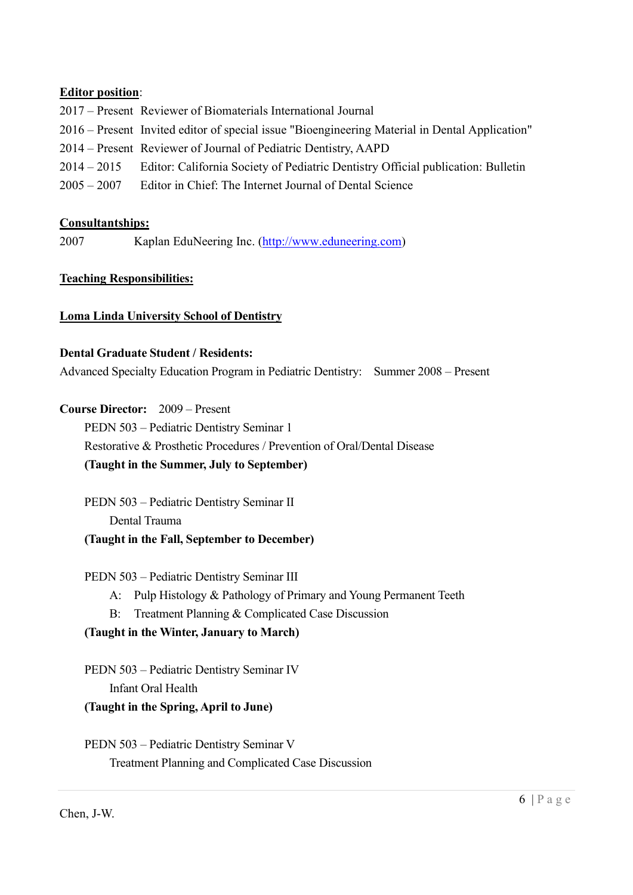#### Editor position:

2017 – Present Reviewer of Biomaterials International Journal 2016 – Present Invited editor of special issue "Bioengineering Material in Dental Application" 2014 – Present Reviewer of Journal of Pediatric Dentistry, AAPD 2014 – 2015 Editor: California Society of Pediatric Dentistry Official publication: Bulletin 2005 – 2007 Editor in Chief: The Internet Journal of Dental Science

#### Consultantships:

2007 Kaplan EduNeering Inc. (http://www.eduneering.com)

#### Teaching Responsibilities:

#### Loma Linda University School of Dentistry

#### Dental Graduate Student / Residents:

Advanced Specialty Education Program in Pediatric Dentistry: Summer 2008 – Present

#### Course Director: 2009 – Present

 PEDN 503 – Pediatric Dentistry Seminar 1 Restorative & Prosthetic Procedures / Prevention of Oral/Dental Disease (Taught in the Summer, July to September)

 PEDN 503 – Pediatric Dentistry Seminar II Dental Trauma (Taught in the Fall, September to December)

## PEDN 503 – Pediatric Dentistry Seminar III

- A: Pulp Histology & Pathology of Primary and Young Permanent Teeth
- B: Treatment Planning & Complicated Case Discussion

## (Taught in the Winter, January to March)

PEDN 503 – Pediatric Dentistry Seminar IV Infant Oral Health

## (Taught in the Spring, April to June)

PEDN 503 – Pediatric Dentistry Seminar V Treatment Planning and Complicated Case Discussion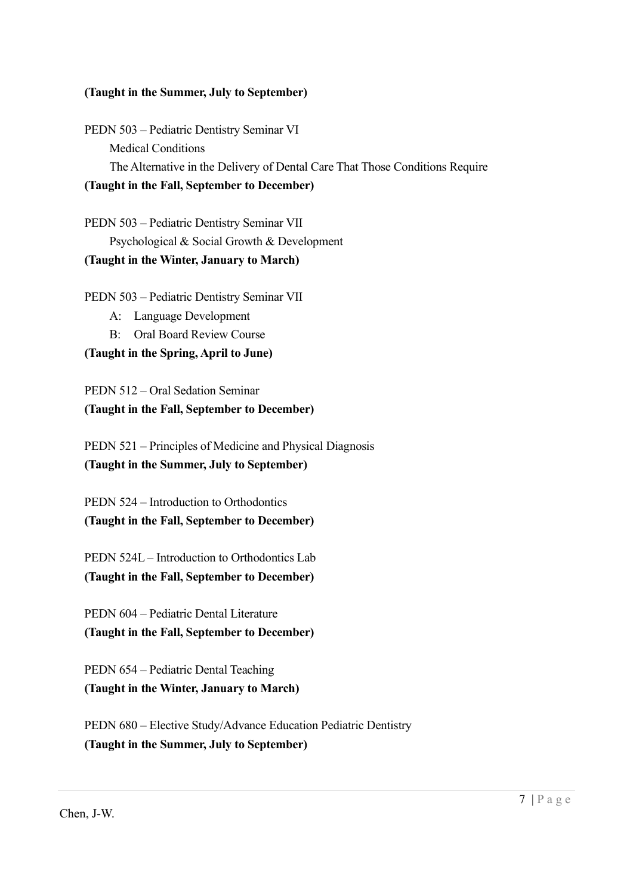#### (Taught in the Summer, July to September)

PEDN 503 – Pediatric Dentistry Seminar VI Medical Conditions The Alternative in the Delivery of Dental Care That Those Conditions Require (Taught in the Fall, September to December)

PEDN 503 – Pediatric Dentistry Seminar VII Psychological & Social Growth & Development (Taught in the Winter, January to March)

PEDN 503 – Pediatric Dentistry Seminar VII

- A: Language Development
- B: Oral Board Review Course

#### (Taught in the Spring, April to June)

PEDN 512 – Oral Sedation Seminar (Taught in the Fall, September to December)

 PEDN 521 – Principles of Medicine and Physical Diagnosis (Taught in the Summer, July to September)

 PEDN 524 – Introduction to Orthodontics (Taught in the Fall, September to December)

 PEDN 524L – Introduction to Orthodontics Lab (Taught in the Fall, September to December)

 PEDN 604 – Pediatric Dental Literature (Taught in the Fall, September to December)

 PEDN 654 – Pediatric Dental Teaching (Taught in the Winter, January to March)

 PEDN 680 – Elective Study/Advance Education Pediatric Dentistry (Taught in the Summer, July to September)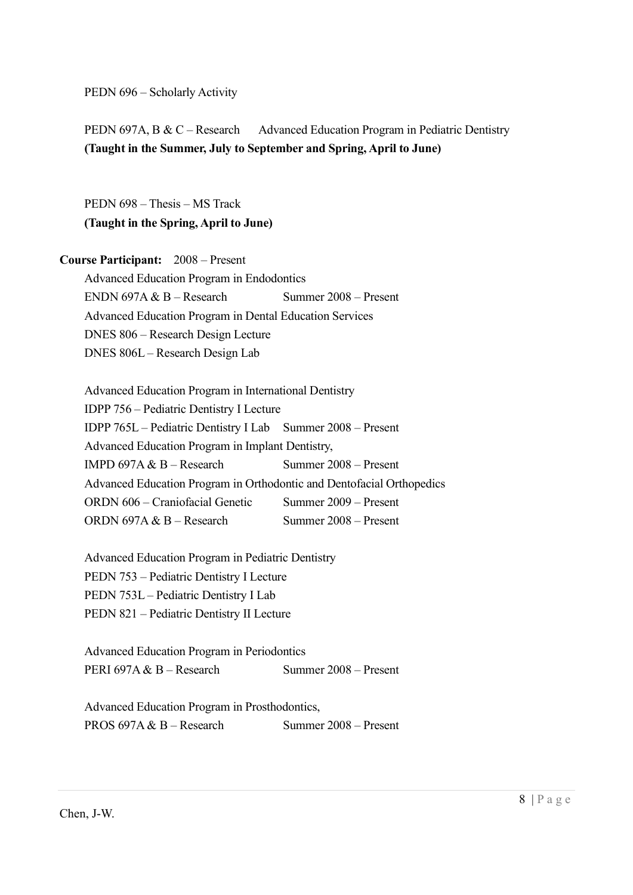PEDN 696 – Scholarly Activity

PEDN 697A, B & C – Research Advanced Education Program in Pediatric Dentistry (Taught in the Summer, July to September and Spring, April to June)

 PEDN 698 – Thesis – MS Track (Taught in the Spring, April to June)

Course Participant: 2008 – Present

 Advanced Education Program in Endodontics ENDN 697A & B – Research Summer  $2008$  – Present Advanced Education Program in Dental Education Services DNES 806 – Research Design Lecture DNES 806L – Research Design Lab

 Advanced Education Program in International Dentistry IDPP 756 – Pediatric Dentistry I Lecture IDPP 765L – Pediatric Dentistry I Lab Summer 2008 – Present Advanced Education Program in Implant Dentistry, IMPD 697A  $& B -$ Research Summer 2008 – Present Advanced Education Program in Orthodontic and Dentofacial Orthopedics ORDN 606 – Craniofacial Genetic Summer 2009 – Present ORDN 697A  $&B =$  Research Summer 2008 – Present

 Advanced Education Program in Pediatric Dentistry PEDN 753 – Pediatric Dentistry I Lecture PEDN 753L – Pediatric Dentistry I Lab PEDN 821 – Pediatric Dentistry II Lecture

 Advanced Education Program in Periodontics PERI 697A & B – Research Summer 2008 – Present

 Advanced Education Program in Prosthodontics, PROS 697A & B – Research Summer 2008 – Present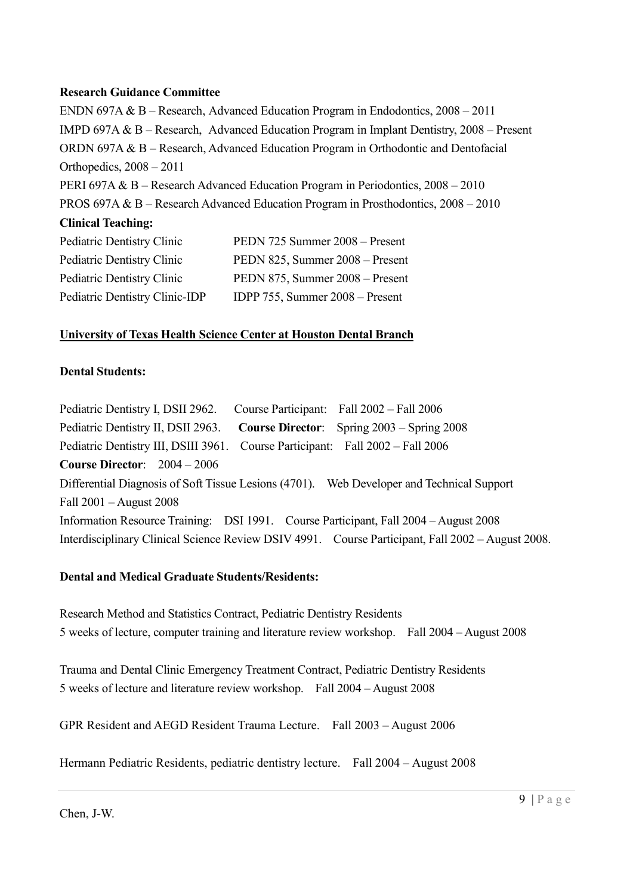#### Research Guidance Committee

ENDN 697A & B – Research, Advanced Education Program in Endodontics, 2008 – 2011 IMPD 697A & B – Research, Advanced Education Program in Implant Dentistry, 2008 – Present ORDN 697A & B – Research, Advanced Education Program in Orthodontic and Dentofacial Orthopedics, 2008 – 2011 PERI 697A & B – Research Advanced Education Program in Periodontics, 2008 – 2010 PROS 697A & B – Research Advanced Education Program in Prosthodontics, 2008 – 2010 Clinical Teaching: Pediatric Dentistry Clinic PEDN 725 Summer 2008 – Present Pediatric Dentistry Clinic PEDN 825, Summer 2008 – Present

| Pediatric Dentistry Clinic     | PEDN 825, Summer 2008 – Present   |
|--------------------------------|-----------------------------------|
| Pediatric Dentistry Clinic     | PEDN 875, Summer 2008 – Present   |
| Pediatric Dentistry Clinic-IDP | IDPP 755, Summer $2008 -$ Present |

## University of Texas Health Science Center at Houston Dental Branch

## Dental Students:

Pediatric Dentistry I, DSII 2962. Course Participant: Fall 2002 – Fall 2006 Pediatric Dentistry II, DSII 2963. Course Director: Spring 2003 – Spring 2008 Pediatric Dentistry III, DSIII 3961. Course Participant: Fall 2002 – Fall 2006 Course Director: 2004 – 2006 Differential Diagnosis of Soft Tissue Lesions (4701). Web Developer and Technical Support Fall 2001 – August 2008 Information Resource Training: DSI 1991. Course Participant, Fall 2004 – August 2008 Interdisciplinary Clinical Science Review DSIV 4991. Course Participant, Fall 2002 – August 2008.

## Dental and Medical Graduate Students/Residents:

Research Method and Statistics Contract, Pediatric Dentistry Residents 5 weeks of lecture, computer training and literature review workshop. Fall 2004 – August 2008

Trauma and Dental Clinic Emergency Treatment Contract, Pediatric Dentistry Residents 5 weeks of lecture and literature review workshop. Fall 2004 – August 2008

GPR Resident and AEGD Resident Trauma Lecture. Fall 2003 – August 2006

Hermann Pediatric Residents, pediatric dentistry lecture. Fall 2004 – August 2008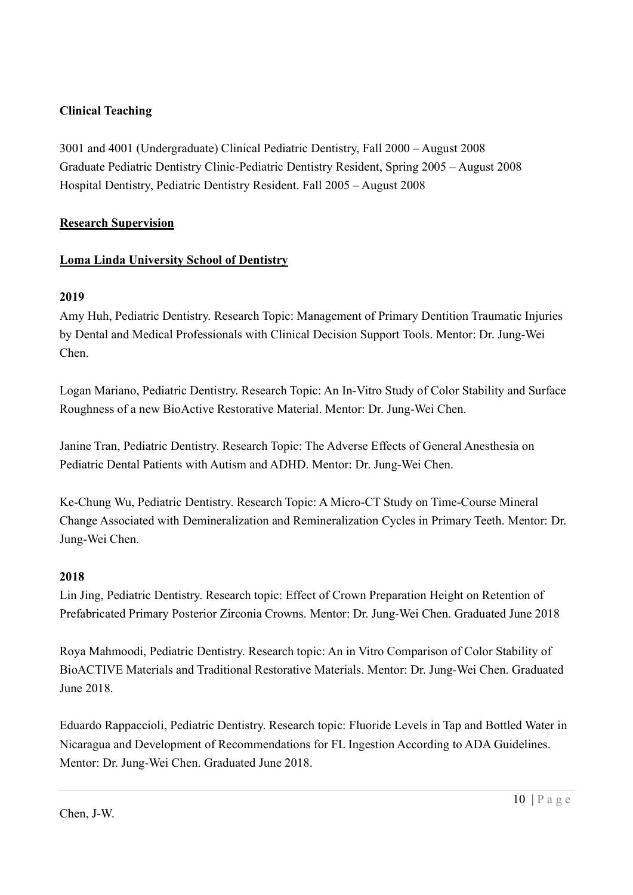## Clinical Teaching

3001 and 4001 (Undergraduate) Clinical Pediatric Dentistry, Fall 2000 – August 2008 Graduate Pediatric Dentistry Clinic-Pediatric Dentistry Resident, Spring 2005 – August 2008 Hospital Dentistry, Pediatric Dentistry Resident. Fall 2005 – August 2008

## Research Supervision

## Loma Linda University School of Dentistry

## 2019

Amy Huh, Pediatric Dentistry. Research Topic: Management of Primary Dentition Traumatic Injuries by Dental and Medical Professionals with Clinical Decision Support Tools. Mentor: Dr. Jung-Wei Chen.

Logan Mariano, Pediatric Dentistry. Research Topic: An In-Vitro Study of Color Stability and Surface Roughness of a new BioActive Restorative Material. Mentor: Dr. Jung-Wei Chen.

Janine Tran, Pediatric Dentistry. Research Topic: The Adverse Effects of General Anesthesia on Pediatric Dental Patients with Autism and ADHD. Mentor: Dr. Jung-Wei Chen.

Ke-Chung Wu, Pediatric Dentistry. Research Topic: A Micro-CT Study on Time-Course Mineral Change Associated with Demineralization and Remineralization Cycles in Primary Teeth. Mentor: Dr. Jung-Wei Chen.

## 2018

Lin Jing, Pediatric Dentistry. Research topic: Effect of Crown Preparation Height on Retention of Prefabricated Primary Posterior Zirconia Crowns. Mentor: Dr. Jung-Wei Chen. Graduated June 2018

Roya Mahmoodi, Pediatric Dentistry. Research topic: An in Vitro Comparison of Color Stability of BioACTIVE Materials and Traditional Restorative Materials. Mentor: Dr. Jung-Wei Chen. Graduated June 2018.

Eduardo Rappaccioli, Pediatric Dentistry. Research topic: Fluoride Levels in Tap and Bottled Water in Nicaragua and Development of Recommendations for FL Ingestion According to ADA Guidelines. Mentor: Dr. Jung-Wei Chen. Graduated June 2018.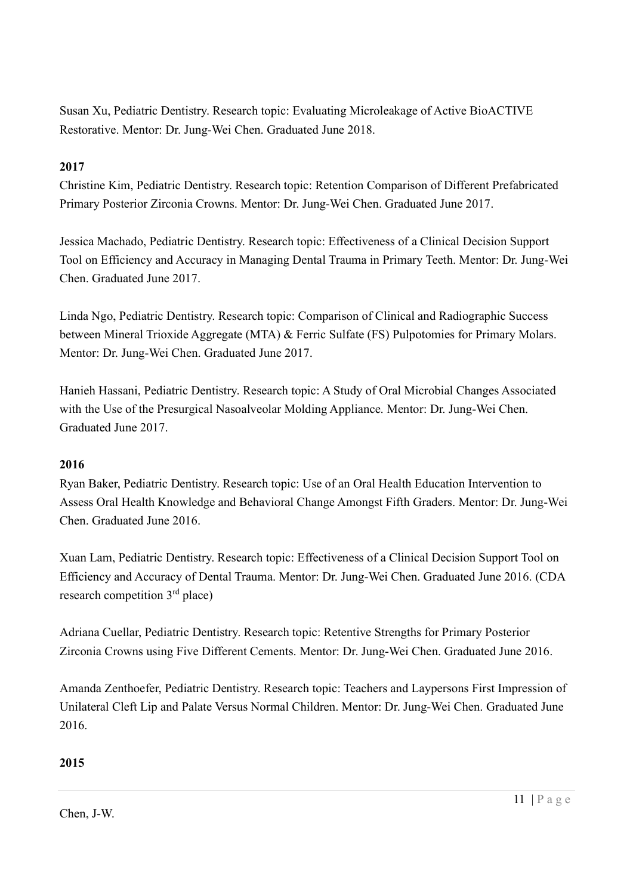Susan Xu, Pediatric Dentistry. Research topic: Evaluating Microleakage of Active BioACTIVE Restorative. Mentor: Dr. Jung-Wei Chen. Graduated June 2018.

## 2017

Christine Kim, Pediatric Dentistry. Research topic: Retention Comparison of Different Prefabricated Primary Posterior Zirconia Crowns. Mentor: Dr. Jung-Wei Chen. Graduated June 2017.

Jessica Machado, Pediatric Dentistry. Research topic: Effectiveness of a Clinical Decision Support Tool on Efficiency and Accuracy in Managing Dental Trauma in Primary Teeth. Mentor: Dr. Jung-Wei Chen. Graduated June 2017.

Linda Ngo, Pediatric Dentistry. Research topic: Comparison of Clinical and Radiographic Success between Mineral Trioxide Aggregate (MTA) & Ferric Sulfate (FS) Pulpotomies for Primary Molars. Mentor: Dr. Jung-Wei Chen. Graduated June 2017.

Hanieh Hassani, Pediatric Dentistry. Research topic: A Study of Oral Microbial Changes Associated with the Use of the Presurgical Nasoalveolar Molding Appliance. Mentor: Dr. Jung-Wei Chen. Graduated June 2017.

## 2016

Ryan Baker, Pediatric Dentistry. Research topic: Use of an Oral Health Education Intervention to Assess Oral Health Knowledge and Behavioral Change Amongst Fifth Graders. Mentor: Dr. Jung-Wei Chen. Graduated June 2016.

Xuan Lam, Pediatric Dentistry. Research topic: Effectiveness of a Clinical Decision Support Tool on Efficiency and Accuracy of Dental Trauma. Mentor: Dr. Jung-Wei Chen. Graduated June 2016. (CDA research competition 3rd place)

Adriana Cuellar, Pediatric Dentistry. Research topic: Retentive Strengths for Primary Posterior Zirconia Crowns using Five Different Cements. Mentor: Dr. Jung-Wei Chen. Graduated June 2016.

Amanda Zenthoefer, Pediatric Dentistry. Research topic: Teachers and Laypersons First Impression of Unilateral Cleft Lip and Palate Versus Normal Children. Mentor: Dr. Jung-Wei Chen. Graduated June 2016.

## 2015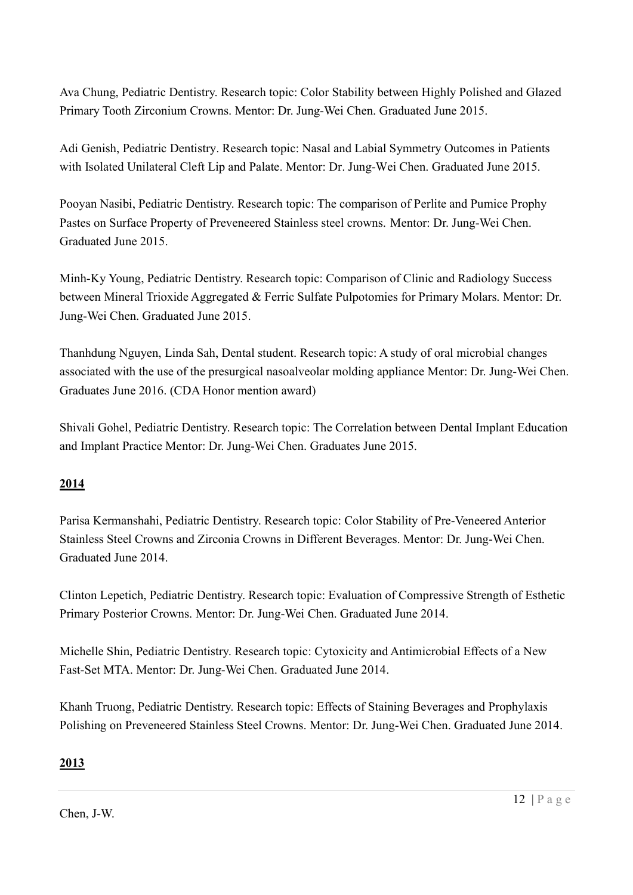Ava Chung, Pediatric Dentistry. Research topic: Color Stability between Highly Polished and Glazed Primary Tooth Zirconium Crowns. Mentor: Dr. Jung-Wei Chen. Graduated June 2015.

Adi Genish, Pediatric Dentistry. Research topic: Nasal and Labial Symmetry Outcomes in Patients with Isolated Unilateral Cleft Lip and Palate. Mentor: Dr. Jung-Wei Chen. Graduated June 2015.

Pooyan Nasibi, Pediatric Dentistry. Research topic: The comparison of Perlite and Pumice Prophy Pastes on Surface Property of Preveneered Stainless steel crowns. Mentor: Dr. Jung-Wei Chen. Graduated June 2015.

Minh-Ky Young, Pediatric Dentistry. Research topic: Comparison of Clinic and Radiology Success between Mineral Trioxide Aggregated & Ferric Sulfate Pulpotomies for Primary Molars. Mentor: Dr. Jung-Wei Chen. Graduated June 2015.

Thanhdung Nguyen, Linda Sah, Dental student. Research topic: A study of oral microbial changes associated with the use of the presurgical nasoalveolar molding appliance Mentor: Dr. Jung-Wei Chen. Graduates June 2016. (CDA Honor mention award)

Shivali Gohel, Pediatric Dentistry. Research topic: The Correlation between Dental Implant Education and Implant Practice Mentor: Dr. Jung-Wei Chen. Graduates June 2015.

## 2014

Parisa Kermanshahi, Pediatric Dentistry. Research topic: Color Stability of Pre-Veneered Anterior Stainless Steel Crowns and Zirconia Crowns in Different Beverages. Mentor: Dr. Jung-Wei Chen. Graduated June 2014.

Clinton Lepetich, Pediatric Dentistry. Research topic: Evaluation of Compressive Strength of Esthetic Primary Posterior Crowns. Mentor: Dr. Jung-Wei Chen. Graduated June 2014.

Michelle Shin, Pediatric Dentistry. Research topic: Cytoxicity and Antimicrobial Effects of a New Fast-Set MTA. Mentor: Dr. Jung-Wei Chen. Graduated June 2014.

Khanh Truong, Pediatric Dentistry. Research topic: Effects of Staining Beverages and Prophylaxis Polishing on Preveneered Stainless Steel Crowns. Mentor: Dr. Jung-Wei Chen. Graduated June 2014.

# 2013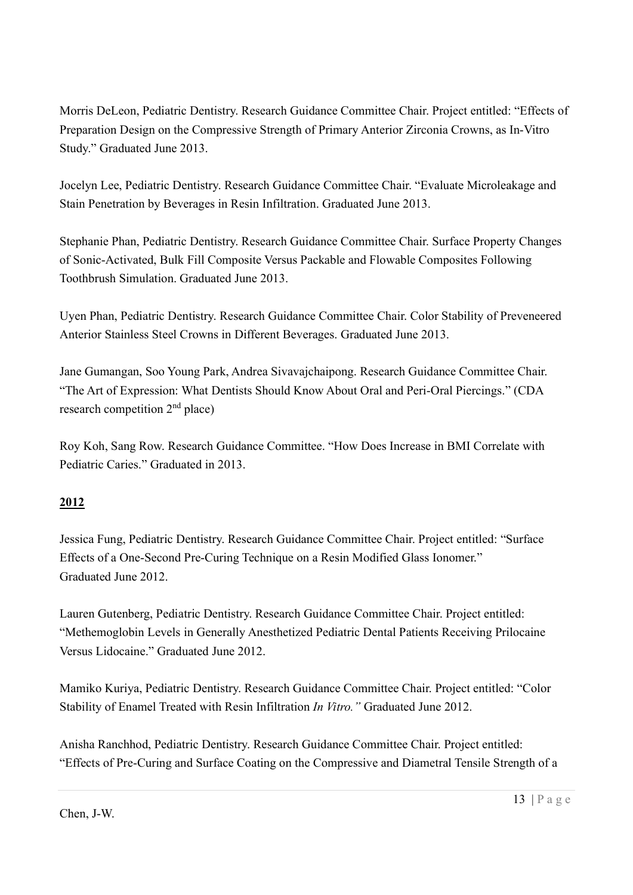Morris DeLeon, Pediatric Dentistry. Research Guidance Committee Chair. Project entitled: "Effects of Preparation Design on the Compressive Strength of Primary Anterior Zirconia Crowns, as In-Vitro Study." Graduated June 2013.

Jocelyn Lee, Pediatric Dentistry. Research Guidance Committee Chair. "Evaluate Microleakage and Stain Penetration by Beverages in Resin Infiltration. Graduated June 2013.

Stephanie Phan, Pediatric Dentistry. Research Guidance Committee Chair. Surface Property Changes of Sonic-Activated, Bulk Fill Composite Versus Packable and Flowable Composites Following Toothbrush Simulation. Graduated June 2013.

Uyen Phan, Pediatric Dentistry. Research Guidance Committee Chair. Color Stability of Preveneered Anterior Stainless Steel Crowns in Different Beverages. Graduated June 2013.

Jane Gumangan, Soo Young Park, Andrea Sivavajchaipong. Research Guidance Committee Chair. "The Art of Expression: What Dentists Should Know About Oral and Peri-Oral Piercings." (CDA research competition 2nd place)

Roy Koh, Sang Row. Research Guidance Committee. "How Does Increase in BMI Correlate with Pediatric Caries." Graduated in 2013.

# 2012

Jessica Fung, Pediatric Dentistry. Research Guidance Committee Chair. Project entitled: "Surface Effects of a One-Second Pre-Curing Technique on a Resin Modified Glass Ionomer." Graduated June 2012.

Lauren Gutenberg, Pediatric Dentistry. Research Guidance Committee Chair. Project entitled: "Methemoglobin Levels in Generally Anesthetized Pediatric Dental Patients Receiving Prilocaine Versus Lidocaine." Graduated June 2012.

Mamiko Kuriya, Pediatric Dentistry. Research Guidance Committee Chair. Project entitled: "Color Stability of Enamel Treated with Resin Infiltration In Vitro." Graduated June 2012.

Anisha Ranchhod, Pediatric Dentistry. Research Guidance Committee Chair. Project entitled: "Effects of Pre-Curing and Surface Coating on the Compressive and Diametral Tensile Strength of a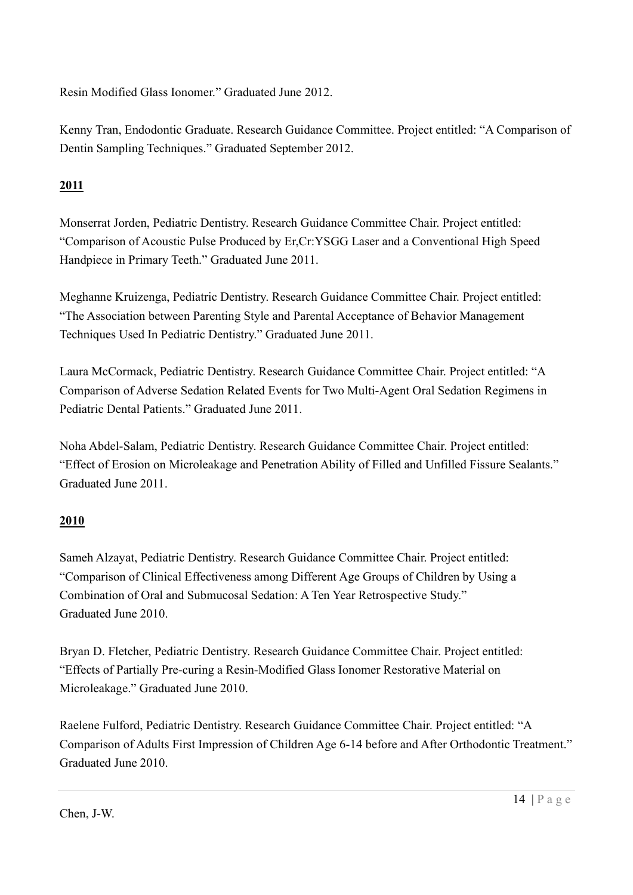Resin Modified Glass Ionomer." Graduated June 2012.

Kenny Tran, Endodontic Graduate. Research Guidance Committee. Project entitled: "A Comparison of Dentin Sampling Techniques." Graduated September 2012.

# 2011

Monserrat Jorden, Pediatric Dentistry. Research Guidance Committee Chair. Project entitled: "Comparison of Acoustic Pulse Produced by Er,Cr:YSGG Laser and a Conventional High Speed Handpiece in Primary Teeth." Graduated June 2011.

Meghanne Kruizenga, Pediatric Dentistry. Research Guidance Committee Chair. Project entitled: "The Association between Parenting Style and Parental Acceptance of Behavior Management Techniques Used In Pediatric Dentistry." Graduated June 2011.

Laura McCormack, Pediatric Dentistry. Research Guidance Committee Chair. Project entitled: "A Comparison of Adverse Sedation Related Events for Two Multi-Agent Oral Sedation Regimens in Pediatric Dental Patients." Graduated June 2011.

Noha Abdel-Salam, Pediatric Dentistry. Research Guidance Committee Chair. Project entitled: "Effect of Erosion on Microleakage and Penetration Ability of Filled and Unfilled Fissure Sealants." Graduated June 2011.

# 2010

Sameh Alzayat, Pediatric Dentistry. Research Guidance Committee Chair. Project entitled: "Comparison of Clinical Effectiveness among Different Age Groups of Children by Using a Combination of Oral and Submucosal Sedation: A Ten Year Retrospective Study." Graduated June 2010.

Bryan D. Fletcher, Pediatric Dentistry. Research Guidance Committee Chair. Project entitled: "Effects of Partially Pre-curing a Resin-Modified Glass Ionomer Restorative Material on Microleakage." Graduated June 2010.

Raelene Fulford, Pediatric Dentistry. Research Guidance Committee Chair. Project entitled: "A Comparison of Adults First Impression of Children Age 6-14 before and After Orthodontic Treatment." Graduated June 2010.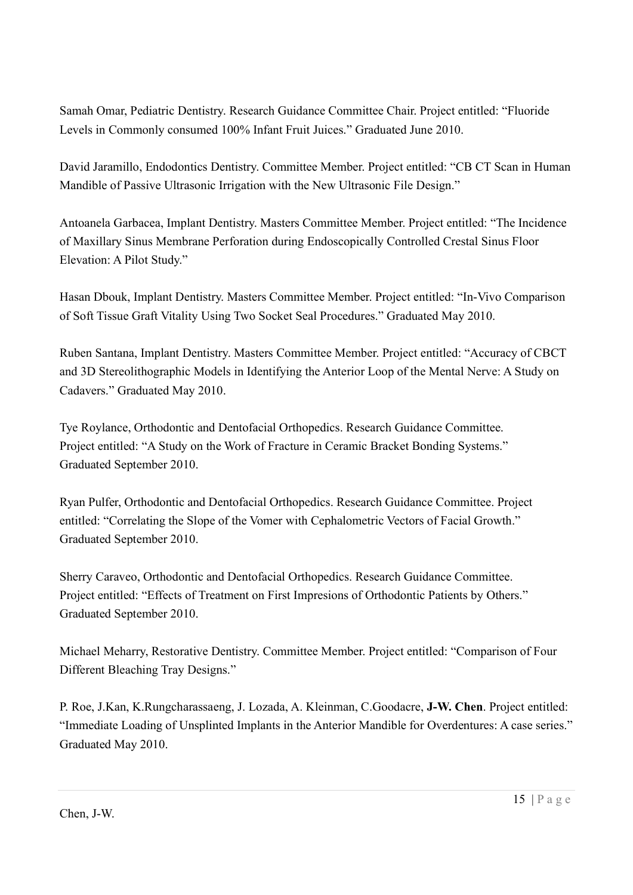Samah Omar, Pediatric Dentistry. Research Guidance Committee Chair. Project entitled: "Fluoride Levels in Commonly consumed 100% Infant Fruit Juices." Graduated June 2010.

David Jaramillo, Endodontics Dentistry. Committee Member. Project entitled: "CB CT Scan in Human Mandible of Passive Ultrasonic Irrigation with the New Ultrasonic File Design."

Antoanela Garbacea, Implant Dentistry. Masters Committee Member. Project entitled: "The Incidence of Maxillary Sinus Membrane Perforation during Endoscopically Controlled Crestal Sinus Floor Elevation: A Pilot Study."

Hasan Dbouk, Implant Dentistry. Masters Committee Member. Project entitled: "In-Vivo Comparison of Soft Tissue Graft Vitality Using Two Socket Seal Procedures." Graduated May 2010.

Ruben Santana, Implant Dentistry. Masters Committee Member. Project entitled: "Accuracy of CBCT and 3D Stereolithographic Models in Identifying the Anterior Loop of the Mental Nerve: A Study on Cadavers." Graduated May 2010.

Tye Roylance, Orthodontic and Dentofacial Orthopedics. Research Guidance Committee. Project entitled: "A Study on the Work of Fracture in Ceramic Bracket Bonding Systems." Graduated September 2010.

Ryan Pulfer, Orthodontic and Dentofacial Orthopedics. Research Guidance Committee. Project entitled: "Correlating the Slope of the Vomer with Cephalometric Vectors of Facial Growth." Graduated September 2010.

Sherry Caraveo, Orthodontic and Dentofacial Orthopedics. Research Guidance Committee. Project entitled: "Effects of Treatment on First Impresions of Orthodontic Patients by Others." Graduated September 2010.

Michael Meharry, Restorative Dentistry. Committee Member. Project entitled: "Comparison of Four Different Bleaching Tray Designs."

P. Roe, J.Kan, K.Rungcharassaeng, J. Lozada, A. Kleinman, C.Goodacre, J-W. Chen. Project entitled: "Immediate Loading of Unsplinted Implants in the Anterior Mandible for Overdentures: A case series." Graduated May 2010.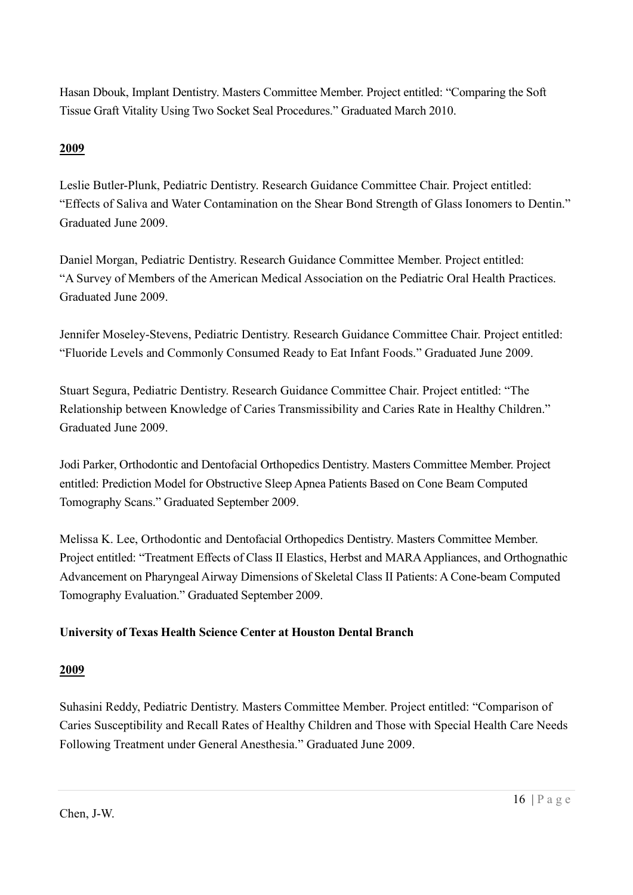Hasan Dbouk, Implant Dentistry. Masters Committee Member. Project entitled: "Comparing the Soft Tissue Graft Vitality Using Two Socket Seal Procedures." Graduated March 2010.

## 2009

Leslie Butler-Plunk, Pediatric Dentistry. Research Guidance Committee Chair. Project entitled: "Effects of Saliva and Water Contamination on the Shear Bond Strength of Glass Ionomers to Dentin." Graduated June 2009.

Daniel Morgan, Pediatric Dentistry. Research Guidance Committee Member. Project entitled: "A Survey of Members of the American Medical Association on the Pediatric Oral Health Practices. Graduated June 2009.

Jennifer Moseley-Stevens, Pediatric Dentistry. Research Guidance Committee Chair. Project entitled: "Fluoride Levels and Commonly Consumed Ready to Eat Infant Foods." Graduated June 2009.

Stuart Segura, Pediatric Dentistry. Research Guidance Committee Chair. Project entitled: "The Relationship between Knowledge of Caries Transmissibility and Caries Rate in Healthy Children." Graduated June 2009.

Jodi Parker, Orthodontic and Dentofacial Orthopedics Dentistry. Masters Committee Member. Project entitled: Prediction Model for Obstructive Sleep Apnea Patients Based on Cone Beam Computed Tomography Scans." Graduated September 2009.

Melissa K. Lee, Orthodontic and Dentofacial Orthopedics Dentistry. Masters Committee Member. Project entitled: "Treatment Effects of Class II Elastics, Herbst and MARA Appliances, and Orthognathic Advancement on Pharyngeal Airway Dimensions of Skeletal Class II Patients: A Cone-beam Computed Tomography Evaluation." Graduated September 2009.

## University of Texas Health Science Center at Houston Dental Branch

## 2009

Suhasini Reddy, Pediatric Dentistry. Masters Committee Member. Project entitled: "Comparison of Caries Susceptibility and Recall Rates of Healthy Children and Those with Special Health Care Needs Following Treatment under General Anesthesia." Graduated June 2009.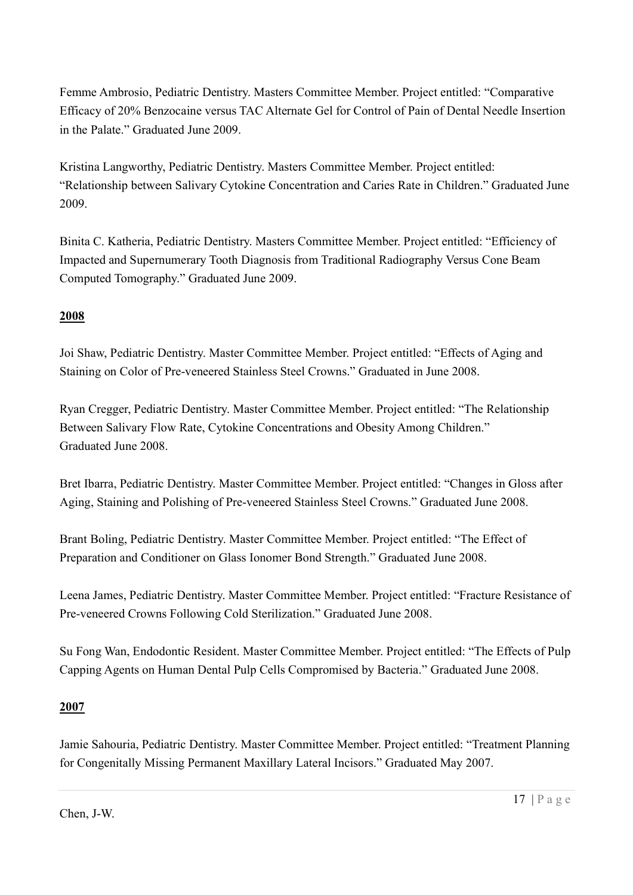Femme Ambrosio, Pediatric Dentistry. Masters Committee Member. Project entitled: "Comparative Efficacy of 20% Benzocaine versus TAC Alternate Gel for Control of Pain of Dental Needle Insertion in the Palate." Graduated June 2009.

Kristina Langworthy, Pediatric Dentistry. Masters Committee Member. Project entitled: "Relationship between Salivary Cytokine Concentration and Caries Rate in Children." Graduated June 2009.

Binita C. Katheria, Pediatric Dentistry. Masters Committee Member. Project entitled: "Efficiency of Impacted and Supernumerary Tooth Diagnosis from Traditional Radiography Versus Cone Beam Computed Tomography." Graduated June 2009.

## 2008

Joi Shaw, Pediatric Dentistry. Master Committee Member. Project entitled: "Effects of Aging and Staining on Color of Pre-veneered Stainless Steel Crowns." Graduated in June 2008.

Ryan Cregger, Pediatric Dentistry. Master Committee Member. Project entitled: "The Relationship Between Salivary Flow Rate, Cytokine Concentrations and Obesity Among Children." Graduated June 2008.

Bret Ibarra, Pediatric Dentistry. Master Committee Member. Project entitled: "Changes in Gloss after Aging, Staining and Polishing of Pre-veneered Stainless Steel Crowns." Graduated June 2008.

Brant Boling, Pediatric Dentistry. Master Committee Member. Project entitled: "The Effect of Preparation and Conditioner on Glass Ionomer Bond Strength." Graduated June 2008.

Leena James, Pediatric Dentistry. Master Committee Member. Project entitled: "Fracture Resistance of Pre-veneered Crowns Following Cold Sterilization." Graduated June 2008.

Su Fong Wan, Endodontic Resident. Master Committee Member. Project entitled: "The Effects of Pulp Capping Agents on Human Dental Pulp Cells Compromised by Bacteria." Graduated June 2008.

## 2007

Jamie Sahouria, Pediatric Dentistry. Master Committee Member. Project entitled: "Treatment Planning for Congenitally Missing Permanent Maxillary Lateral Incisors." Graduated May 2007.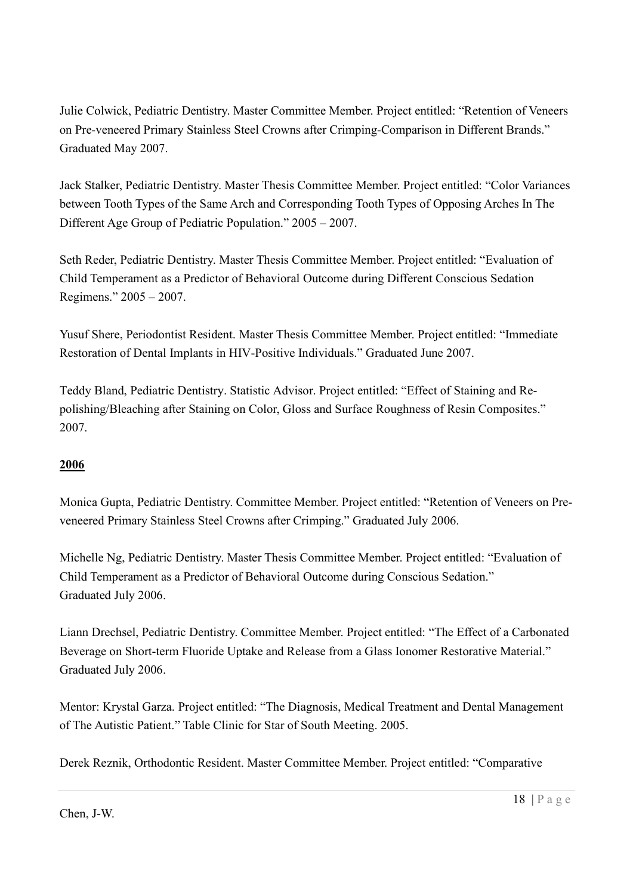Julie Colwick, Pediatric Dentistry. Master Committee Member. Project entitled: "Retention of Veneers on Pre-veneered Primary Stainless Steel Crowns after Crimping-Comparison in Different Brands." Graduated May 2007.

Jack Stalker, Pediatric Dentistry. Master Thesis Committee Member. Project entitled: "Color Variances between Tooth Types of the Same Arch and Corresponding Tooth Types of Opposing Arches In The Different Age Group of Pediatric Population." 2005 – 2007.

Seth Reder, Pediatric Dentistry. Master Thesis Committee Member. Project entitled: "Evaluation of Child Temperament as a Predictor of Behavioral Outcome during Different Conscious Sedation Regimens." 2005 – 2007.

Yusuf Shere, Periodontist Resident. Master Thesis Committee Member. Project entitled: "Immediate Restoration of Dental Implants in HIV-Positive Individuals." Graduated June 2007.

Teddy Bland, Pediatric Dentistry. Statistic Advisor. Project entitled: "Effect of Staining and Repolishing/Bleaching after Staining on Color, Gloss and Surface Roughness of Resin Composites." 2007.

## 2006

Monica Gupta, Pediatric Dentistry. Committee Member. Project entitled: "Retention of Veneers on Preveneered Primary Stainless Steel Crowns after Crimping." Graduated July 2006.

Michelle Ng, Pediatric Dentistry. Master Thesis Committee Member. Project entitled: "Evaluation of Child Temperament as a Predictor of Behavioral Outcome during Conscious Sedation." Graduated July 2006.

Liann Drechsel, Pediatric Dentistry. Committee Member. Project entitled: "The Effect of a Carbonated Beverage on Short-term Fluoride Uptake and Release from a Glass Ionomer Restorative Material." Graduated July 2006.

Mentor: Krystal Garza. Project entitled: "The Diagnosis, Medical Treatment and Dental Management of The Autistic Patient." Table Clinic for Star of South Meeting. 2005.

Derek Reznik, Orthodontic Resident. Master Committee Member. Project entitled: "Comparative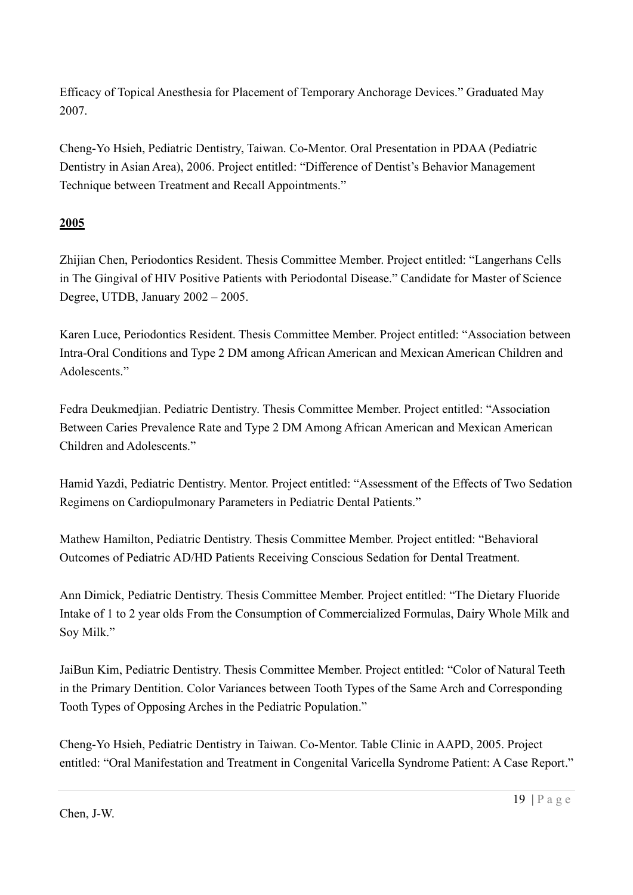Efficacy of Topical Anesthesia for Placement of Temporary Anchorage Devices." Graduated May 2007.

Cheng-Yo Hsieh, Pediatric Dentistry, Taiwan. Co-Mentor. Oral Presentation in PDAA (Pediatric Dentistry in Asian Area), 2006. Project entitled: "Difference of Dentist's Behavior Management Technique between Treatment and Recall Appointments."

## 2005

Zhijian Chen, Periodontics Resident. Thesis Committee Member. Project entitled: "Langerhans Cells in The Gingival of HIV Positive Patients with Periodontal Disease." Candidate for Master of Science Degree, UTDB, January 2002 – 2005.

Karen Luce, Periodontics Resident. Thesis Committee Member. Project entitled: "Association between Intra-Oral Conditions and Type 2 DM among African American and Mexican American Children and Adolescents."

Fedra Deukmedjian. Pediatric Dentistry. Thesis Committee Member. Project entitled: "Association Between Caries Prevalence Rate and Type 2 DM Among African American and Mexican American Children and Adolescents."

Hamid Yazdi, Pediatric Dentistry. Mentor. Project entitled: "Assessment of the Effects of Two Sedation Regimens on Cardiopulmonary Parameters in Pediatric Dental Patients."

Mathew Hamilton, Pediatric Dentistry. Thesis Committee Member. Project entitled: "Behavioral Outcomes of Pediatric AD/HD Patients Receiving Conscious Sedation for Dental Treatment.

Ann Dimick, Pediatric Dentistry. Thesis Committee Member. Project entitled: "The Dietary Fluoride Intake of 1 to 2 year olds From the Consumption of Commercialized Formulas, Dairy Whole Milk and Soy Milk."

JaiBun Kim, Pediatric Dentistry. Thesis Committee Member. Project entitled: "Color of Natural Teeth in the Primary Dentition. Color Variances between Tooth Types of the Same Arch and Corresponding Tooth Types of Opposing Arches in the Pediatric Population."

Cheng-Yo Hsieh, Pediatric Dentistry in Taiwan. Co-Mentor. Table Clinic in AAPD, 2005. Project entitled: "Oral Manifestation and Treatment in Congenital Varicella Syndrome Patient: A Case Report."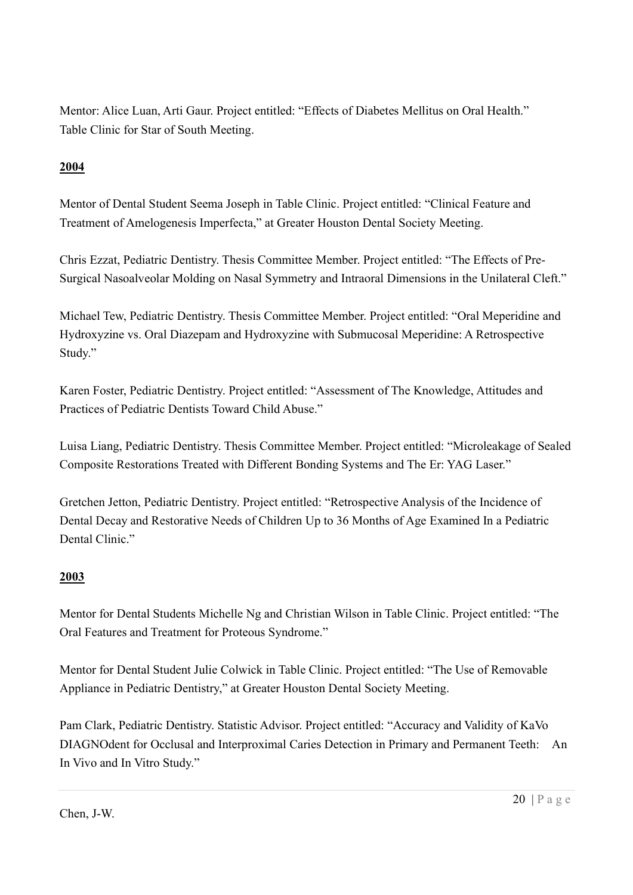Mentor: Alice Luan, Arti Gaur. Project entitled: "Effects of Diabetes Mellitus on Oral Health." Table Clinic for Star of South Meeting.

# 2004

Mentor of Dental Student Seema Joseph in Table Clinic. Project entitled: "Clinical Feature and Treatment of Amelogenesis Imperfecta," at Greater Houston Dental Society Meeting.

Chris Ezzat, Pediatric Dentistry. Thesis Committee Member. Project entitled: "The Effects of Pre-Surgical Nasoalveolar Molding on Nasal Symmetry and Intraoral Dimensions in the Unilateral Cleft."

Michael Tew, Pediatric Dentistry. Thesis Committee Member. Project entitled: "Oral Meperidine and Hydroxyzine vs. Oral Diazepam and Hydroxyzine with Submucosal Meperidine: A Retrospective Study."

Karen Foster, Pediatric Dentistry. Project entitled: "Assessment of The Knowledge, Attitudes and Practices of Pediatric Dentists Toward Child Abuse."

Luisa Liang, Pediatric Dentistry. Thesis Committee Member. Project entitled: "Microleakage of Sealed Composite Restorations Treated with Different Bonding Systems and The Er: YAG Laser."

Gretchen Jetton, Pediatric Dentistry. Project entitled: "Retrospective Analysis of the Incidence of Dental Decay and Restorative Needs of Children Up to 36 Months of Age Examined In a Pediatric Dental Clinic."

## 2003

Mentor for Dental Students Michelle Ng and Christian Wilson in Table Clinic. Project entitled: "The Oral Features and Treatment for Proteous Syndrome."

Mentor for Dental Student Julie Colwick in Table Clinic. Project entitled: "The Use of Removable Appliance in Pediatric Dentistry," at Greater Houston Dental Society Meeting.

Pam Clark, Pediatric Dentistry. Statistic Advisor. Project entitled: "Accuracy and Validity of KaVo DIAGNOdent for Occlusal and Interproximal Caries Detection in Primary and Permanent Teeth: An In Vivo and In Vitro Study."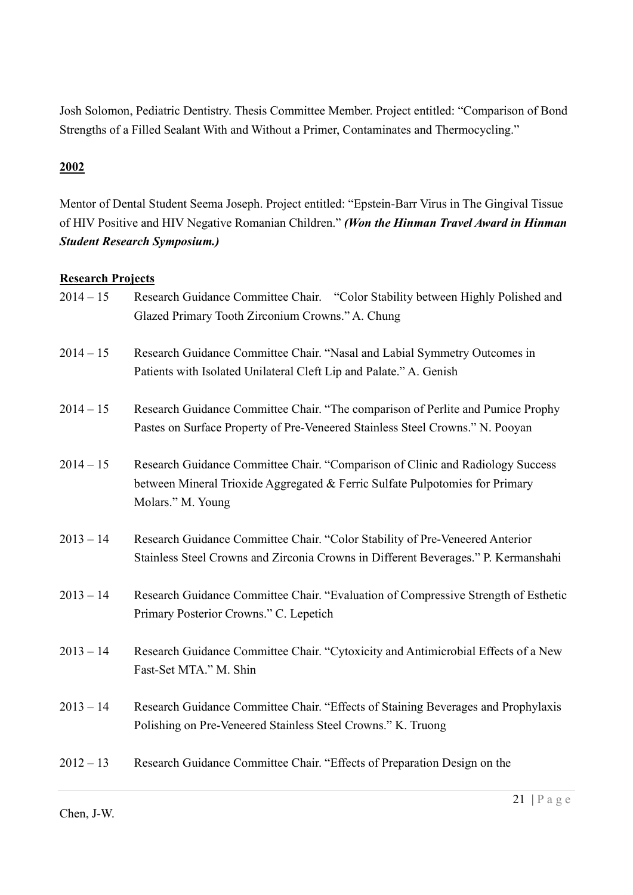Josh Solomon, Pediatric Dentistry. Thesis Committee Member. Project entitled: "Comparison of Bond Strengths of a Filled Sealant With and Without a Primer, Contaminates and Thermocycling."

## 2002

Mentor of Dental Student Seema Joseph. Project entitled: "Epstein-Barr Virus in The Gingival Tissue of HIV Positive and HIV Negative Romanian Children." (Won the Hinman Travel Award in Hinman Student Research Symposium.)

## Research Projects

| $2014 - 15$ | Research Guidance Committee Chair. "Color Stability between Highly Polished and<br>Glazed Primary Tooth Zirconium Crowns." A. Chung                                                 |
|-------------|-------------------------------------------------------------------------------------------------------------------------------------------------------------------------------------|
| $2014 - 15$ | Research Guidance Committee Chair. "Nasal and Labial Symmetry Outcomes in<br>Patients with Isolated Unilateral Cleft Lip and Palate." A. Genish                                     |
| $2014 - 15$ | Research Guidance Committee Chair. "The comparison of Perlite and Pumice Prophy<br>Pastes on Surface Property of Pre-Veneered Stainless Steel Crowns." N. Pooyan                    |
| $2014 - 15$ | Research Guidance Committee Chair. "Comparison of Clinic and Radiology Success<br>between Mineral Trioxide Aggregated & Ferric Sulfate Pulpotomies for Primary<br>Molars." M. Young |
| $2013 - 14$ | Research Guidance Committee Chair. "Color Stability of Pre-Veneered Anterior<br>Stainless Steel Crowns and Zirconia Crowns in Different Beverages." P. Kermanshahi                  |
| $2013 - 14$ | Research Guidance Committee Chair. "Evaluation of Compressive Strength of Esthetic<br>Primary Posterior Crowns." C. Lepetich                                                        |
| $2013 - 14$ | Research Guidance Committee Chair. "Cytoxicity and Antimicrobial Effects of a New<br>Fast-Set MTA." M. Shin                                                                         |
| $2013 - 14$ | Research Guidance Committee Chair. "Effects of Staining Beverages and Prophylaxis<br>Polishing on Pre-Veneered Stainless Steel Crowns." K. Truong                                   |
| $2012 - 13$ | Research Guidance Committee Chair. "Effects of Preparation Design on the                                                                                                            |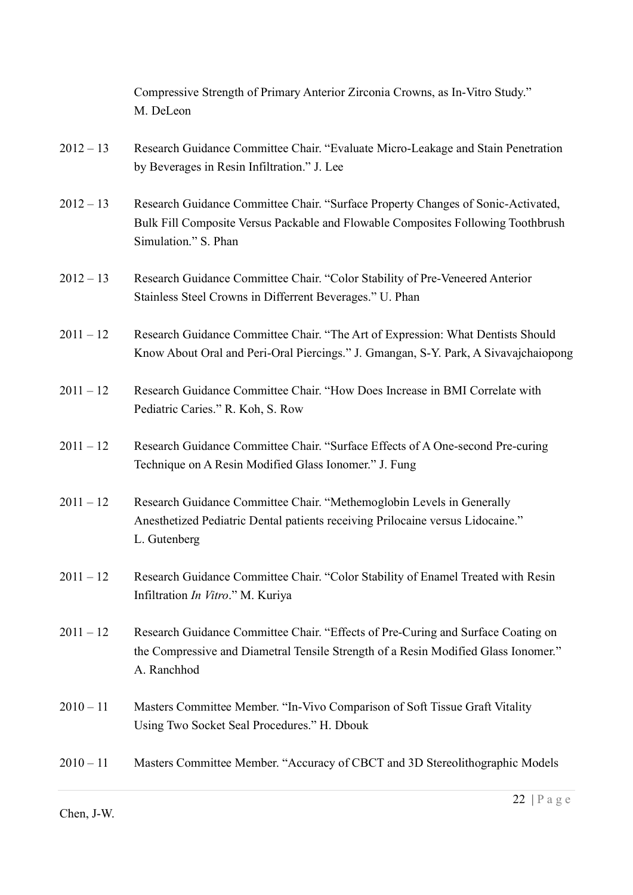|             | Compressive Strength of Primary Anterior Zirconia Crowns, as In-Vitro Study."<br>M. DeLeon                                                                                                   |
|-------------|----------------------------------------------------------------------------------------------------------------------------------------------------------------------------------------------|
| $2012 - 13$ | Research Guidance Committee Chair. "Evaluate Micro-Leakage and Stain Penetration<br>by Beverages in Resin Infiltration." J. Lee                                                              |
| $2012 - 13$ | Research Guidance Committee Chair. "Surface Property Changes of Sonic-Activated,<br>Bulk Fill Composite Versus Packable and Flowable Composites Following Toothbrush<br>Simulation." S. Phan |
| $2012 - 13$ | Research Guidance Committee Chair. "Color Stability of Pre-Veneered Anterior<br>Stainless Steel Crowns in Differrent Beverages." U. Phan                                                     |
| $2011 - 12$ | Research Guidance Committee Chair. "The Art of Expression: What Dentists Should<br>Know About Oral and Peri-Oral Piercings." J. Gmangan, S-Y. Park, A Sivavajchaiopong                       |
| $2011 - 12$ | Research Guidance Committee Chair. "How Does Increase in BMI Correlate with<br>Pediatric Caries." R. Koh, S. Row                                                                             |
| $2011 - 12$ | Research Guidance Committee Chair. "Surface Effects of A One-second Pre-curing<br>Technique on A Resin Modified Glass Ionomer." J. Fung                                                      |
| $2011 - 12$ | Research Guidance Committee Chair. "Methemoglobin Levels in Generally<br>Anesthetized Pediatric Dental patients receiving Prilocaine versus Lidocaine."<br>L. Gutenberg                      |
| $2011 - 12$ | Research Guidance Committee Chair. "Color Stability of Enamel Treated with Resin<br>Infiltration In Vitro." M. Kuriya                                                                        |
| $2011 - 12$ | Research Guidance Committee Chair. "Effects of Pre-Curing and Surface Coating on<br>the Compressive and Diametral Tensile Strength of a Resin Modified Glass Ionomer."<br>A. Ranchhod        |
| $2010 - 11$ | Masters Committee Member. "In-Vivo Comparison of Soft Tissue Graft Vitality<br>Using Two Socket Seal Procedures." H. Dbouk                                                                   |
| $2010 - 11$ | Masters Committee Member. "Accuracy of CBCT and 3D Stereolithographic Models                                                                                                                 |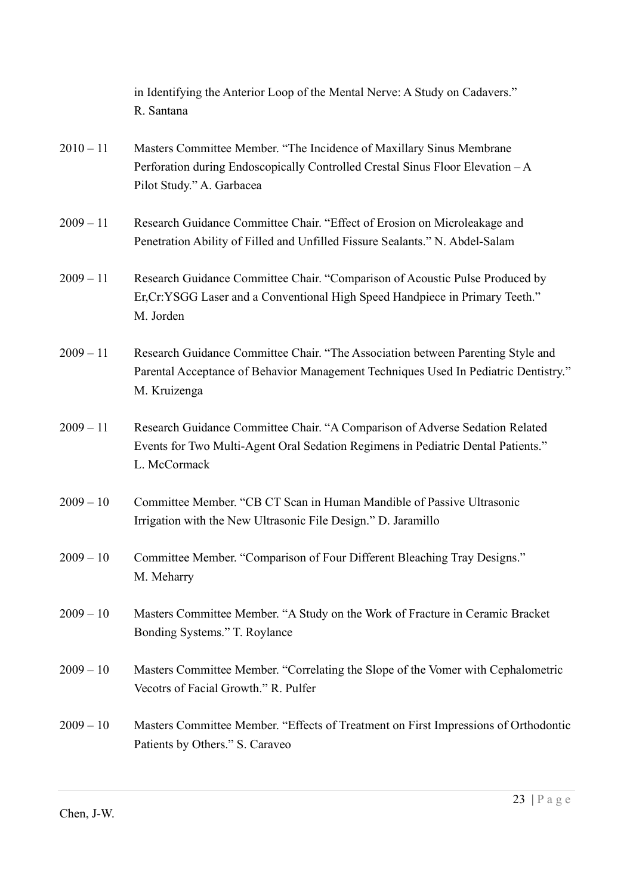|             | in Identifying the Anterior Loop of the Mental Nerve: A Study on Cadavers."<br>R. Santana                                                                                              |
|-------------|----------------------------------------------------------------------------------------------------------------------------------------------------------------------------------------|
| $2010 - 11$ | Masters Committee Member. "The Incidence of Maxillary Sinus Membrane<br>Perforation during Endoscopically Controlled Crestal Sinus Floor Elevation - A<br>Pilot Study." A. Garbacea    |
| $2009 - 11$ | Research Guidance Committee Chair. "Effect of Erosion on Microleakage and<br>Penetration Ability of Filled and Unfilled Fissure Sealants." N. Abdel-Salam                              |
| $2009 - 11$ | Research Guidance Committee Chair. "Comparison of Acoustic Pulse Produced by<br>Er, Cr: YSGG Laser and a Conventional High Speed Handpiece in Primary Teeth."<br>M. Jorden             |
| $2009 - 11$ | Research Guidance Committee Chair. "The Association between Parenting Style and<br>Parental Acceptance of Behavior Management Techniques Used In Pediatric Dentistry."<br>M. Kruizenga |
| $2009 - 11$ | Research Guidance Committee Chair. "A Comparison of Adverse Sedation Related<br>Events for Two Multi-Agent Oral Sedation Regimens in Pediatric Dental Patients."<br>L. McCormack       |
| $2009 - 10$ | Committee Member. "CB CT Scan in Human Mandible of Passive Ultrasonic<br>Irrigation with the New Ultrasonic File Design." D. Jaramillo                                                 |
| $2009 - 10$ | Committee Member. "Comparison of Four Different Bleaching Tray Designs."<br>M. Meharry                                                                                                 |
| $2009 - 10$ | Masters Committee Member. "A Study on the Work of Fracture in Ceramic Bracket<br>Bonding Systems." T. Roylance                                                                         |
| $2009 - 10$ | Masters Committee Member. "Correlating the Slope of the Vomer with Cephalometric<br>Vecotrs of Facial Growth." R. Pulfer                                                               |
| $2009 - 10$ | Masters Committee Member. "Effects of Treatment on First Impressions of Orthodontic<br>Patients by Others." S. Caraveo                                                                 |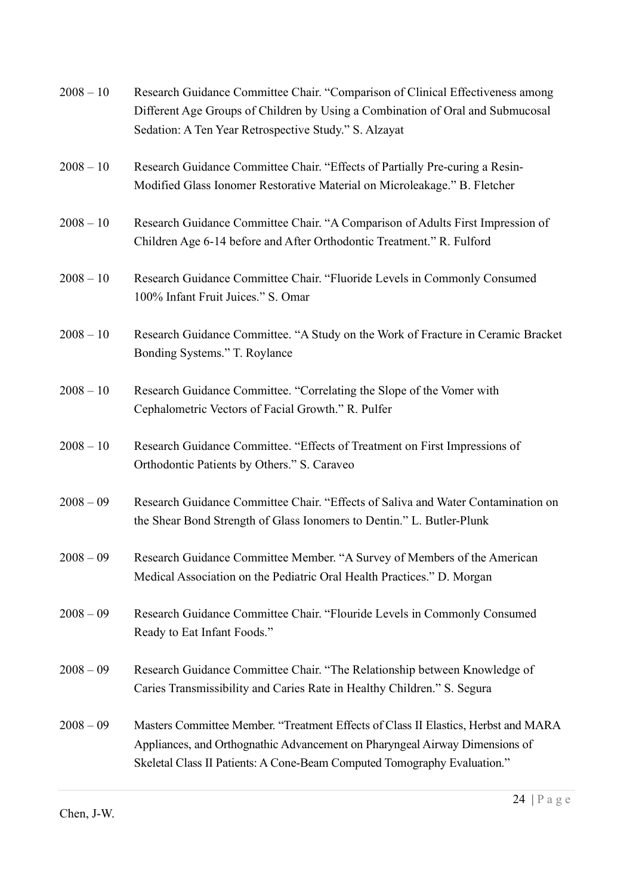| $2008 - 10$ | Research Guidance Committee Chair. "Comparison of Clinical Effectiveness among<br>Different Age Groups of Children by Using a Combination of Oral and Submucosal<br>Sedation: A Ten Year Retrospective Study." S. Alzayat                     |
|-------------|-----------------------------------------------------------------------------------------------------------------------------------------------------------------------------------------------------------------------------------------------|
| $2008 - 10$ | Research Guidance Committee Chair. "Effects of Partially Pre-curing a Resin-<br>Modified Glass Ionomer Restorative Material on Microleakage." B. Fletcher                                                                                     |
| $2008 - 10$ | Research Guidance Committee Chair. "A Comparison of Adults First Impression of<br>Children Age 6-14 before and After Orthodontic Treatment." R. Fulford                                                                                       |
| $2008 - 10$ | Research Guidance Committee Chair. "Fluoride Levels in Commonly Consumed<br>100% Infant Fruit Juices." S. Omar                                                                                                                                |
| $2008 - 10$ | Research Guidance Committee. "A Study on the Work of Fracture in Ceramic Bracket<br>Bonding Systems." T. Roylance                                                                                                                             |
| $2008 - 10$ | Research Guidance Committee. "Correlating the Slope of the Vomer with<br>Cephalometric Vectors of Facial Growth." R. Pulfer                                                                                                                   |
| $2008 - 10$ | Research Guidance Committee. "Effects of Treatment on First Impressions of<br>Orthodontic Patients by Others." S. Caraveo                                                                                                                     |
| $2008 - 09$ | Research Guidance Committee Chair. "Effects of Saliva and Water Contamination on<br>the Shear Bond Strength of Glass Ionomers to Dentin." L. Butler-Plunk                                                                                     |
| $2008 - 09$ | Research Guidance Committee Member. "A Survey of Members of the American<br>Medical Association on the Pediatric Oral Health Practices." D. Morgan                                                                                            |
| $2008 - 09$ | Research Guidance Committee Chair. "Flouride Levels in Commonly Consumed<br>Ready to Eat Infant Foods."                                                                                                                                       |
| $2008 - 09$ | Research Guidance Committee Chair. "The Relationship between Knowledge of<br>Caries Transmissibility and Caries Rate in Healthy Children." S. Segura                                                                                          |
| $2008 - 09$ | Masters Committee Member. "Treatment Effects of Class II Elastics, Herbst and MARA<br>Appliances, and Orthognathic Advancement on Pharyngeal Airway Dimensions of<br>Skeletal Class II Patients: A Cone-Beam Computed Tomography Evaluation." |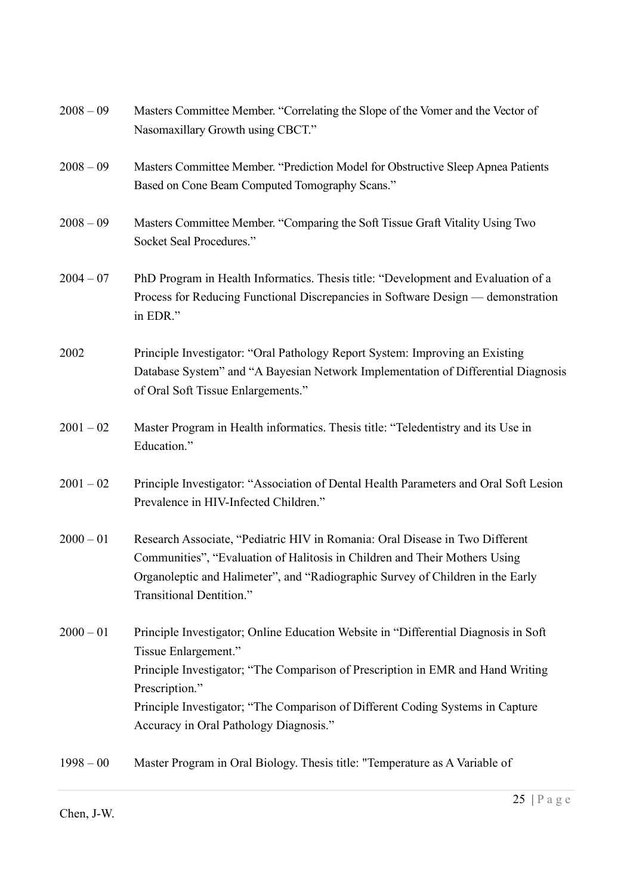| $2008 - 09$ | Masters Committee Member. "Correlating the Slope of the Vomer and the Vector of<br>Nasomaxillary Growth using CBCT."                                                                                                                                                                                                                         |
|-------------|----------------------------------------------------------------------------------------------------------------------------------------------------------------------------------------------------------------------------------------------------------------------------------------------------------------------------------------------|
| $2008 - 09$ | Masters Committee Member. "Prediction Model for Obstructive Sleep Apnea Patients<br>Based on Cone Beam Computed Tomography Scans."                                                                                                                                                                                                           |
| $2008 - 09$ | Masters Committee Member. "Comparing the Soft Tissue Graft Vitality Using Two<br>Socket Seal Procedures."                                                                                                                                                                                                                                    |
| $2004 - 07$ | PhD Program in Health Informatics. Thesis title: "Development and Evaluation of a<br>Process for Reducing Functional Discrepancies in Software Design — demonstration<br>in EDR."                                                                                                                                                            |
| 2002        | Principle Investigator: "Oral Pathology Report System: Improving an Existing<br>Database System" and "A Bayesian Network Implementation of Differential Diagnosis<br>of Oral Soft Tissue Enlargements."                                                                                                                                      |
| $2001 - 02$ | Master Program in Health informatics. Thesis title: "Teledentistry and its Use in<br>Education."                                                                                                                                                                                                                                             |
| $2001 - 02$ | Principle Investigator: "Association of Dental Health Parameters and Oral Soft Lesion<br>Prevalence in HIV-Infected Children."                                                                                                                                                                                                               |
| $2000 - 01$ | Research Associate, "Pediatric HIV in Romania: Oral Disease in Two Different<br>Communities", "Evaluation of Halitosis in Children and Their Mothers Using<br>Organoleptic and Halimeter", and "Radiographic Survey of Children in the Early<br>Transitional Dentition."                                                                     |
| $2000 - 01$ | Principle Investigator; Online Education Website in "Differential Diagnosis in Soft<br>Tissue Enlargement."<br>Principle Investigator; "The Comparison of Prescription in EMR and Hand Writing<br>Prescription."<br>Principle Investigator; "The Comparison of Different Coding Systems in Capture<br>Accuracy in Oral Pathology Diagnosis." |
| $1998 - 00$ | Master Program in Oral Biology. Thesis title: "Temperature as A Variable of                                                                                                                                                                                                                                                                  |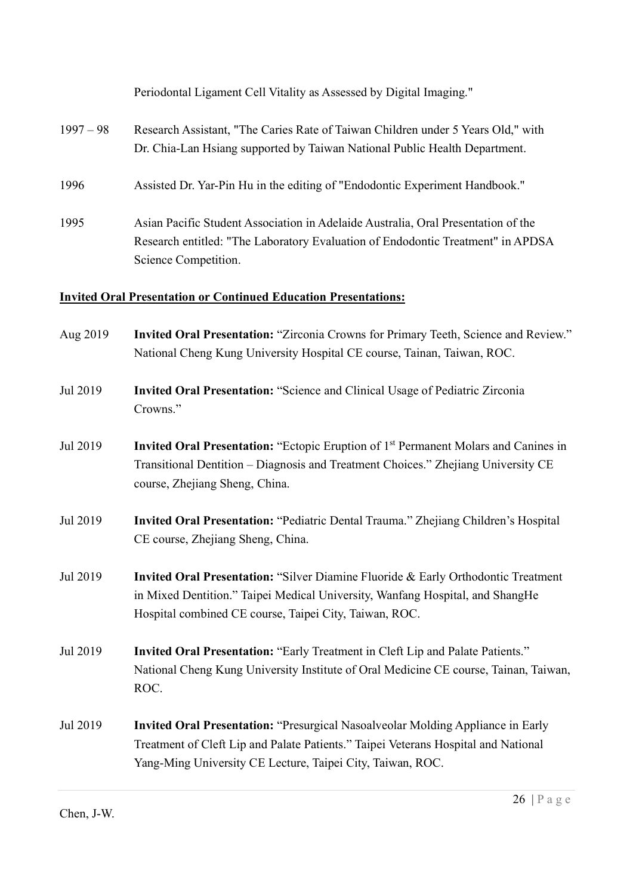|             | Periodontal Ligament Cell Vitality as Assessed by Digital Imaging."                                                                                                                          |
|-------------|----------------------------------------------------------------------------------------------------------------------------------------------------------------------------------------------|
| $1997 - 98$ | Research Assistant, "The Caries Rate of Taiwan Children under 5 Years Old," with<br>Dr. Chia-Lan Hsiang supported by Taiwan National Public Health Department.                               |
| 1996        | Assisted Dr. Yar-Pin Hu in the editing of "Endodontic Experiment Handbook."                                                                                                                  |
| 1995        | Asian Pacific Student Association in Adelaide Australia, Oral Presentation of the<br>Research entitled: "The Laboratory Evaluation of Endodontic Treatment" in APDSA<br>Science Competition. |

# Invited Oral Presentation or Continued Education Presentations:

| Aug 2019 | Invited Oral Presentation: "Zirconia Crowns for Primary Teeth, Science and Review."<br>National Cheng Kung University Hospital CE course, Tainan, Taiwan, ROC.                                                                             |
|----------|--------------------------------------------------------------------------------------------------------------------------------------------------------------------------------------------------------------------------------------------|
| Jul 2019 | Invited Oral Presentation: "Science and Clinical Usage of Pediatric Zirconia<br>Crowns."                                                                                                                                                   |
| Jul 2019 | Invited Oral Presentation: "Ectopic Eruption of 1 <sup>st</sup> Permanent Molars and Canines in<br>Transitional Dentition - Diagnosis and Treatment Choices." Zhejiang University CE<br>course, Zhejiang Sheng, China.                     |
| Jul 2019 | Invited Oral Presentation: "Pediatric Dental Trauma." Zhejiang Children's Hospital<br>CE course, Zhejiang Sheng, China.                                                                                                                    |
| Jul 2019 | <b>Invited Oral Presentation: "Silver Diamine Fluoride &amp; Early Orthodontic Treatment</b><br>in Mixed Dentition." Taipei Medical University, Wanfang Hospital, and ShangHe<br>Hospital combined CE course, Taipei City, Taiwan, ROC.    |
| Jul 2019 | Invited Oral Presentation: "Early Treatment in Cleft Lip and Palate Patients."<br>National Cheng Kung University Institute of Oral Medicine CE course, Tainan, Taiwan,<br>ROC.                                                             |
| Jul 2019 | <b>Invited Oral Presentation: "Presurgical Nasoalveolar Molding Appliance in Early</b><br>Treatment of Cleft Lip and Palate Patients." Taipei Veterans Hospital and National<br>Yang-Ming University CE Lecture, Taipei City, Taiwan, ROC. |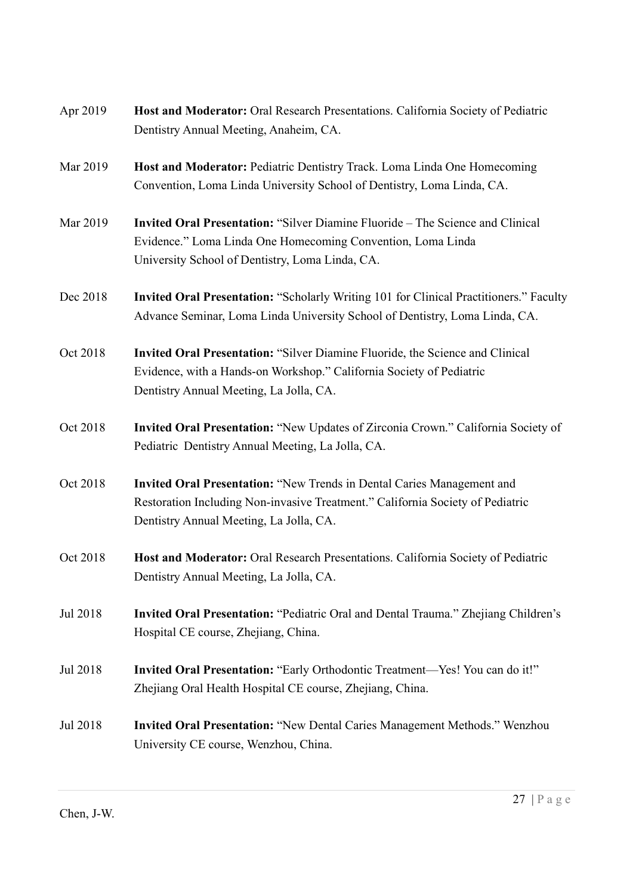| Apr 2019 | Host and Moderator: Oral Research Presentations. California Society of Pediatric<br>Dentistry Annual Meeting, Anaheim, CA.                                                                              |
|----------|---------------------------------------------------------------------------------------------------------------------------------------------------------------------------------------------------------|
| Mar 2019 | Host and Moderator: Pediatric Dentistry Track. Loma Linda One Homecoming<br>Convention, Loma Linda University School of Dentistry, Loma Linda, CA.                                                      |
| Mar 2019 | <b>Invited Oral Presentation: "Silver Diamine Fluoride – The Science and Clinical</b><br>Evidence." Loma Linda One Homecoming Convention, Loma Linda<br>University School of Dentistry, Loma Linda, CA. |
| Dec 2018 | Invited Oral Presentation: "Scholarly Writing 101 for Clinical Practitioners." Faculty<br>Advance Seminar, Loma Linda University School of Dentistry, Loma Linda, CA.                                   |
| Oct 2018 | Invited Oral Presentation: "Silver Diamine Fluoride, the Science and Clinical<br>Evidence, with a Hands-on Workshop." California Society of Pediatric<br>Dentistry Annual Meeting, La Jolla, CA.        |
| Oct 2018 | Invited Oral Presentation: "New Updates of Zirconia Crown." California Society of<br>Pediatric Dentistry Annual Meeting, La Jolla, CA.                                                                  |
| Oct 2018 | Invited Oral Presentation: "New Trends in Dental Caries Management and<br>Restoration Including Non-invasive Treatment." California Society of Pediatric<br>Dentistry Annual Meeting, La Jolla, CA.     |
| Oct 2018 | Host and Moderator: Oral Research Presentations. California Society of Pediatric<br>Dentistry Annual Meeting, La Jolla, CA.                                                                             |
| Jul 2018 | Invited Oral Presentation: "Pediatric Oral and Dental Trauma." Zhejiang Children's<br>Hospital CE course, Zhejiang, China.                                                                              |
| Jul 2018 | Invited Oral Presentation: "Early Orthodontic Treatment—Yes! You can do it!"<br>Zhejiang Oral Health Hospital CE course, Zhejiang, China.                                                               |
| Jul 2018 | <b>Invited Oral Presentation: "New Dental Caries Management Methods." Wenzhou</b><br>University CE course, Wenzhou, China.                                                                              |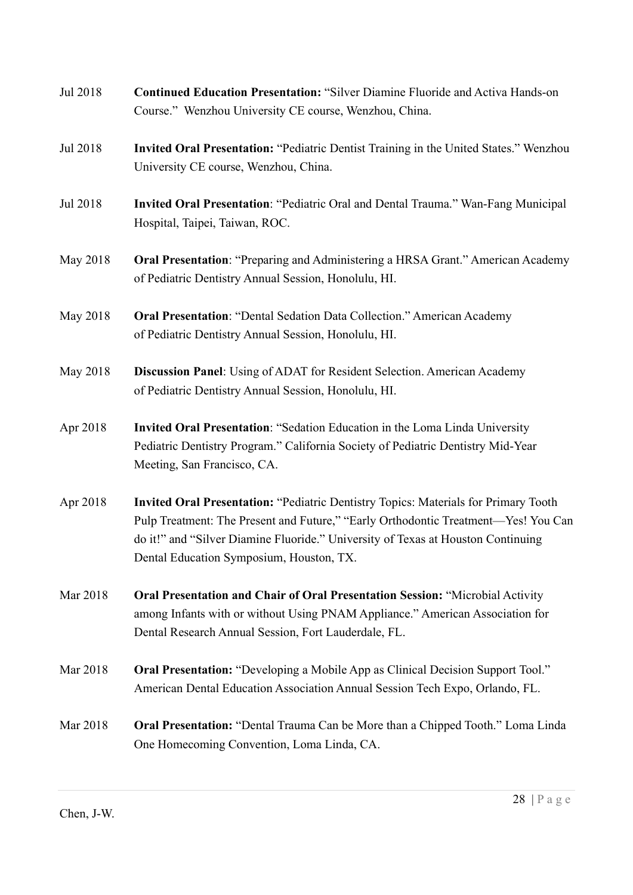| Jul 2018 | <b>Continued Education Presentation: "Silver Diamine Fluoride and Activa Hands-on</b>                                                                                                                                                                                                                            |
|----------|------------------------------------------------------------------------------------------------------------------------------------------------------------------------------------------------------------------------------------------------------------------------------------------------------------------|
|          | Course." Wenzhou University CE course, Wenzhou, China.                                                                                                                                                                                                                                                           |
| Jul 2018 | Invited Oral Presentation: "Pediatric Dentist Training in the United States." Wenzhou<br>University CE course, Wenzhou, China.                                                                                                                                                                                   |
| Jul 2018 | Invited Oral Presentation: "Pediatric Oral and Dental Trauma." Wan-Fang Municipal<br>Hospital, Taipei, Taiwan, ROC.                                                                                                                                                                                              |
| May 2018 | Oral Presentation: "Preparing and Administering a HRSA Grant." American Academy<br>of Pediatric Dentistry Annual Session, Honolulu, HI.                                                                                                                                                                          |
| May 2018 | <b>Oral Presentation: "Dental Sedation Data Collection." American Academy</b><br>of Pediatric Dentistry Annual Session, Honolulu, HI.                                                                                                                                                                            |
| May 2018 | Discussion Panel: Using of ADAT for Resident Selection. American Academy<br>of Pediatric Dentistry Annual Session, Honolulu, HI.                                                                                                                                                                                 |
| Apr 2018 | Invited Oral Presentation: "Sedation Education in the Loma Linda University<br>Pediatric Dentistry Program." California Society of Pediatric Dentistry Mid-Year<br>Meeting, San Francisco, CA.                                                                                                                   |
| Apr 2018 | <b>Invited Oral Presentation: "Pediatric Dentistry Topics: Materials for Primary Tooth</b><br>Pulp Treatment: The Present and Future," "Early Orthodontic Treatment-Yes! You Can<br>do it!" and "Silver Diamine Fluoride." University of Texas at Houston Continuing<br>Dental Education Symposium, Houston, TX. |
| Mar 2018 | <b>Oral Presentation and Chair of Oral Presentation Session: "Microbial Activity</b><br>among Infants with or without Using PNAM Appliance." American Association for<br>Dental Research Annual Session, Fort Lauderdale, FL.                                                                                    |
| Mar 2018 | <b>Oral Presentation:</b> "Developing a Mobile App as Clinical Decision Support Tool."<br>American Dental Education Association Annual Session Tech Expo, Orlando, FL.                                                                                                                                           |
| Mar 2018 | <b>Oral Presentation:</b> "Dental Trauma Can be More than a Chipped Tooth." Loma Linda<br>One Homecoming Convention, Loma Linda, CA.                                                                                                                                                                             |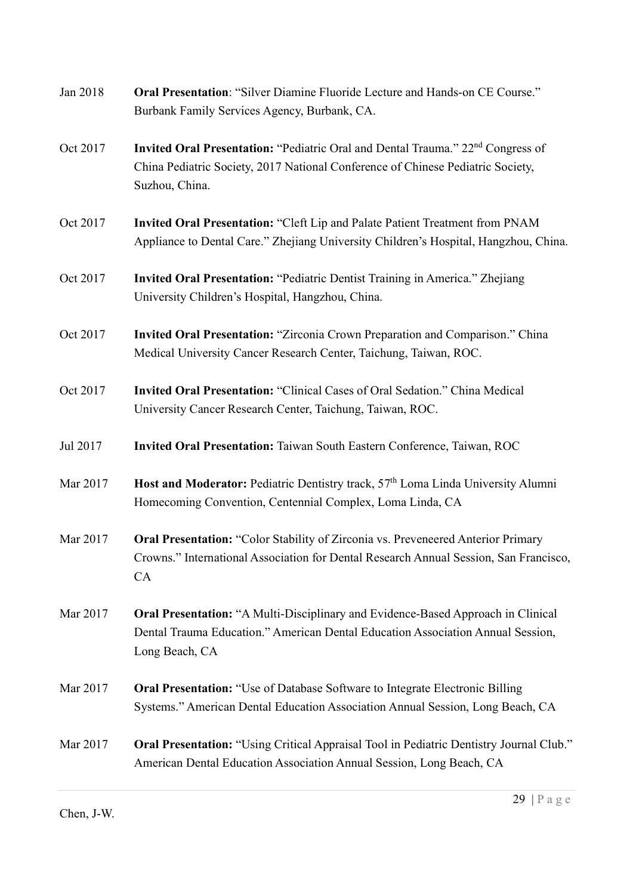| Jan 2018 | Oral Presentation: "Silver Diamine Fluoride Lecture and Hands-on CE Course."<br>Burbank Family Services Agency, Burbank, CA.                                                                     |
|----------|--------------------------------------------------------------------------------------------------------------------------------------------------------------------------------------------------|
| Oct 2017 | Invited Oral Presentation: "Pediatric Oral and Dental Trauma." 22 <sup>nd</sup> Congress of<br>China Pediatric Society, 2017 National Conference of Chinese Pediatric Society,<br>Suzhou, China. |
| Oct 2017 | Invited Oral Presentation: "Cleft Lip and Palate Patient Treatment from PNAM<br>Appliance to Dental Care." Zhejiang University Children's Hospital, Hangzhou, China.                             |
| Oct 2017 | Invited Oral Presentation: "Pediatric Dentist Training in America." Zhejiang<br>University Children's Hospital, Hangzhou, China.                                                                 |
| Oct 2017 | Invited Oral Presentation: "Zirconia Crown Preparation and Comparison." China<br>Medical University Cancer Research Center, Taichung, Taiwan, ROC.                                               |
| Oct 2017 | Invited Oral Presentation: "Clinical Cases of Oral Sedation." China Medical<br>University Cancer Research Center, Taichung, Taiwan, ROC.                                                         |
| Jul 2017 | Invited Oral Presentation: Taiwan South Eastern Conference, Taiwan, ROC                                                                                                                          |
| Mar 2017 | Host and Moderator: Pediatric Dentistry track, 57 <sup>th</sup> Loma Linda University Alumni<br>Homecoming Convention, Centennial Complex, Loma Linda, CA                                        |
| Mar 2017 | <b>Oral Presentation:</b> "Color Stability of Zirconia vs. Preveneered Anterior Primary<br>Crowns." International Association for Dental Research Annual Session, San Francisco,<br>CA           |
| Mar 2017 | <b>Oral Presentation:</b> "A Multi-Disciplinary and Evidence-Based Approach in Clinical<br>Dental Trauma Education." American Dental Education Association Annual Session,<br>Long Beach, CA     |
| Mar 2017 | <b>Oral Presentation:</b> "Use of Database Software to Integrate Electronic Billing<br>Systems." American Dental Education Association Annual Session, Long Beach, CA                            |
| Mar 2017 | <b>Oral Presentation:</b> "Using Critical Appraisal Tool in Pediatric Dentistry Journal Club."<br>American Dental Education Association Annual Session, Long Beach, CA                           |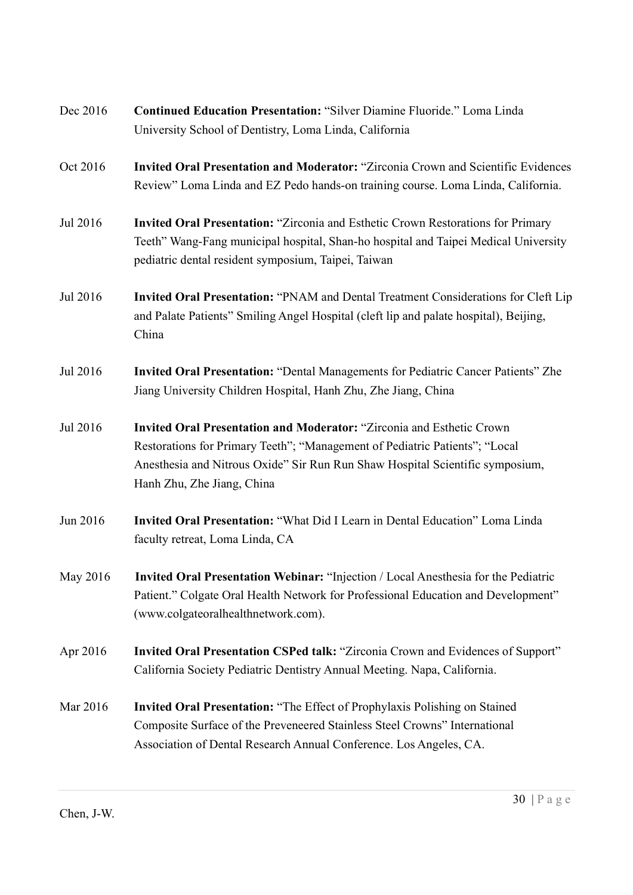| Dec 2016 | <b>Continued Education Presentation: "Silver Diamine Fluoride." Loma Linda</b><br>University School of Dentistry, Loma Linda, California                                                                                                                                   |
|----------|----------------------------------------------------------------------------------------------------------------------------------------------------------------------------------------------------------------------------------------------------------------------------|
| Oct 2016 | Invited Oral Presentation and Moderator: "Zirconia Crown and Scientific Evidences<br>Review" Loma Linda and EZ Pedo hands-on training course. Loma Linda, California.                                                                                                      |
| Jul 2016 | <b>Invited Oral Presentation:</b> "Zirconia and Esthetic Crown Restorations for Primary<br>Teeth" Wang-Fang municipal hospital, Shan-ho hospital and Taipei Medical University<br>pediatric dental resident symposium, Taipei, Taiwan                                      |
| Jul 2016 | Invited Oral Presentation: "PNAM and Dental Treatment Considerations for Cleft Lip<br>and Palate Patients" Smiling Angel Hospital (cleft lip and palate hospital), Beijing,<br>China                                                                                       |
| Jul 2016 | <b>Invited Oral Presentation: "Dental Managements for Pediatric Cancer Patients" Zhe</b><br>Jiang University Children Hospital, Hanh Zhu, Zhe Jiang, China                                                                                                                 |
| Jul 2016 | <b>Invited Oral Presentation and Moderator: "Zirconia and Esthetic Crown</b><br>Restorations for Primary Teeth"; "Management of Pediatric Patients"; "Local<br>Anesthesia and Nitrous Oxide" Sir Run Run Shaw Hospital Scientific symposium,<br>Hanh Zhu, Zhe Jiang, China |
| Jun 2016 | <b>Invited Oral Presentation:</b> "What Did I Learn in Dental Education" Loma Linda<br>faculty retreat, Loma Linda, CA                                                                                                                                                     |
| May 2016 | Invited Oral Presentation Webinar: "Injection / Local Anesthesia for the Pediatric<br>Patient." Colgate Oral Health Network for Professional Education and Development"<br>(www.colgateoralhealthnetwork.com).                                                             |
| Apr 2016 | Invited Oral Presentation CSPed talk: "Zirconia Crown and Evidences of Support"<br>California Society Pediatric Dentistry Annual Meeting. Napa, California.                                                                                                                |
| Mar 2016 | <b>Invited Oral Presentation: "The Effect of Prophylaxis Polishing on Stained</b><br>Composite Surface of the Preveneered Stainless Steel Crowns" International<br>Association of Dental Research Annual Conference. Los Angeles, CA.                                      |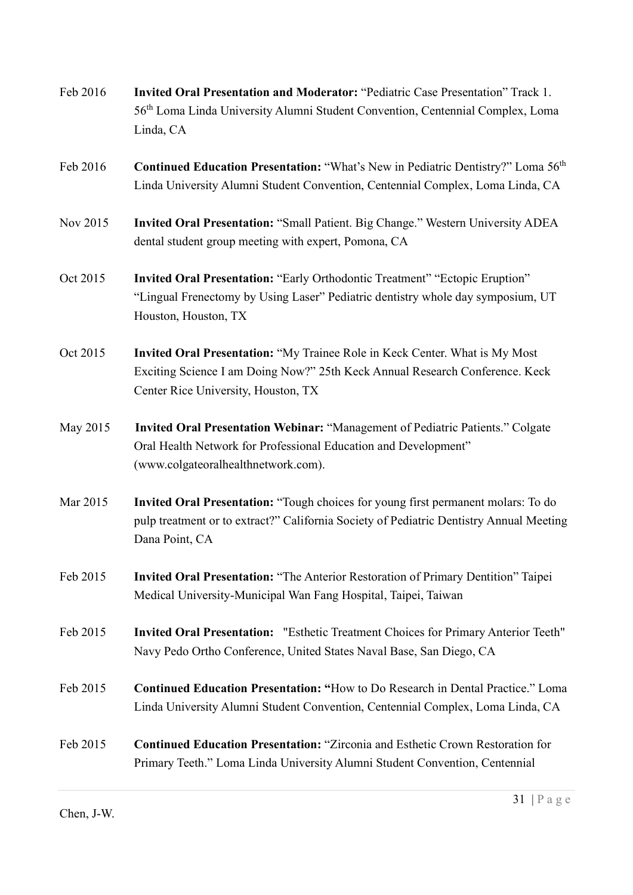- Feb 2016 Invited Oral Presentation and Moderator: "Pediatric Case Presentation" Track 1. 56th Loma Linda University Alumni Student Convention, Centennial Complex, Loma Linda, CA
- Feb 2016 Continued Education Presentation: "What's New in Pediatric Dentistry?" Loma 56<sup>th</sup> Linda University Alumni Student Convention, Centennial Complex, Loma Linda, CA
- Nov 2015 Invited Oral Presentation: "Small Patient. Big Change." Western University ADEA dental student group meeting with expert, Pomona, CA
- Oct 2015 Invited Oral Presentation: "Early Orthodontic Treatment" "Ectopic Eruption" "Lingual Frenectomy by Using Laser" Pediatric dentistry whole day symposium, UT Houston, Houston, TX
- Oct 2015 Invited Oral Presentation: "My Trainee Role in Keck Center. What is My Most Exciting Science I am Doing Now?" 25th Keck Annual Research Conference. Keck Center Rice University, Houston, TX
- May 2015 Invited Oral Presentation Webinar: "Management of Pediatric Patients." Colgate Oral Health Network for Professional Education and Development" (www.colgateoralhealthnetwork.com).
- Mar 2015 Invited Oral Presentation: "Tough choices for young first permanent molars: To do pulp treatment or to extract?" California Society of Pediatric Dentistry Annual Meeting Dana Point, CA
- Feb 2015 Invited Oral Presentation: "The Anterior Restoration of Primary Dentition" Taipei Medical University-Municipal Wan Fang Hospital, Taipei, Taiwan
- Feb 2015 Invited Oral Presentation: "Esthetic Treatment Choices for Primary Anterior Teeth" Navy Pedo Ortho Conference, United States Naval Base, San Diego, CA
- Feb 2015 Continued Education Presentation: "How to Do Research in Dental Practice." Loma Linda University Alumni Student Convention, Centennial Complex, Loma Linda, CA
- Feb 2015 Continued Education Presentation: "Zirconia and Esthetic Crown Restoration for Primary Teeth." Loma Linda University Alumni Student Convention, Centennial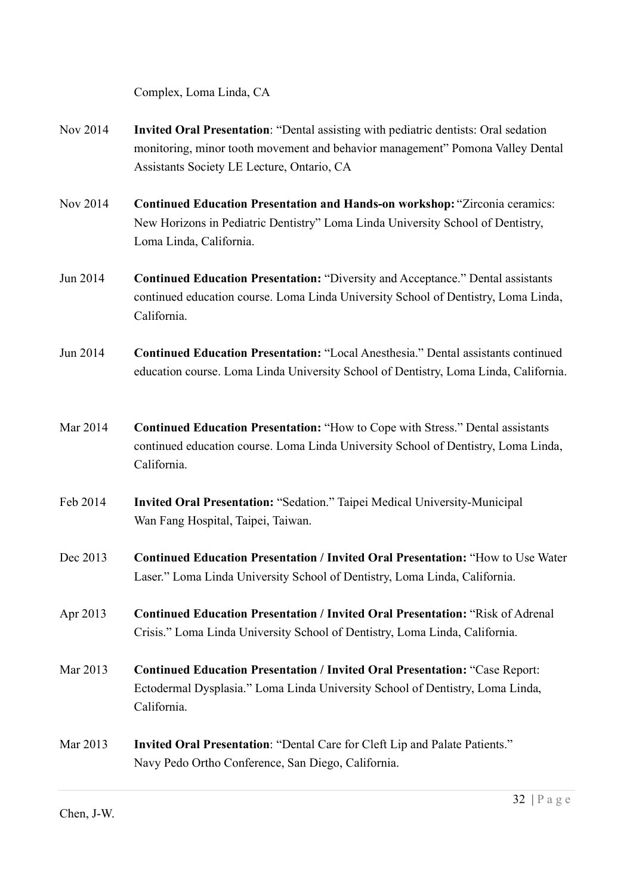Complex, Loma Linda, CA

- Nov 2014 Invited Oral Presentation: "Dental assisting with pediatric dentists: Oral sedation monitoring, minor tooth movement and behavior management" Pomona Valley Dental Assistants Society LE Lecture, Ontario, CA
- Nov 2014 Continued Education Presentation and Hands-on workshop: "Zirconia ceramics: New Horizons in Pediatric Dentistry" Loma Linda University School of Dentistry, Loma Linda, California.
- Jun 2014 Continued Education Presentation: "Diversity and Acceptance." Dental assistants continued education course. Loma Linda University School of Dentistry, Loma Linda, California.
- Jun 2014 Continued Education Presentation: "Local Anesthesia." Dental assistants continued education course. Loma Linda University School of Dentistry, Loma Linda, California.
- Mar 2014 Continued Education Presentation: "How to Cope with Stress." Dental assistants continued education course. Loma Linda University School of Dentistry, Loma Linda, California.
- Feb 2014 Invited Oral Presentation: "Sedation." Taipei Medical University-Municipal Wan Fang Hospital, Taipei, Taiwan.
- Dec 2013 Continued Education Presentation / Invited Oral Presentation: "How to Use Water Laser." Loma Linda University School of Dentistry, Loma Linda, California.
- Apr 2013 Continued Education Presentation / Invited Oral Presentation: "Risk of Adrenal Crisis." Loma Linda University School of Dentistry, Loma Linda, California.
- Mar 2013 Continued Education Presentation / Invited Oral Presentation: "Case Report: Ectodermal Dysplasia." Loma Linda University School of Dentistry, Loma Linda, California.
- Mar 2013 Invited Oral Presentation: "Dental Care for Cleft Lip and Palate Patients." Navy Pedo Ortho Conference, San Diego, California.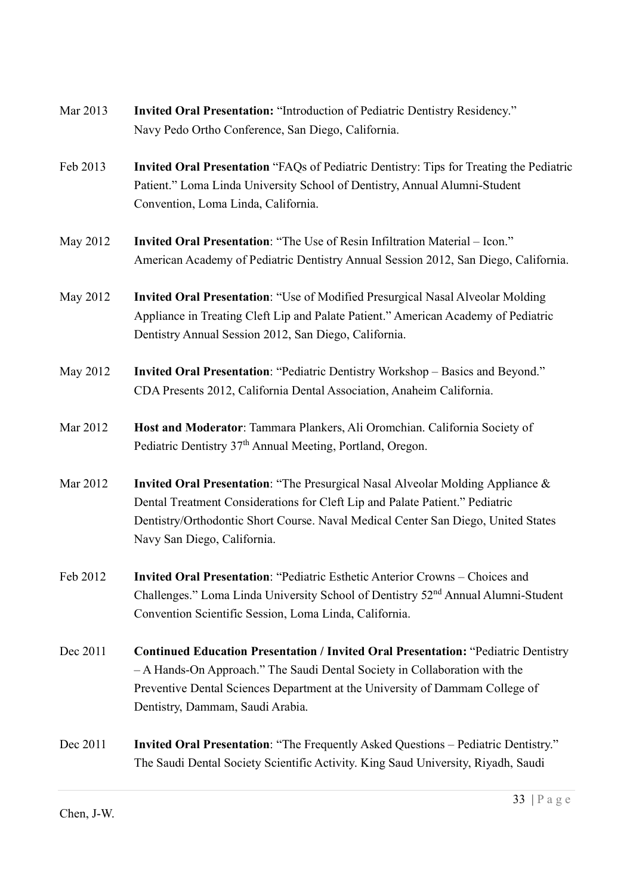- Mar 2013 **Invited Oral Presentation:** "Introduction of Pediatric Dentistry Residency." Navy Pedo Ortho Conference, San Diego, California.
- Feb 2013 Invited Oral Presentation "FAQs of Pediatric Dentistry: Tips for Treating the Pediatric Patient." Loma Linda University School of Dentistry, Annual Alumni-Student Convention, Loma Linda, California.
- May 2012 Invited Oral Presentation: "The Use of Resin Infiltration Material Icon." American Academy of Pediatric Dentistry Annual Session 2012, San Diego, California.
- May 2012 Invited Oral Presentation: "Use of Modified Presurgical Nasal Alveolar Molding Appliance in Treating Cleft Lip and Palate Patient." American Academy of Pediatric Dentistry Annual Session 2012, San Diego, California.
- May 2012 Invited Oral Presentation: "Pediatric Dentistry Workshop Basics and Beyond." CDA Presents 2012, California Dental Association, Anaheim California.
- Mar 2012 Host and Moderator: Tammara Plankers, Ali Oromchian. California Society of Pediatric Dentistry 37<sup>th</sup> Annual Meeting, Portland, Oregon.
- Mar 2012 Invited Oral Presentation: "The Presurgical Nasal Alveolar Molding Appliance & Dental Treatment Considerations for Cleft Lip and Palate Patient." Pediatric Dentistry/Orthodontic Short Course. Naval Medical Center San Diego, United States Navy San Diego, California.
- Feb 2012 Invited Oral Presentation: "Pediatric Esthetic Anterior Crowns Choices and Challenges." Loma Linda University School of Dentistry 52nd Annual Alumni-Student Convention Scientific Session, Loma Linda, California.
- Dec 2011 Continued Education Presentation / Invited Oral Presentation: "Pediatric Dentistry – A Hands-On Approach." The Saudi Dental Society in Collaboration with the Preventive Dental Sciences Department at the University of Dammam College of Dentistry, Dammam, Saudi Arabia.
- Dec 2011 Invited Oral Presentation: "The Frequently Asked Questions Pediatric Dentistry." The Saudi Dental Society Scientific Activity. King Saud University, Riyadh, Saudi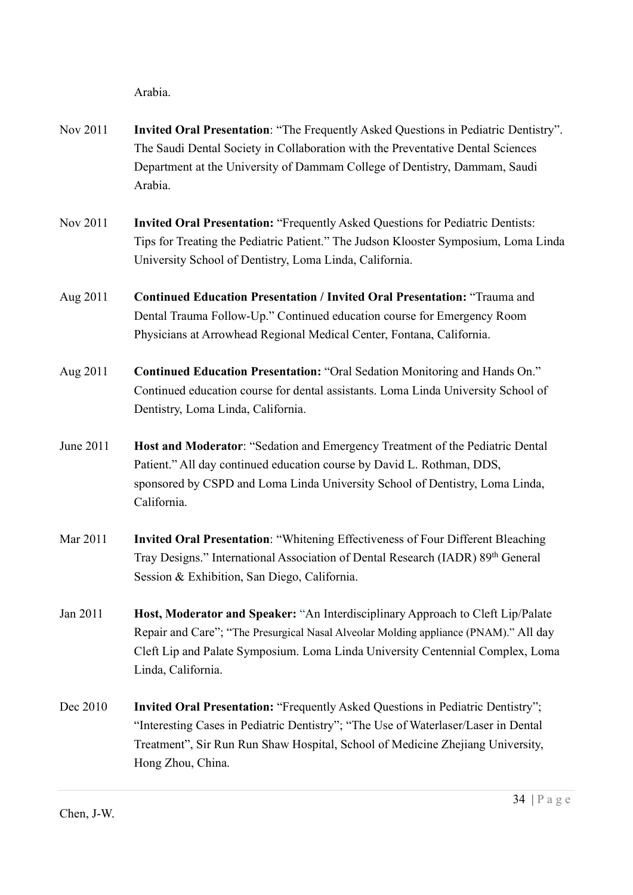Arabia.

- Nov 2011 Invited Oral Presentation: "The Frequently Asked Questions in Pediatric Dentistry". The Saudi Dental Society in Collaboration with the Preventative Dental Sciences Department at the University of Dammam College of Dentistry, Dammam, Saudi Arabia.
- Nov 2011 **Invited Oral Presentation:** "Frequently Asked Questions for Pediatric Dentists: Tips for Treating the Pediatric Patient." The Judson Klooster Symposium, Loma Linda University School of Dentistry, Loma Linda, California.
- Aug 2011 Continued Education Presentation / Invited Oral Presentation: "Trauma and Dental Trauma Follow-Up." Continued education course for Emergency Room Physicians at Arrowhead Regional Medical Center, Fontana, California.
- Aug 2011 Continued Education Presentation: "Oral Sedation Monitoring and Hands On." Continued education course for dental assistants. Loma Linda University School of Dentistry, Loma Linda, California.
- June 2011 Host and Moderator: "Sedation and Emergency Treatment of the Pediatric Dental Patient." All day continued education course by David L. Rothman, DDS, sponsored by CSPD and Loma Linda University School of Dentistry, Loma Linda, California.
- Mar 2011 Invited Oral Presentation: "Whitening Effectiveness of Four Different Bleaching Tray Designs." International Association of Dental Research (IADR) 89<sup>th</sup> General Session & Exhibition, San Diego, California.
- Jan 2011 **Host, Moderator and Speaker:** "An Interdisciplinary Approach to Cleft Lip/Palate Repair and Care"; "The Presurgical Nasal Alveolar Molding appliance (PNAM)." All day Cleft Lip and Palate Symposium. Loma Linda University Centennial Complex, Loma Linda, California.
- Dec 2010 Invited Oral Presentation: "Frequently Asked Questions in Pediatric Dentistry"; "Interesting Cases in Pediatric Dentistry"; "The Use of Waterlaser/Laser in Dental Treatment", Sir Run Run Shaw Hospital, School of Medicine Zhejiang University, Hong Zhou, China.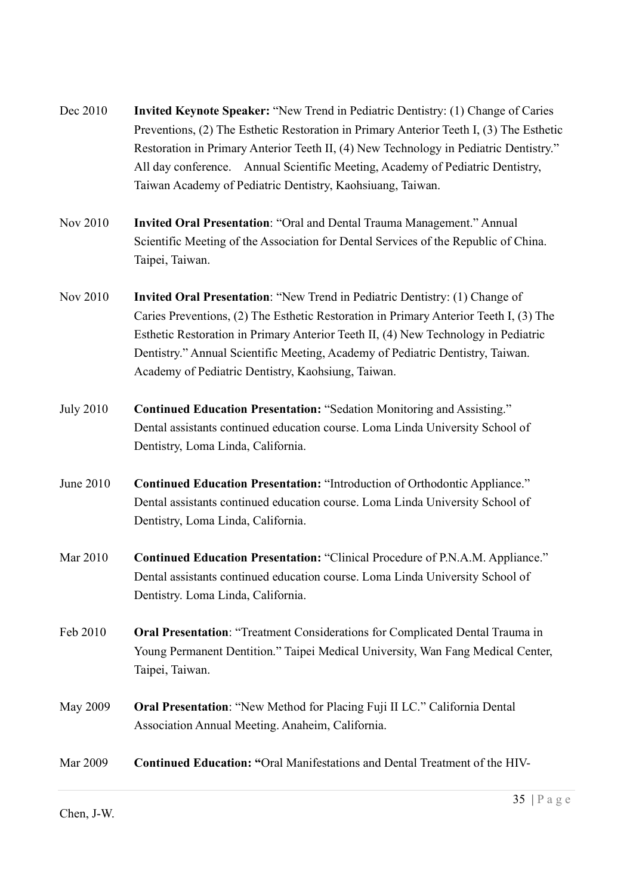- Dec 2010 Invited Keynote Speaker: "New Trend in Pediatric Dentistry: (1) Change of Caries Preventions, (2) The Esthetic Restoration in Primary Anterior Teeth I, (3) The Esthetic Restoration in Primary Anterior Teeth II, (4) New Technology in Pediatric Dentistry." All day conference. Annual Scientific Meeting, Academy of Pediatric Dentistry, Taiwan Academy of Pediatric Dentistry, Kaohsiuang, Taiwan.
- Nov 2010 Invited Oral Presentation: "Oral and Dental Trauma Management." Annual Scientific Meeting of the Association for Dental Services of the Republic of China. Taipei, Taiwan.
- Nov 2010 Invited Oral Presentation: "New Trend in Pediatric Dentistry: (1) Change of Caries Preventions, (2) The Esthetic Restoration in Primary Anterior Teeth I, (3) The Esthetic Restoration in Primary Anterior Teeth II, (4) New Technology in Pediatric Dentistry." Annual Scientific Meeting, Academy of Pediatric Dentistry, Taiwan. Academy of Pediatric Dentistry, Kaohsiung, Taiwan.
- July 2010 Continued Education Presentation: "Sedation Monitoring and Assisting." Dental assistants continued education course. Loma Linda University School of Dentistry, Loma Linda, California.
- June 2010 Continued Education Presentation: "Introduction of Orthodontic Appliance." Dental assistants continued education course. Loma Linda University School of Dentistry, Loma Linda, California.
- Mar 2010 Continued Education Presentation: "Clinical Procedure of P.N.A.M. Appliance." Dental assistants continued education course. Loma Linda University School of Dentistry. Loma Linda, California.
- Feb 2010 **Oral Presentation:** "Treatment Considerations for Complicated Dental Trauma in Young Permanent Dentition." Taipei Medical University, Wan Fang Medical Center, Taipei, Taiwan.
- May 2009 Oral Presentation: "New Method for Placing Fuji II LC." California Dental Association Annual Meeting. Anaheim, California.
- Mar 2009 Continued Education: "Oral Manifestations and Dental Treatment of the HIV-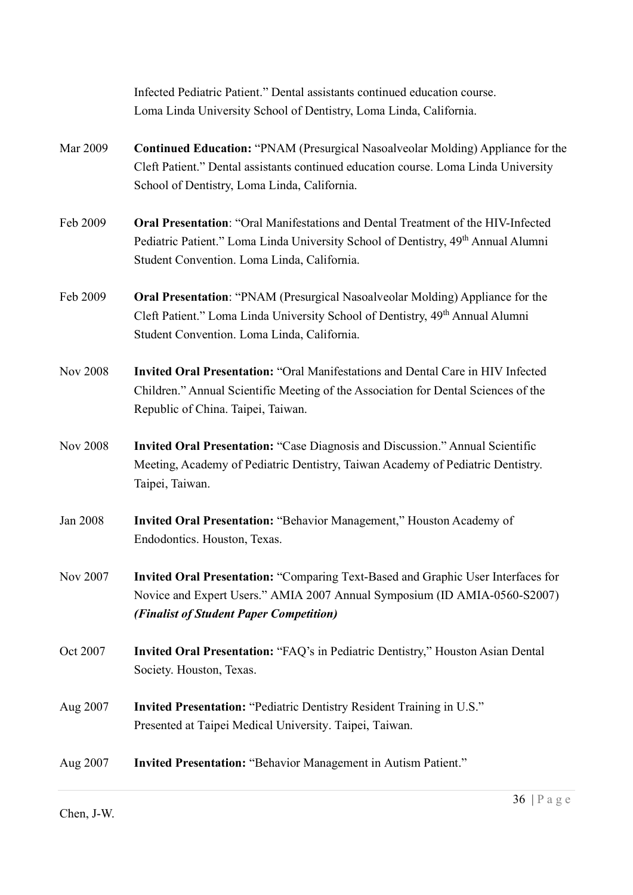|                 | Infected Pediatric Patient." Dental assistants continued education course.                                                                                                                                           |
|-----------------|----------------------------------------------------------------------------------------------------------------------------------------------------------------------------------------------------------------------|
|                 | Loma Linda University School of Dentistry, Loma Linda, California.                                                                                                                                                   |
| Mar 2009        | <b>Continued Education: "PNAM (Presurgical Nasoalveolar Molding) Appliance for the</b><br>Cleft Patient." Dental assistants continued education course. Loma Linda University                                        |
|                 | School of Dentistry, Loma Linda, California.                                                                                                                                                                         |
| Feb 2009        | <b>Oral Presentation: "Oral Manifestations and Dental Treatment of the HIV-Infected</b><br>Pediatric Patient." Loma Linda University School of Dentistry, 49 <sup>th</sup> Annual Alumni                             |
|                 | Student Convention. Loma Linda, California.                                                                                                                                                                          |
| Feb 2009        | <b>Oral Presentation: "PNAM (Presurgical Nasoalveolar Molding) Appliance for the</b><br>Cleft Patient." Loma Linda University School of Dentistry, 49th Annual Alumni<br>Student Convention. Loma Linda, California. |
| <b>Nov 2008</b> | <b>Invited Oral Presentation: "Oral Manifestations and Dental Care in HIV Infected</b><br>Children." Annual Scientific Meeting of the Association for Dental Sciences of the<br>Republic of China. Taipei, Taiwan.   |
| <b>Nov 2008</b> | Invited Oral Presentation: "Case Diagnosis and Discussion." Annual Scientific<br>Meeting, Academy of Pediatric Dentistry, Taiwan Academy of Pediatric Dentistry.<br>Taipei, Taiwan.                                  |
| Jan 2008        | Invited Oral Presentation: "Behavior Management," Houston Academy of<br>Endodontics. Houston, Texas.                                                                                                                 |
| Nov 2007        | Invited Oral Presentation: "Comparing Text-Based and Graphic User Interfaces for<br>Novice and Expert Users." AMIA 2007 Annual Symposium (ID AMIA-0560-S2007)<br>(Finalist of Student Paper Competition)             |
| Oct 2007        | Invited Oral Presentation: "FAQ's in Pediatric Dentistry," Houston Asian Dental<br>Society. Houston, Texas.                                                                                                          |
| Aug 2007        | <b>Invited Presentation: "Pediatric Dentistry Resident Training in U.S."</b><br>Presented at Taipei Medical University. Taipei, Taiwan.                                                                              |
| Aug 2007        | <b>Invited Presentation: "Behavior Management in Autism Patient."</b>                                                                                                                                                |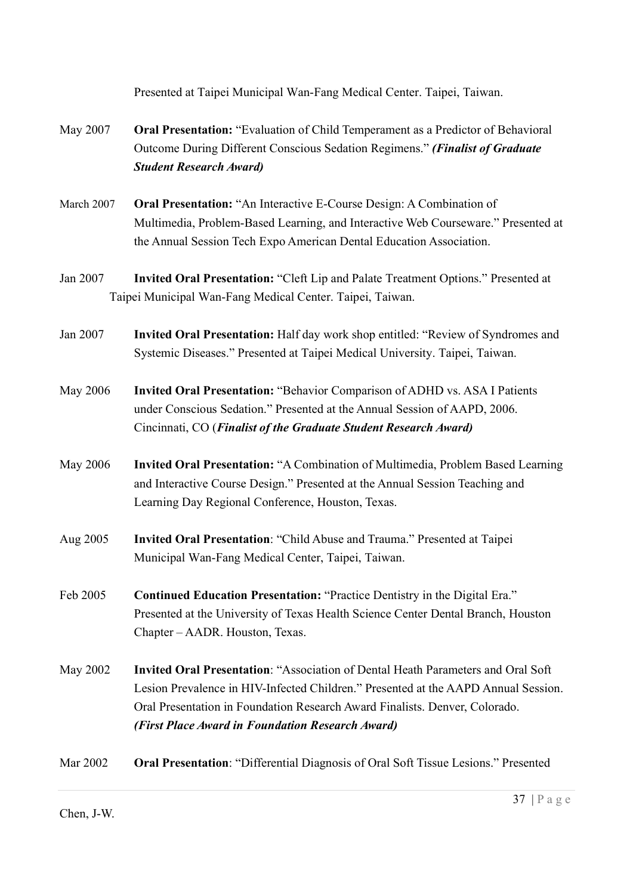Presented at Taipei Municipal Wan-Fang Medical Center. Taipei, Taiwan.

- May 2007 Oral Presentation: "Evaluation of Child Temperament as a Predictor of Behavioral Outcome During Different Conscious Sedation Regimens." (Finalist of Graduate Student Research Award)
- March 2007 Oral Presentation: "An Interactive E-Course Design: A Combination of Multimedia, Problem-Based Learning, and Interactive Web Courseware." Presented at the Annual Session Tech Expo American Dental Education Association.
- Jan 2007 Invited Oral Presentation: "Cleft Lip and Palate Treatment Options." Presented at Taipei Municipal Wan-Fang Medical Center. Taipei, Taiwan.
- Jan 2007 Invited Oral Presentation: Half day work shop entitled: "Review of Syndromes and Systemic Diseases." Presented at Taipei Medical University. Taipei, Taiwan.
- May 2006 Invited Oral Presentation: "Behavior Comparison of ADHD vs. ASA I Patients under Conscious Sedation." Presented at the Annual Session of AAPD, 2006. Cincinnati, CO (Finalist of the Graduate Student Research Award)
- May 2006 Invited Oral Presentation: "A Combination of Multimedia, Problem Based Learning and Interactive Course Design." Presented at the Annual Session Teaching and Learning Day Regional Conference, Houston, Texas.
- Aug 2005 Invited Oral Presentation: "Child Abuse and Trauma." Presented at Taipei Municipal Wan-Fang Medical Center, Taipei, Taiwan.
- Feb 2005 Continued Education Presentation: "Practice Dentistry in the Digital Era." Presented at the University of Texas Health Science Center Dental Branch, Houston Chapter – AADR. Houston, Texas.
- May 2002 Invited Oral Presentation: "Association of Dental Heath Parameters and Oral Soft Lesion Prevalence in HIV-Infected Children." Presented at the AAPD Annual Session. Oral Presentation in Foundation Research Award Finalists. Denver, Colorado. (First Place Award in Foundation Research Award)

Mar 2002 Oral Presentation: "Differential Diagnosis of Oral Soft Tissue Lesions." Presented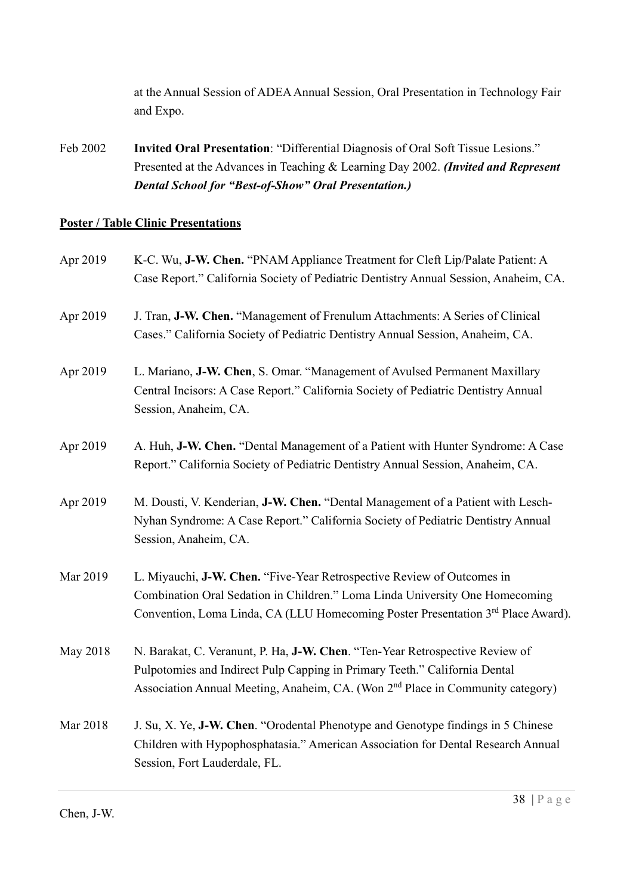at the Annual Session of ADEA Annual Session, Oral Presentation in Technology Fair and Expo.

Feb 2002 Invited Oral Presentation: "Differential Diagnosis of Oral Soft Tissue Lesions." Presented at the Advances in Teaching & Learning Day 2002. (Invited and Represent Dental School for "Best-of-Show" Oral Presentation.)

## Poster / Table Clinic Presentations

| Apr 2019 | K-C. Wu, J-W. Chen. "PNAM Appliance Treatment for Cleft Lip/Palate Patient: A<br>Case Report." California Society of Pediatric Dentistry Annual Session, Anaheim, CA.                                                                                    |
|----------|----------------------------------------------------------------------------------------------------------------------------------------------------------------------------------------------------------------------------------------------------------|
| Apr 2019 | J. Tran, J-W. Chen. "Management of Frenulum Attachments: A Series of Clinical<br>Cases." California Society of Pediatric Dentistry Annual Session, Anaheim, CA.                                                                                          |
| Apr 2019 | L. Mariano, J-W. Chen, S. Omar. "Management of Avulsed Permanent Maxillary<br>Central Incisors: A Case Report." California Society of Pediatric Dentistry Annual<br>Session, Anaheim, CA.                                                                |
| Apr 2019 | A. Huh, J-W. Chen. "Dental Management of a Patient with Hunter Syndrome: A Case<br>Report." California Society of Pediatric Dentistry Annual Session, Anaheim, CA.                                                                                       |
| Apr 2019 | M. Dousti, V. Kenderian, J-W. Chen. "Dental Management of a Patient with Lesch-<br>Nyhan Syndrome: A Case Report." California Society of Pediatric Dentistry Annual<br>Session, Anaheim, CA.                                                             |
| Mar 2019 | L. Miyauchi, J-W. Chen. "Five-Year Retrospective Review of Outcomes in<br>Combination Oral Sedation in Children." Loma Linda University One Homecoming<br>Convention, Loma Linda, CA (LLU Homecoming Poster Presentation 3rd Place Award).               |
| May 2018 | N. Barakat, C. Veranunt, P. Ha, J-W. Chen. "Ten-Year Retrospective Review of<br>Pulpotomies and Indirect Pulp Capping in Primary Teeth." California Dental<br>Association Annual Meeting, Anaheim, CA. (Won 2 <sup>nd</sup> Place in Community category) |
| Mar 2018 | J. Su, X. Ye, J-W. Chen. "Orodental Phenotype and Genotype findings in 5 Chinese<br>Children with Hypophosphatasia." American Association for Dental Research Annual<br>Session, Fort Lauderdale, FL.                                                    |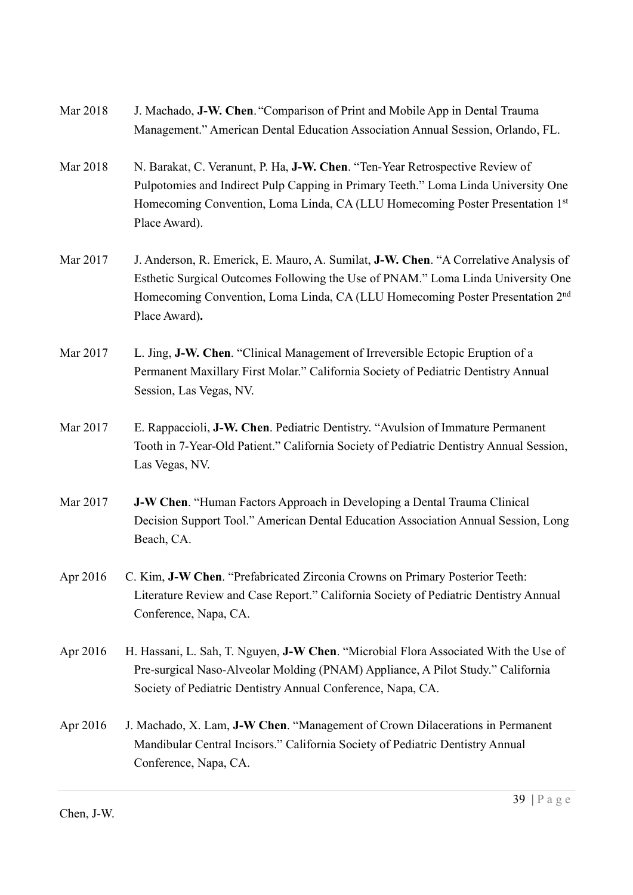| Mar 2018 | J. Machado, J-W. Chen. "Comparison of Print and Mobile App in Dental Trauma     |
|----------|---------------------------------------------------------------------------------|
|          | Management." American Dental Education Association Annual Session, Orlando, FL. |

- Mar 2018 N. Barakat, C. Veranunt, P. Ha, J-W. Chen. "Ten-Year Retrospective Review of Pulpotomies and Indirect Pulp Capping in Primary Teeth." Loma Linda University One Homecoming Convention, Loma Linda, CA (LLU Homecoming Poster Presentation 1st Place Award).
- Mar 2017 J. Anderson, R. Emerick, E. Mauro, A. Sumilat, **J-W. Chen.** "A Correlative Analysis of Esthetic Surgical Outcomes Following the Use of PNAM." Loma Linda University One Homecoming Convention, Loma Linda, CA (LLU Homecoming Poster Presentation 2nd Place Award).
- Mar 2017 L. Jing, **J-W. Chen.** "Clinical Management of Irreversible Ectopic Eruption of a Permanent Maxillary First Molar." California Society of Pediatric Dentistry Annual Session, Las Vegas, NV.
- Mar 2017 E. Rappaccioli, **J-W. Chen**. Pediatric Dentistry. "Avulsion of Immature Permanent Tooth in 7-Year-Old Patient." California Society of Pediatric Dentistry Annual Session, Las Vegas, NV.
- Mar 2017 **J-W Chen.** "Human Factors Approach in Developing a Dental Trauma Clinical Decision Support Tool." American Dental Education Association Annual Session, Long Beach, CA.
- Apr 2016 C. Kim, J-W Chen. "Prefabricated Zirconia Crowns on Primary Posterior Teeth: Literature Review and Case Report." California Society of Pediatric Dentistry Annual Conference, Napa, CA.
- Apr 2016 H. Hassani, L. Sah, T. Nguyen, J-W Chen. "Microbial Flora Associated With the Use of Pre-surgical Naso-Alveolar Molding (PNAM) Appliance, A Pilot Study." California Society of Pediatric Dentistry Annual Conference, Napa, CA.
- Apr 2016 J. Machado, X. Lam, J-W Chen. "Management of Crown Dilacerations in Permanent Mandibular Central Incisors." California Society of Pediatric Dentistry Annual Conference, Napa, CA.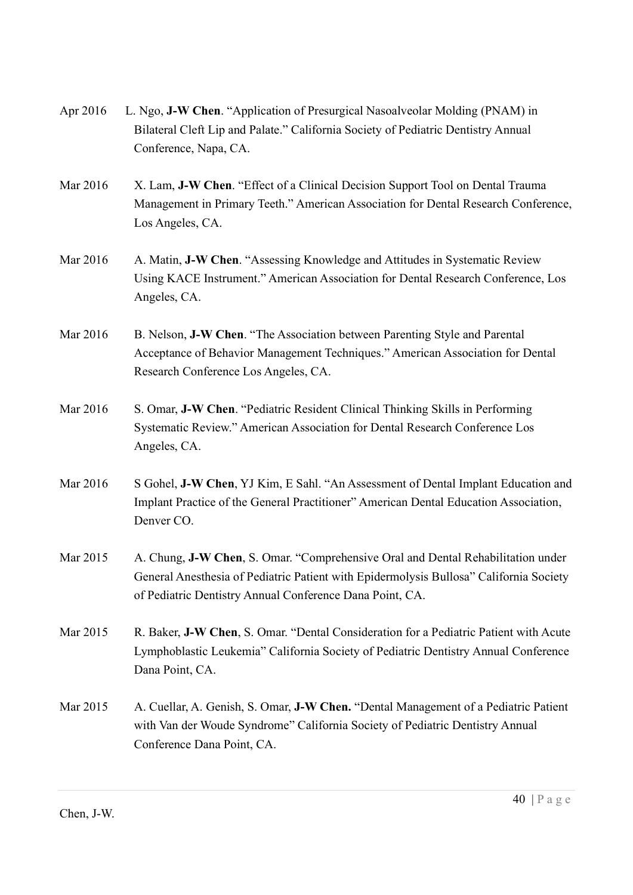| Apr 2016 | L. Ngo, J-W Chen. "Application of Presurgical Nasoalveolar Molding (PNAM) in<br>Bilateral Cleft Lip and Palate." California Society of Pediatric Dentistry Annual<br>Conference, Napa, CA.                                             |
|----------|----------------------------------------------------------------------------------------------------------------------------------------------------------------------------------------------------------------------------------------|
| Mar 2016 | X. Lam, J-W Chen. "Effect of a Clinical Decision Support Tool on Dental Trauma<br>Management in Primary Teeth." American Association for Dental Research Conference,<br>Los Angeles, CA.                                               |
| Mar 2016 | A. Matin, J-W Chen. "Assessing Knowledge and Attitudes in Systematic Review<br>Using KACE Instrument." American Association for Dental Research Conference, Los<br>Angeles, CA.                                                        |
| Mar 2016 | B. Nelson, J-W Chen. "The Association between Parenting Style and Parental<br>Acceptance of Behavior Management Techniques." American Association for Dental<br>Research Conference Los Angeles, CA.                                   |
| Mar 2016 | S. Omar, J-W Chen. "Pediatric Resident Clinical Thinking Skills in Performing<br>Systematic Review." American Association for Dental Research Conference Los<br>Angeles, CA.                                                           |
| Mar 2016 | S Gohel, J-W Chen, YJ Kim, E Sahl. "An Assessment of Dental Implant Education and<br>Implant Practice of the General Practitioner" American Dental Education Association,<br>Denver CO.                                                |
| Mar 2015 | A. Chung, J-W Chen, S. Omar. "Comprehensive Oral and Dental Rehabilitation under<br>General Anesthesia of Pediatric Patient with Epidermolysis Bullosa" California Society<br>of Pediatric Dentistry Annual Conference Dana Point, CA. |
| Mar 2015 | R. Baker, J-W Chen, S. Omar. "Dental Consideration for a Pediatric Patient with Acute<br>Lymphoblastic Leukemia" California Society of Pediatric Dentistry Annual Conference<br>Dana Point, CA.                                        |
| Mar 2015 | A. Cuellar, A. Genish, S. Omar, J-W Chen. "Dental Management of a Pediatric Patient<br>with Van der Woude Syndrome" California Society of Pediatric Dentistry Annual<br>Conference Dana Point, CA.                                     |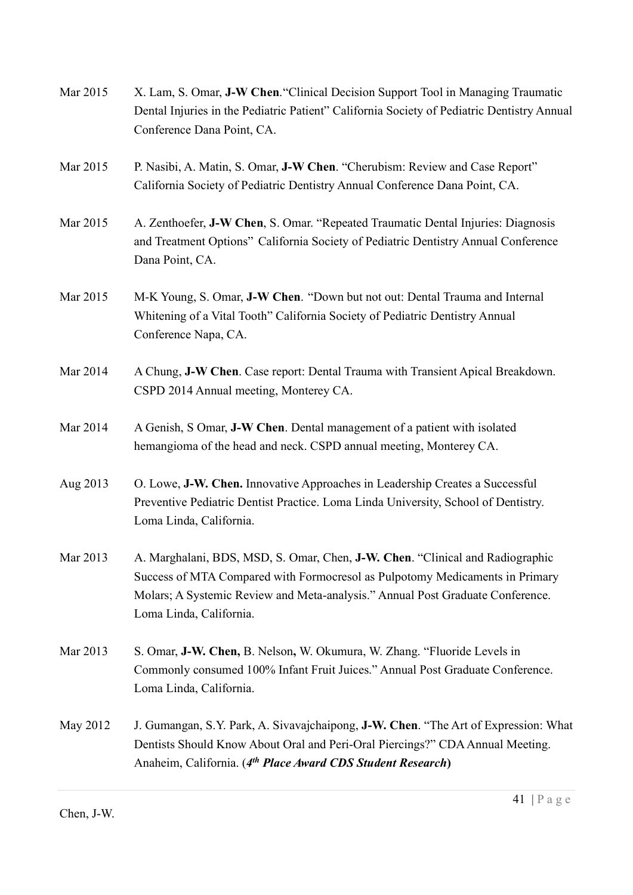| Mar 2015 | X. Lam, S. Omar, J-W Chen. "Clinical Decision Support Tool in Managing Traumatic<br>Dental Injuries in the Pediatric Patient" California Society of Pediatric Dentistry Annual<br>Conference Dana Point, CA.                                                               |
|----------|----------------------------------------------------------------------------------------------------------------------------------------------------------------------------------------------------------------------------------------------------------------------------|
| Mar 2015 | P. Nasibi, A. Matin, S. Omar, J-W Chen. "Cherubism: Review and Case Report"<br>California Society of Pediatric Dentistry Annual Conference Dana Point, CA.                                                                                                                 |
| Mar 2015 | A. Zenthoefer, <b>J-W Chen</b> , S. Omar. "Repeated Traumatic Dental Injuries: Diagnosis<br>and Treatment Options" California Society of Pediatric Dentistry Annual Conference<br>Dana Point, CA.                                                                          |
| Mar 2015 | M-K Young, S. Omar, J-W Chen. "Down but not out: Dental Trauma and Internal<br>Whitening of a Vital Tooth" California Society of Pediatric Dentistry Annual<br>Conference Napa, CA.                                                                                        |
| Mar 2014 | A Chung, J-W Chen. Case report: Dental Trauma with Transient Apical Breakdown.<br>CSPD 2014 Annual meeting, Monterey CA.                                                                                                                                                   |
| Mar 2014 | A Genish, S Omar, J-W Chen. Dental management of a patient with isolated<br>hemangioma of the head and neck. CSPD annual meeting, Monterey CA.                                                                                                                             |
| Aug 2013 | O. Lowe, J-W. Chen. Innovative Approaches in Leadership Creates a Successful<br>Preventive Pediatric Dentist Practice. Loma Linda University, School of Dentistry.<br>Loma Linda, California.                                                                              |
| Mar 2013 | A. Marghalani, BDS, MSD, S. Omar, Chen, J-W. Chen. "Clinical and Radiographic<br>Success of MTA Compared with Formocresol as Pulpotomy Medicaments in Primary<br>Molars; A Systemic Review and Meta-analysis." Annual Post Graduate Conference.<br>Loma Linda, California. |
| Mar 2013 | S. Omar, J-W. Chen, B. Nelson, W. Okumura, W. Zhang. "Fluoride Levels in<br>Commonly consumed 100% Infant Fruit Juices." Annual Post Graduate Conference.<br>Loma Linda, California.                                                                                       |
| May 2012 | J. Gumangan, S.Y. Park, A. Sivavajchaipong, J-W. Chen. "The Art of Expression: What<br>Dentists Should Know About Oral and Peri-Oral Piercings?" CDA Annual Meeting.<br>Anaheim, California. (4th Place Award CDS Student Research)                                        |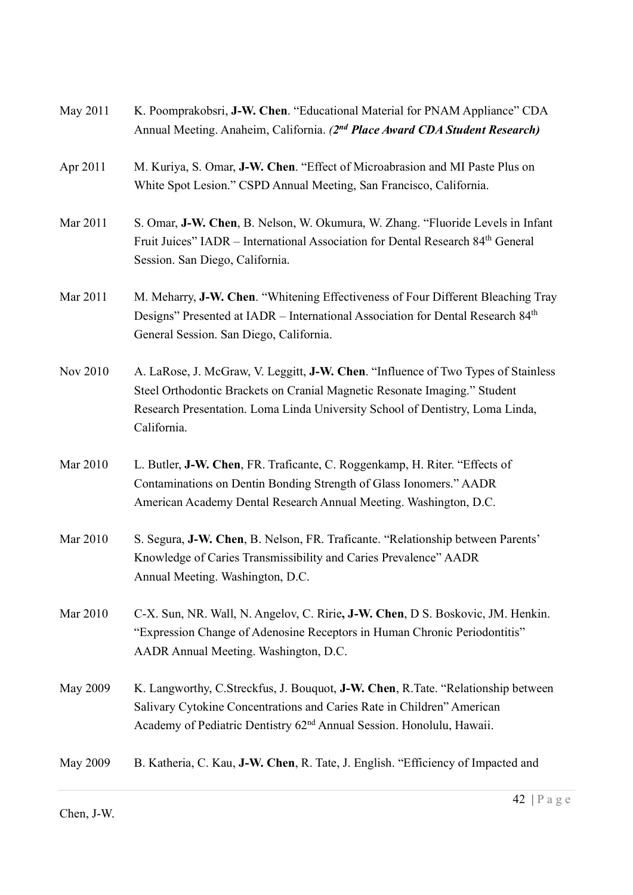| May 2011 | K. Poomprakobsri, J-W. Chen. "Educational Material for PNAM Appliance" CDA<br>Annual Meeting. Anaheim, California. (2nd Place Award CDA Student Research)                                                                                                      |
|----------|----------------------------------------------------------------------------------------------------------------------------------------------------------------------------------------------------------------------------------------------------------------|
| Apr 2011 | M. Kuriya, S. Omar, J-W. Chen. "Effect of Microabrasion and MI Paste Plus on<br>White Spot Lesion." CSPD Annual Meeting, San Francisco, California.                                                                                                            |
| Mar 2011 | S. Omar, J-W. Chen, B. Nelson, W. Okumura, W. Zhang. "Fluoride Levels in Infant<br>Fruit Juices" IADR – International Association for Dental Research 84 <sup>th</sup> General<br>Session. San Diego, California.                                              |
| Mar 2011 | M. Meharry, J-W. Chen. "Whitening Effectiveness of Four Different Bleaching Tray<br>Designs" Presented at IADR - International Association for Dental Research 84th<br>General Session. San Diego, California.                                                 |
| Nov 2010 | A. LaRose, J. McGraw, V. Leggitt, J-W. Chen. "Influence of Two Types of Stainless<br>Steel Orthodontic Brackets on Cranial Magnetic Resonate Imaging." Student<br>Research Presentation. Loma Linda University School of Dentistry, Loma Linda,<br>California. |
| Mar 2010 | L. Butler, J-W. Chen, FR. Traficante, C. Roggenkamp, H. Riter. "Effects of<br>Contaminations on Dentin Bonding Strength of Glass Ionomers." AADR<br>American Academy Dental Research Annual Meeting. Washington, D.C.                                          |
| Mar 2010 | S. Segura, J-W. Chen, B. Nelson, FR. Traficante. "Relationship between Parents'<br>Knowledge of Caries Transmissibility and Caries Prevalence" AADR<br>Annual Meeting. Washington, D.C.                                                                        |
| Mar 2010 | C-X. Sun, NR. Wall, N. Angelov, C. Ririe, J-W. Chen, D S. Boskovic, JM. Henkin.<br>"Expression Change of Adenosine Receptors in Human Chronic Periodontitis"<br>AADR Annual Meeting. Washington, D.C.                                                          |
| May 2009 | K. Langworthy, C.Streckfus, J. Bouquot, J-W. Chen, R.Tate. "Relationship between<br>Salivary Cytokine Concentrations and Caries Rate in Children" American<br>Academy of Pediatric Dentistry 62 <sup>nd</sup> Annual Session. Honolulu, Hawaii.                |
| May 2009 | B. Katheria, C. Kau, J-W. Chen, R. Tate, J. English. "Efficiency of Impacted and                                                                                                                                                                               |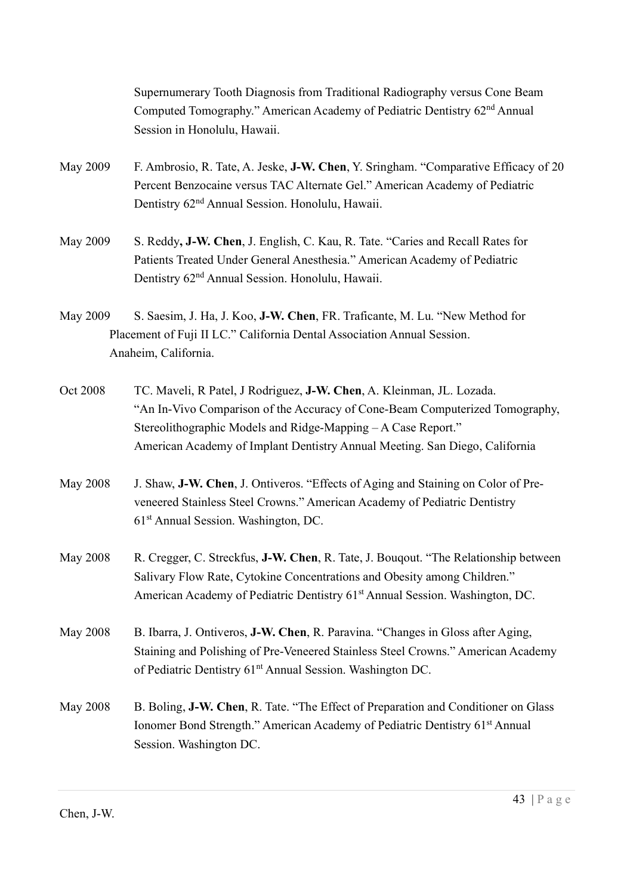Supernumerary Tooth Diagnosis from Traditional Radiography versus Cone Beam Computed Tomography." American Academy of Pediatric Dentistry 62nd Annual Session in Honolulu, Hawaii.

- May 2009 F. Ambrosio, R. Tate, A. Jeske, **J-W. Chen**, Y. Sringham. "Comparative Efficacy of 20 Percent Benzocaine versus TAC Alternate Gel." American Academy of Pediatric Dentistry 62nd Annual Session. Honolulu, Hawaii.
- May 2009 S. Reddy, **J-W. Chen**, J. English, C. Kau, R. Tate. "Caries and Recall Rates for Patients Treated Under General Anesthesia." American Academy of Pediatric Dentistry 62nd Annual Session. Honolulu, Hawaii.
- May 2009 S. Saesim, J. Ha, J. Koo, J-W. Chen, FR. Traficante, M. Lu. "New Method for Placement of Fuji II LC." California Dental Association Annual Session. Anaheim, California.
- Oct 2008 TC. Maveli, R Patel, J Rodriguez, J-W. Chen, A. Kleinman, JL. Lozada. "An In-Vivo Comparison of the Accuracy of Cone-Beam Computerized Tomography, Stereolithographic Models and Ridge-Mapping – A Case Report." American Academy of Implant Dentistry Annual Meeting. San Diego, California
- May 2008 J. Shaw, **J-W. Chen**, J. Ontiveros. "Effects of Aging and Staining on Color of Pre veneered Stainless Steel Crowns." American Academy of Pediatric Dentistry 61st Annual Session. Washington, DC.
- May 2008 R. Cregger, C. Streckfus, **J-W. Chen**, R. Tate, J. Bouqout. "The Relationship between Salivary Flow Rate, Cytokine Concentrations and Obesity among Children." American Academy of Pediatric Dentistry 61<sup>st</sup> Annual Session. Washington, DC.
- May 2008 B. Ibarra, J. Ontiveros, J-W. Chen, R. Paravina. "Changes in Gloss after Aging, Staining and Polishing of Pre-Veneered Stainless Steel Crowns." American Academy of Pediatric Dentistry 61<sup>nt</sup> Annual Session. Washington DC.
- May 2008 B. Boling, J-W. Chen, R. Tate. "The Effect of Preparation and Conditioner on Glass Ionomer Bond Strength." American Academy of Pediatric Dentistry 61<sup>st</sup> Annual Session. Washington DC.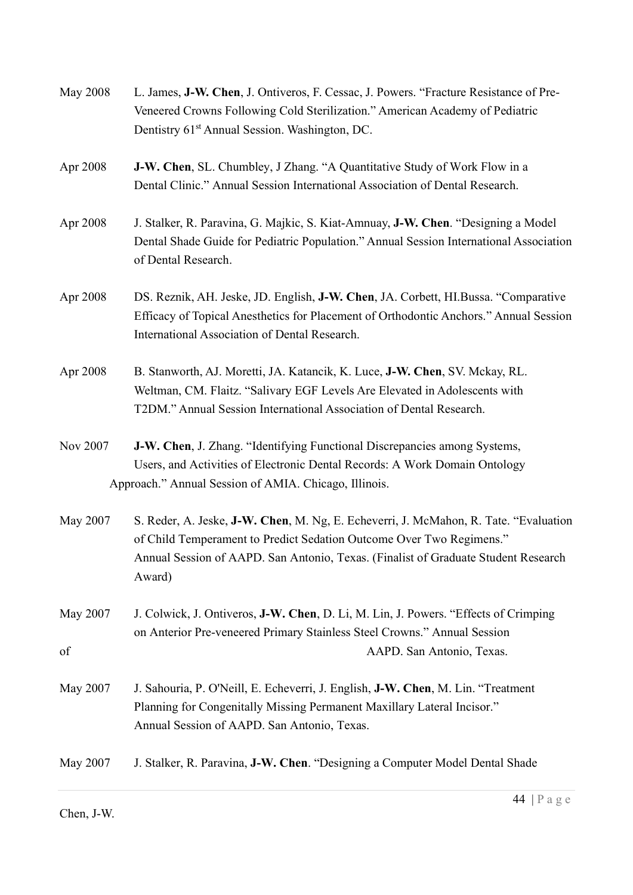| <b>May 2008</b> | L. James, J-W. Chen, J. Ontiveros, F. Cessac, J. Powers. "Fracture Resistance of Pre-<br>Veneered Crowns Following Cold Sterilization." American Academy of Pediatric<br>Dentistry 61 <sup>st</sup> Annual Session. Washington, DC.                          |
|-----------------|--------------------------------------------------------------------------------------------------------------------------------------------------------------------------------------------------------------------------------------------------------------|
| Apr 2008        | J-W. Chen, SL. Chumbley, J Zhang. "A Quantitative Study of Work Flow in a<br>Dental Clinic." Annual Session International Association of Dental Research.                                                                                                    |
| Apr 2008        | J. Stalker, R. Paravina, G. Majkic, S. Kiat-Amnuay, J-W. Chen. "Designing a Model<br>Dental Shade Guide for Pediatric Population." Annual Session International Association<br>of Dental Research.                                                           |
| Apr 2008        | DS. Reznik, AH. Jeske, JD. English, J-W. Chen, JA. Corbett, HI.Bussa. "Comparative<br>Efficacy of Topical Anesthetics for Placement of Orthodontic Anchors." Annual Session<br>International Association of Dental Research.                                 |
| Apr 2008        | B. Stanworth, AJ. Moretti, JA. Katancik, K. Luce, J-W. Chen, SV. Mckay, RL.<br>Weltman, CM. Flaitz. "Salivary EGF Levels Are Elevated in Adolescents with<br>T2DM." Annual Session International Association of Dental Research.                             |
| Nov 2007        | J-W. Chen, J. Zhang. "Identifying Functional Discrepancies among Systems,<br>Users, and Activities of Electronic Dental Records: A Work Domain Ontology<br>Approach." Annual Session of AMIA. Chicago, Illinois.                                             |
| May 2007        | S. Reder, A. Jeske, J-W. Chen, M. Ng, E. Echeverri, J. McMahon, R. Tate. "Evaluation<br>of Child Temperament to Predict Sedation Outcome Over Two Regimens."<br>Annual Session of AAPD. San Antonio, Texas. (Finalist of Graduate Student Research<br>Award) |
| May 2007<br>of  | J. Colwick, J. Ontiveros, J-W. Chen, D. Li, M. Lin, J. Powers. "Effects of Crimping<br>on Anterior Pre-veneered Primary Stainless Steel Crowns." Annual Session<br>AAPD. San Antonio, Texas.                                                                 |
| May 2007        | J. Sahouria, P. O'Neill, E. Echeverri, J. English, J-W. Chen, M. Lin. "Treatment<br>Planning for Congenitally Missing Permanent Maxillary Lateral Incisor."<br>Annual Session of AAPD. San Antonio, Texas.                                                   |
| May 2007        | J. Stalker, R. Paravina, J-W. Chen. "Designing a Computer Model Dental Shade                                                                                                                                                                                 |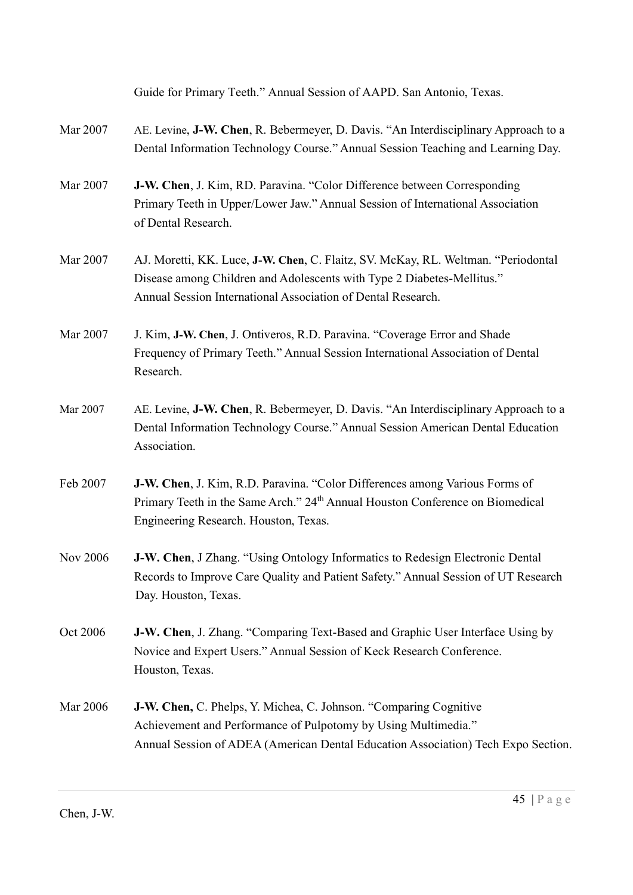|          | Guide for Primary Teeth." Annual Session of AAPD. San Antonio, Texas.                                                                                                                                                       |
|----------|-----------------------------------------------------------------------------------------------------------------------------------------------------------------------------------------------------------------------------|
| Mar 2007 | AE. Levine, J-W. Chen, R. Bebermeyer, D. Davis. "An Interdisciplinary Approach to a<br>Dental Information Technology Course." Annual Session Teaching and Learning Day.                                                     |
| Mar 2007 | J-W. Chen, J. Kim, RD. Paravina. "Color Difference between Corresponding<br>Primary Teeth in Upper/Lower Jaw." Annual Session of International Association<br>of Dental Research.                                           |
| Mar 2007 | AJ. Moretti, KK. Luce, J-W. Chen, C. Flaitz, SV. McKay, RL. Weltman. "Periodontal<br>Disease among Children and Adolescents with Type 2 Diabetes-Mellitus."<br>Annual Session International Association of Dental Research. |
| Mar 2007 | J. Kim, J-W. Chen, J. Ontiveros, R.D. Paravina. "Coverage Error and Shade<br>Frequency of Primary Teeth." Annual Session International Association of Dental<br>Research.                                                   |
| Mar 2007 | AE. Levine, J-W. Chen, R. Bebermeyer, D. Davis. "An Interdisciplinary Approach to a<br>Dental Information Technology Course." Annual Session American Dental Education<br>Association.                                      |
| Feb 2007 | J-W. Chen, J. Kim, R.D. Paravina. "Color Differences among Various Forms of<br>Primary Teeth in the Same Arch." 24 <sup>th</sup> Annual Houston Conference on Biomedical<br>Engineering Research. Houston, Texas.           |
| Nov 2006 | J-W. Chen, J Zhang. "Using Ontology Informatics to Redesign Electronic Dental<br>Records to Improve Care Quality and Patient Safety." Annual Session of UT Research<br>Day. Houston, Texas.                                 |
| Oct 2006 | <b>J-W. Chen, J. Zhang. "Comparing Text-Based and Graphic User Interface Using by</b><br>Novice and Expert Users." Annual Session of Keck Research Conference.<br>Houston, Texas.                                           |
| Mar 2006 | J-W. Chen, C. Phelps, Y. Michea, C. Johnson. "Comparing Cognitive<br>Achievement and Performance of Pulpotomy by Using Multimedia."<br>Annual Session of ADEA (American Dental Education Association) Tech Expo Section.    |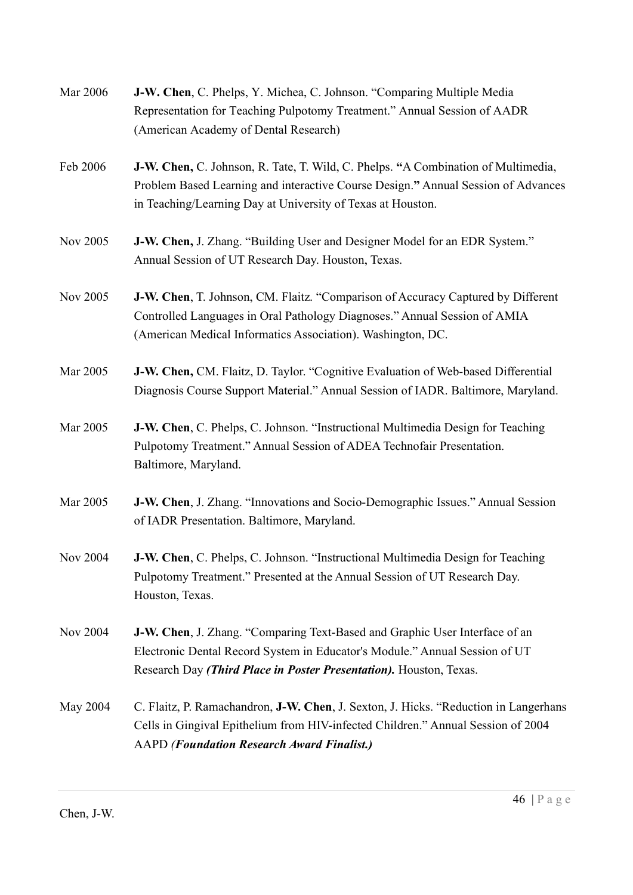| Mar 2006        | J-W. Chen, C. Phelps, Y. Michea, C. Johnson. "Comparing Multiple Media<br>Representation for Teaching Pulpotomy Treatment." Annual Session of AADR<br>(American Academy of Dental Research)                                           |
|-----------------|---------------------------------------------------------------------------------------------------------------------------------------------------------------------------------------------------------------------------------------|
| Feb 2006        | J-W. Chen, C. Johnson, R. Tate, T. Wild, C. Phelps. "A Combination of Multimedia,<br>Problem Based Learning and interactive Course Design." Annual Session of Advances<br>in Teaching/Learning Day at University of Texas at Houston. |
| Nov 2005        | J-W. Chen, J. Zhang. "Building User and Designer Model for an EDR System."<br>Annual Session of UT Research Day. Houston, Texas.                                                                                                      |
| Nov 2005        | J-W. Chen, T. Johnson, CM. Flaitz. "Comparison of Accuracy Captured by Different<br>Controlled Languages in Oral Pathology Diagnoses." Annual Session of AMIA<br>(American Medical Informatics Association). Washington, DC.          |
| Mar 2005        | J-W. Chen, CM. Flaitz, D. Taylor. "Cognitive Evaluation of Web-based Differential<br>Diagnosis Course Support Material." Annual Session of IADR. Baltimore, Maryland.                                                                 |
| Mar 2005        | J-W. Chen, C. Phelps, C. Johnson. "Instructional Multimedia Design for Teaching<br>Pulpotomy Treatment." Annual Session of ADEA Technofair Presentation.<br>Baltimore, Maryland.                                                      |
| Mar 2005        | J-W. Chen, J. Zhang. "Innovations and Socio-Demographic Issues." Annual Session<br>of IADR Presentation. Baltimore, Maryland.                                                                                                         |
| Nov 2004        | J-W. Chen, C. Phelps, C. Johnson. "Instructional Multimedia Design for Teaching<br>Pulpotomy Treatment." Presented at the Annual Session of UT Research Day.<br>Houston, Texas.                                                       |
| Nov 2004        | J-W. Chen, J. Zhang. "Comparing Text-Based and Graphic User Interface of an<br>Electronic Dental Record System in Educator's Module." Annual Session of UT<br>Research Day (Third Place in Poster Presentation). Houston, Texas.      |
| <b>May 2004</b> | C. Flaitz, P. Ramachandron, J-W. Chen, J. Sexton, J. Hicks. "Reduction in Langerhans"<br>Cells in Gingival Epithelium from HIV-infected Children." Annual Session of 2004<br><b>AAPD</b> (Foundation Research Award Finalist.)        |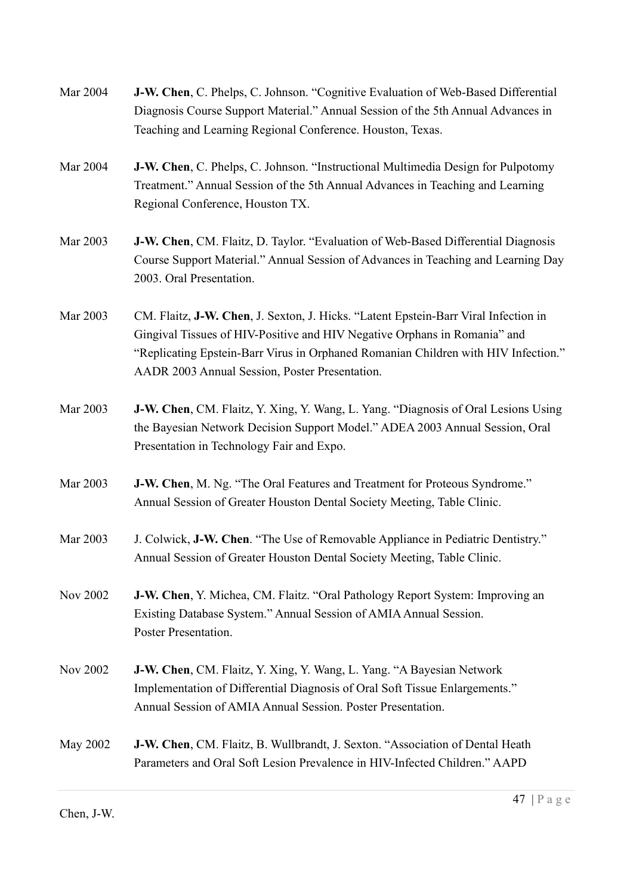| Mar 2004        | J-W. Chen, C. Phelps, C. Johnson. "Cognitive Evaluation of Web-Based Differential<br>Diagnosis Course Support Material." Annual Session of the 5th Annual Advances in<br>Teaching and Learning Regional Conference. Houston, Texas.                                                                      |
|-----------------|----------------------------------------------------------------------------------------------------------------------------------------------------------------------------------------------------------------------------------------------------------------------------------------------------------|
| Mar 2004        | <b>J-W. Chen, C. Phelps, C. Johnson. "Instructional Multimedia Design for Pulpotomy</b><br>Treatment." Annual Session of the 5th Annual Advances in Teaching and Learning<br>Regional Conference, Houston TX.                                                                                            |
| Mar 2003        | J-W. Chen, CM. Flaitz, D. Taylor. "Evaluation of Web-Based Differential Diagnosis<br>Course Support Material." Annual Session of Advances in Teaching and Learning Day<br>2003. Oral Presentation.                                                                                                       |
| Mar 2003        | CM. Flaitz, J-W. Chen, J. Sexton, J. Hicks. "Latent Epstein-Barr Viral Infection in<br>Gingival Tissues of HIV-Positive and HIV Negative Orphans in Romania" and<br>"Replicating Epstein-Barr Virus in Orphaned Romanian Children with HIV Infection."<br>AADR 2003 Annual Session, Poster Presentation. |
| Mar 2003        | <b>J-W. Chen, CM. Flaitz, Y. Xing, Y. Wang, L. Yang. "Diagnosis of Oral Lesions Using</b><br>the Bayesian Network Decision Support Model." ADEA 2003 Annual Session, Oral<br>Presentation in Technology Fair and Expo.                                                                                   |
| Mar 2003        | J-W. Chen, M. Ng. "The Oral Features and Treatment for Proteous Syndrome."<br>Annual Session of Greater Houston Dental Society Meeting, Table Clinic.                                                                                                                                                    |
| Mar 2003        | J. Colwick, J-W. Chen. "The Use of Removable Appliance in Pediatric Dentistry."<br>Annual Session of Greater Houston Dental Society Meeting, Table Clinic.                                                                                                                                               |
| Nov 2002        | J-W. Chen, Y. Michea, CM. Flaitz. "Oral Pathology Report System: Improving an<br>Existing Database System." Annual Session of AMIA Annual Session.<br>Poster Presentation.                                                                                                                               |
| Nov 2002        | J-W. Chen, CM. Flaitz, Y. Xing, Y. Wang, L. Yang. "A Bayesian Network<br>Implementation of Differential Diagnosis of Oral Soft Tissue Enlargements."<br>Annual Session of AMIA Annual Session. Poster Presentation.                                                                                      |
| <b>May 2002</b> | J-W. Chen, CM. Flaitz, B. Wullbrandt, J. Sexton. "Association of Dental Heath<br>Parameters and Oral Soft Lesion Prevalence in HIV-Infected Children." AAPD                                                                                                                                              |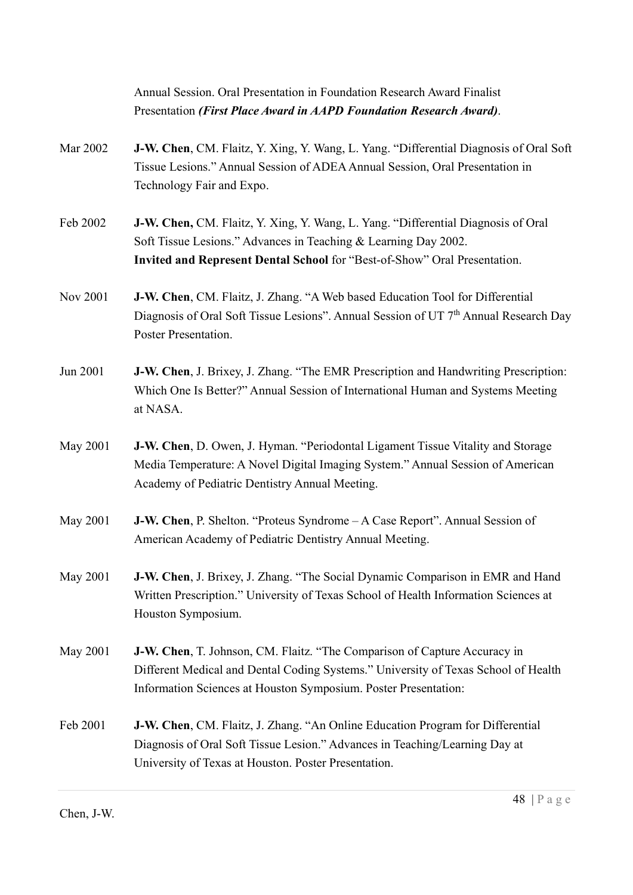|          | Annual Session. Oral Presentation in Foundation Research Award Finalist                                                                                                                                          |
|----------|------------------------------------------------------------------------------------------------------------------------------------------------------------------------------------------------------------------|
|          | Presentation (First Place Award in AAPD Foundation Research Award).                                                                                                                                              |
| Mar 2002 | J-W. Chen, CM. Flaitz, Y. Xing, Y. Wang, L. Yang. "Differential Diagnosis of Oral Soft                                                                                                                           |
|          | Tissue Lesions." Annual Session of ADEA Annual Session, Oral Presentation in                                                                                                                                     |
|          | Technology Fair and Expo.                                                                                                                                                                                        |
| Feb 2002 | J-W. Chen, CM. Flaitz, Y. Xing, Y. Wang, L. Yang. "Differential Diagnosis of Oral                                                                                                                                |
|          | Soft Tissue Lesions." Advances in Teaching & Learning Day 2002.                                                                                                                                                  |
|          | Invited and Represent Dental School for "Best-of-Show" Oral Presentation.                                                                                                                                        |
| Nov 2001 | <b>J-W. Chen, CM. Flaitz, J. Zhang. "A Web based Education Tool for Differential</b><br>Diagnosis of Oral Soft Tissue Lesions". Annual Session of UT 7 <sup>th</sup> Annual Research Day<br>Poster Presentation. |
| Jun 2001 | <b>J-W. Chen, J. Brixey, J. Zhang. "The EMR Prescription and Handwriting Prescription:</b><br>Which One Is Better?" Annual Session of International Human and Systems Meeting                                    |
|          | at NASA.                                                                                                                                                                                                         |
| May 2001 | J-W. Chen, D. Owen, J. Hyman. "Periodontal Ligament Tissue Vitality and Storage                                                                                                                                  |
|          | Media Temperature: A Novel Digital Imaging System." Annual Session of American<br>Academy of Pediatric Dentistry Annual Meeting.                                                                                 |
| May 2001 | J-W. Chen, P. Shelton. "Proteus Syndrome – A Case Report". Annual Session of                                                                                                                                     |
|          | American Academy of Pediatric Dentistry Annual Meeting.                                                                                                                                                          |
| May 2001 | J-W. Chen, J. Brixey, J. Zhang. "The Social Dynamic Comparison in EMR and Hand                                                                                                                                   |
|          | Written Prescription." University of Texas School of Health Information Sciences at<br>Houston Symposium.                                                                                                        |
| May 2001 | J-W. Chen, T. Johnson, CM. Flaitz. "The Comparison of Capture Accuracy in                                                                                                                                        |
|          | Different Medical and Dental Coding Systems." University of Texas School of Health<br>Information Sciences at Houston Symposium. Poster Presentation:                                                            |
| Feb 2001 | J-W. Chen, CM. Flaitz, J. Zhang. "An Online Education Program for Differential                                                                                                                                   |
|          | Diagnosis of Oral Soft Tissue Lesion." Advances in Teaching/Learning Day at<br>University of Texas at Houston. Poster Presentation.                                                                              |
|          |                                                                                                                                                                                                                  |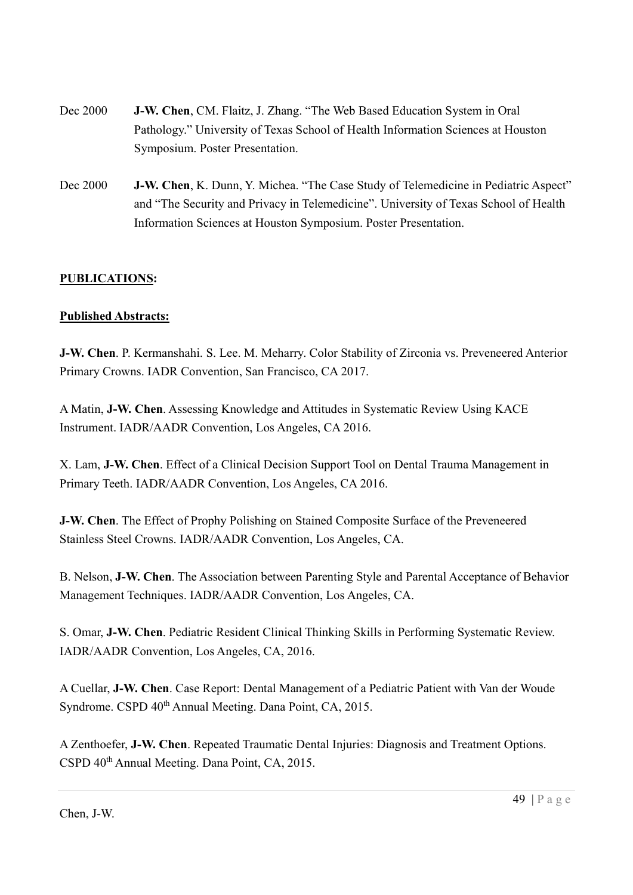- Dec 2000 J-W. Chen, CM. Flaitz, J. Zhang. "The Web Based Education System in Oral Pathology." University of Texas School of Health Information Sciences at Houston Symposium. Poster Presentation.
- Dec 2000 **J-W. Chen**, K. Dunn, Y. Michea. "The Case Study of Telemedicine in Pediatric Aspect" and "The Security and Privacy in Telemedicine". University of Texas School of Health Information Sciences at Houston Symposium. Poster Presentation.

## PUBLICATIONS:

#### Published Abstracts:

J-W. Chen. P. Kermanshahi. S. Lee. M. Meharry. Color Stability of Zirconia vs. Preveneered Anterior Primary Crowns. IADR Convention, San Francisco, CA 2017.

A Matin, J-W. Chen. Assessing Knowledge and Attitudes in Systematic Review Using KACE Instrument. IADR/AADR Convention, Los Angeles, CA 2016.

X. Lam, J-W. Chen. Effect of a Clinical Decision Support Tool on Dental Trauma Management in Primary Teeth. IADR/AADR Convention, Los Angeles, CA 2016.

J-W. Chen. The Effect of Prophy Polishing on Stained Composite Surface of the Preveneered Stainless Steel Crowns. IADR/AADR Convention, Los Angeles, CA.

B. Nelson, J-W. Chen. The Association between Parenting Style and Parental Acceptance of Behavior Management Techniques. IADR/AADR Convention, Los Angeles, CA.

S. Omar, J-W. Chen. Pediatric Resident Clinical Thinking Skills in Performing Systematic Review. IADR/AADR Convention, Los Angeles, CA, 2016.

A Cuellar, J-W. Chen. Case Report: Dental Management of a Pediatric Patient with Van der Woude Syndrome. CSPD 40<sup>th</sup> Annual Meeting. Dana Point, CA, 2015.

A Zenthoefer, J-W. Chen. Repeated Traumatic Dental Injuries: Diagnosis and Treatment Options. CSPD 40th Annual Meeting. Dana Point, CA, 2015.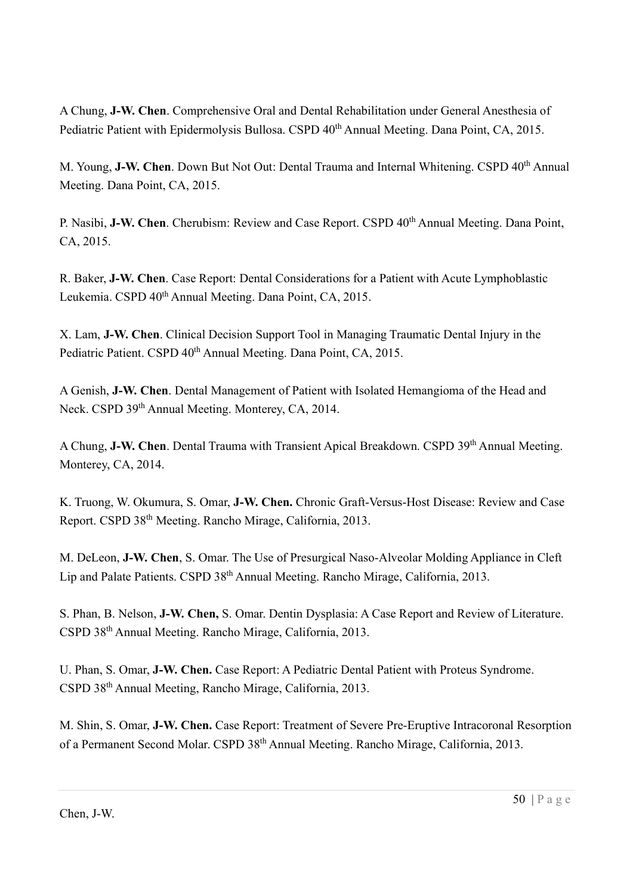A Chung, J-W. Chen. Comprehensive Oral and Dental Rehabilitation under General Anesthesia of Pediatric Patient with Epidermolysis Bullosa. CSPD 40<sup>th</sup> Annual Meeting. Dana Point, CA, 2015.

M. Young, J-W. Chen. Down But Not Out: Dental Trauma and Internal Whitening. CSPD 40<sup>th</sup> Annual Meeting. Dana Point, CA, 2015.

P. Nasibi, J-W. Chen. Cherubism: Review and Case Report. CSPD 40<sup>th</sup> Annual Meeting. Dana Point, CA, 2015.

R. Baker, J-W. Chen. Case Report: Dental Considerations for a Patient with Acute Lymphoblastic Leukemia. CSPD 40<sup>th</sup> Annual Meeting. Dana Point, CA, 2015.

X. Lam, J-W. Chen. Clinical Decision Support Tool in Managing Traumatic Dental Injury in the Pediatric Patient. CSPD 40<sup>th</sup> Annual Meeting. Dana Point, CA, 2015.

A Genish, J-W. Chen. Dental Management of Patient with Isolated Hemangioma of the Head and Neck. CSPD 39<sup>th</sup> Annual Meeting. Monterey, CA, 2014.

A Chung, J-W. Chen. Dental Trauma with Transient Apical Breakdown. CSPD 39<sup>th</sup> Annual Meeting. Monterey, CA, 2014.

K. Truong, W. Okumura, S. Omar, J-W. Chen. Chronic Graft-Versus-Host Disease: Review and Case Report. CSPD 38th Meeting. Rancho Mirage, California, 2013.

M. DeLeon, J-W. Chen, S. Omar. The Use of Presurgical Naso-Alveolar Molding Appliance in Cleft Lip and Palate Patients. CSPD 38<sup>th</sup> Annual Meeting. Rancho Mirage, California, 2013.

S. Phan, B. Nelson, J-W. Chen, S. Omar. Dentin Dysplasia: A Case Report and Review of Literature. CSPD 38th Annual Meeting. Rancho Mirage, California, 2013.

U. Phan, S. Omar, J-W. Chen. Case Report: A Pediatric Dental Patient with Proteus Syndrome. CSPD 38th Annual Meeting, Rancho Mirage, California, 2013.

M. Shin, S. Omar, J-W. Chen. Case Report: Treatment of Severe Pre-Eruptive Intracoronal Resorption of a Permanent Second Molar. CSPD 38<sup>th</sup> Annual Meeting. Rancho Mirage, California, 2013.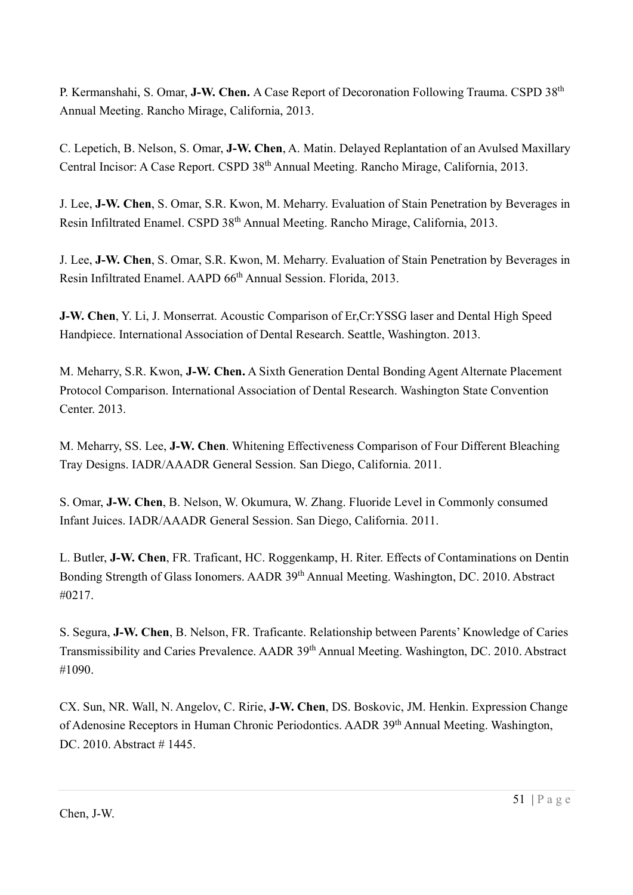P. Kermanshahi, S. Omar, J-W. Chen. A Case Report of Decoronation Following Trauma. CSPD 38<sup>th</sup> Annual Meeting. Rancho Mirage, California, 2013.

C. Lepetich, B. Nelson, S. Omar, J-W. Chen, A. Matin. Delayed Replantation of an Avulsed Maxillary Central Incisor: A Case Report. CSPD 38<sup>th</sup> Annual Meeting. Rancho Mirage, California, 2013.

J. Lee, J-W. Chen, S. Omar, S.R. Kwon, M. Meharry. Evaluation of Stain Penetration by Beverages in Resin Infiltrated Enamel. CSPD 38th Annual Meeting. Rancho Mirage, California, 2013.

J. Lee, J-W. Chen, S. Omar, S.R. Kwon, M. Meharry. Evaluation of Stain Penetration by Beverages in Resin Infiltrated Enamel. AAPD 66<sup>th</sup> Annual Session. Florida, 2013.

J-W. Chen, Y. Li, J. Monserrat. Acoustic Comparison of Er,Cr:YSSG laser and Dental High Speed Handpiece. International Association of Dental Research. Seattle, Washington. 2013.

M. Meharry, S.R. Kwon, J-W. Chen. A Sixth Generation Dental Bonding Agent Alternate Placement Protocol Comparison. International Association of Dental Research. Washington State Convention Center. 2013.

M. Meharry, SS. Lee, J-W. Chen. Whitening Effectiveness Comparison of Four Different Bleaching Tray Designs. IADR/AAADR General Session. San Diego, California. 2011.

S. Omar, J-W. Chen, B. Nelson, W. Okumura, W. Zhang. Fluoride Level in Commonly consumed Infant Juices. IADR/AAADR General Session. San Diego, California. 2011.

L. Butler, J-W. Chen, FR. Traficant, HC. Roggenkamp, H. Riter. Effects of Contaminations on Dentin Bonding Strength of Glass Ionomers. AADR 39<sup>th</sup> Annual Meeting. Washington, DC. 2010. Abstract #0217.

S. Segura, J-W. Chen, B. Nelson, FR. Traficante. Relationship between Parents' Knowledge of Caries Transmissibility and Caries Prevalence. AADR 39<sup>th</sup> Annual Meeting. Washington, DC. 2010. Abstract #1090.

CX. Sun, NR. Wall, N. Angelov, C. Ririe, J-W. Chen, DS. Boskovic, JM. Henkin. Expression Change of Adenosine Receptors in Human Chronic Periodontics. AADR 39<sup>th</sup> Annual Meeting. Washington, DC. 2010. Abstract #1445.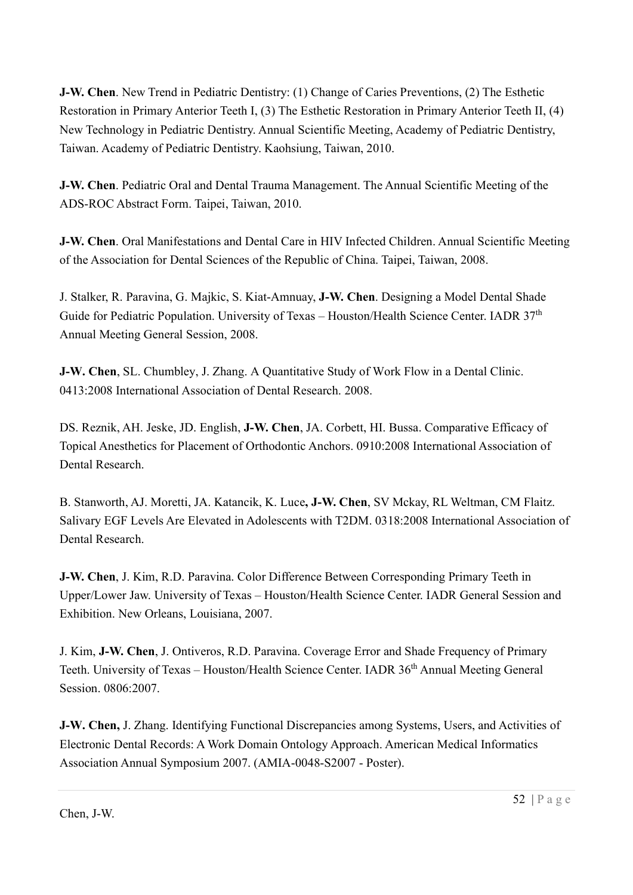J-W. Chen. New Trend in Pediatric Dentistry: (1) Change of Caries Preventions, (2) The Esthetic Restoration in Primary Anterior Teeth I, (3) The Esthetic Restoration in Primary Anterior Teeth II, (4) New Technology in Pediatric Dentistry. Annual Scientific Meeting, Academy of Pediatric Dentistry, Taiwan. Academy of Pediatric Dentistry. Kaohsiung, Taiwan, 2010.

J-W. Chen. Pediatric Oral and Dental Trauma Management. The Annual Scientific Meeting of the ADS-ROC Abstract Form. Taipei, Taiwan, 2010.

J-W. Chen. Oral Manifestations and Dental Care in HIV Infected Children. Annual Scientific Meeting of the Association for Dental Sciences of the Republic of China. Taipei, Taiwan, 2008.

J. Stalker, R. Paravina, G. Majkic, S. Kiat-Amnuay, J-W. Chen. Designing a Model Dental Shade Guide for Pediatric Population. University of Texas – Houston/Health Science Center. IADR 37<sup>th</sup> Annual Meeting General Session, 2008.

J-W. Chen, SL. Chumbley, J. Zhang. A Quantitative Study of Work Flow in a Dental Clinic. 0413:2008 International Association of Dental Research. 2008.

DS. Reznik, AH. Jeske, JD. English, J-W. Chen, JA. Corbett, HI. Bussa. Comparative Efficacy of Topical Anesthetics for Placement of Orthodontic Anchors. 0910:2008 International Association of Dental Research.

B. Stanworth, AJ. Moretti, JA. Katancik, K. Luce, J-W. Chen, SV Mckay, RL Weltman, CM Flaitz. Salivary EGF Levels Are Elevated in Adolescents with T2DM. 0318:2008 International Association of Dental Research.

J-W. Chen, J. Kim, R.D. Paravina. Color Difference Between Corresponding Primary Teeth in Upper/Lower Jaw. University of Texas – Houston/Health Science Center. IADR General Session and Exhibition. New Orleans, Louisiana, 2007.

J. Kim, J-W. Chen, J. Ontiveros, R.D. Paravina. Coverage Error and Shade Frequency of Primary Teeth. University of Texas – Houston/Health Science Center. IADR 36<sup>th</sup> Annual Meeting General Session. 0806:2007.

J-W. Chen, J. Zhang. Identifying Functional Discrepancies among Systems, Users, and Activities of Electronic Dental Records: A Work Domain Ontology Approach. American Medical Informatics Association Annual Symposium 2007. (AMIA-0048-S2007 - Poster).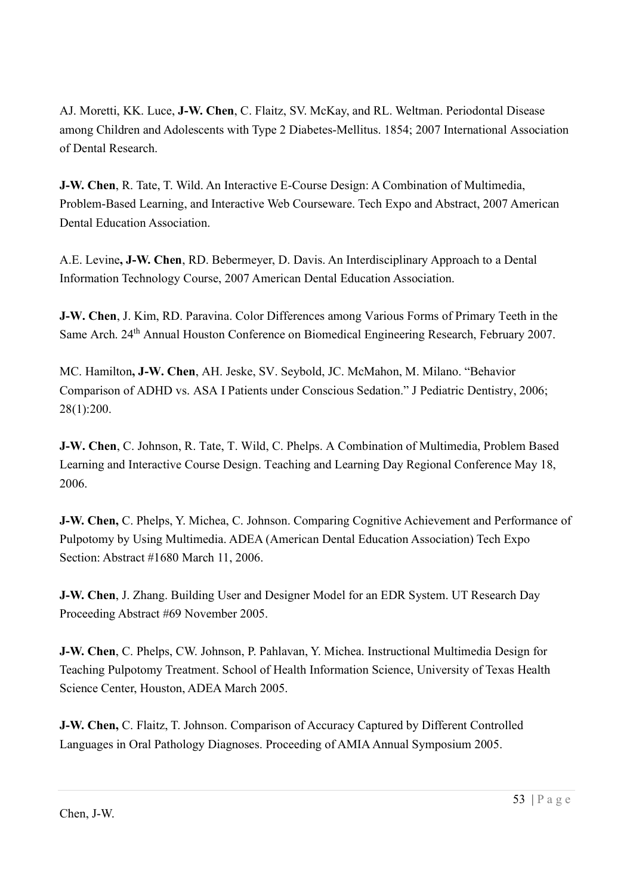AJ. Moretti, KK. Luce, J-W. Chen, C. Flaitz, SV. McKay, and RL. Weltman. Periodontal Disease among Children and Adolescents with Type 2 Diabetes-Mellitus. 1854; 2007 International Association of Dental Research.

J-W. Chen, R. Tate, T. Wild. An Interactive E-Course Design: A Combination of Multimedia, Problem-Based Learning, and Interactive Web Courseware. Tech Expo and Abstract, 2007 American Dental Education Association.

A.E. Levine, J-W. Chen, RD. Bebermeyer, D. Davis. An Interdisciplinary Approach to a Dental Information Technology Course, 2007 American Dental Education Association.

J-W. Chen, J. Kim, RD. Paravina. Color Differences among Various Forms of Primary Teeth in the Same Arch. 24<sup>th</sup> Annual Houston Conference on Biomedical Engineering Research, February 2007.

MC. Hamilton, J-W. Chen, AH. Jeske, SV. Seybold, JC. McMahon, M. Milano. "Behavior Comparison of ADHD vs. ASA I Patients under Conscious Sedation." J Pediatric Dentistry, 2006; 28(1):200.

J-W. Chen, C. Johnson, R. Tate, T. Wild, C. Phelps. A Combination of Multimedia, Problem Based Learning and Interactive Course Design. Teaching and Learning Day Regional Conference May 18, 2006.

J-W. Chen, C. Phelps, Y. Michea, C. Johnson. Comparing Cognitive Achievement and Performance of Pulpotomy by Using Multimedia. ADEA (American Dental Education Association) Tech Expo Section: Abstract #1680 March 11, 2006.

J-W. Chen, J. Zhang. Building User and Designer Model for an EDR System. UT Research Day Proceeding Abstract #69 November 2005.

J-W. Chen, C. Phelps, CW. Johnson, P. Pahlavan, Y. Michea. Instructional Multimedia Design for Teaching Pulpotomy Treatment. School of Health Information Science, University of Texas Health Science Center, Houston, ADEA March 2005.

J-W. Chen, C. Flaitz, T. Johnson. Comparison of Accuracy Captured by Different Controlled Languages in Oral Pathology Diagnoses. Proceeding of AMIA Annual Symposium 2005.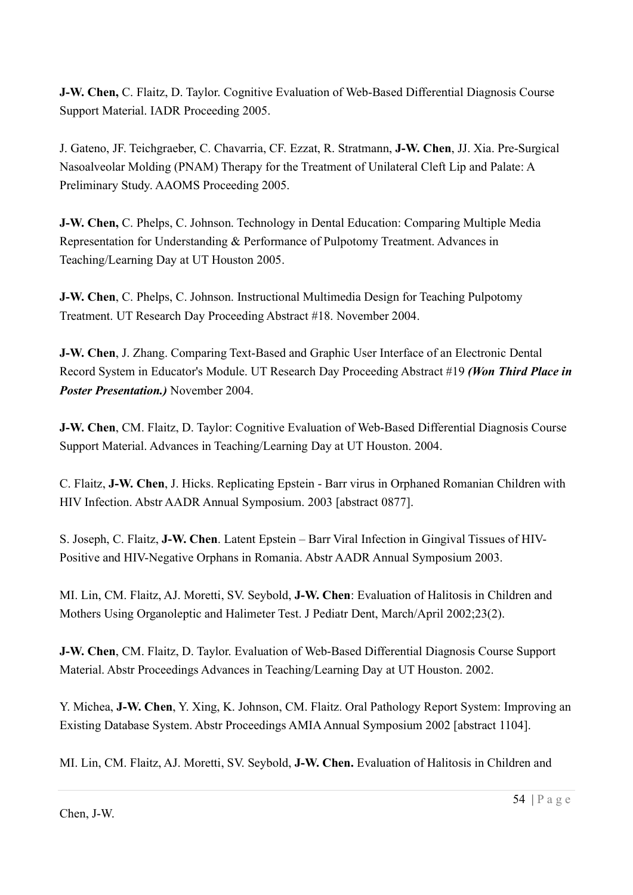J-W. Chen, C. Flaitz, D. Taylor. Cognitive Evaluation of Web-Based Differential Diagnosis Course Support Material. IADR Proceeding 2005.

J. Gateno, JF. Teichgraeber, C. Chavarria, CF. Ezzat, R. Stratmann, J-W. Chen, JJ. Xia. Pre-Surgical Nasoalveolar Molding (PNAM) Therapy for the Treatment of Unilateral Cleft Lip and Palate: A Preliminary Study. AAOMS Proceeding 2005.

J-W. Chen, C. Phelps, C. Johnson. Technology in Dental Education: Comparing Multiple Media Representation for Understanding & Performance of Pulpotomy Treatment. Advances in Teaching/Learning Day at UT Houston 2005.

J-W. Chen, C. Phelps, C. Johnson. Instructional Multimedia Design for Teaching Pulpotomy Treatment. UT Research Day Proceeding Abstract #18. November 2004.

J-W. Chen, J. Zhang. Comparing Text-Based and Graphic User Interface of an Electronic Dental Record System in Educator's Module. UT Research Day Proceeding Abstract #19 (Won Third Place in Poster Presentation.) November 2004.

J-W. Chen, CM. Flaitz, D. Taylor: Cognitive Evaluation of Web-Based Differential Diagnosis Course Support Material. Advances in Teaching/Learning Day at UT Houston. 2004.

C. Flaitz, J-W. Chen, J. Hicks. Replicating Epstein - Barr virus in Orphaned Romanian Children with HIV Infection. Abstr AADR Annual Symposium. 2003 [abstract 0877].

S. Joseph, C. Flaitz, J-W. Chen. Latent Epstein – Barr Viral Infection in Gingival Tissues of HIV-Positive and HIV-Negative Orphans in Romania. Abstr AADR Annual Symposium 2003.

MI. Lin, CM. Flaitz, AJ. Moretti, SV. Seybold, J-W. Chen: Evaluation of Halitosis in Children and Mothers Using Organoleptic and Halimeter Test. J Pediatr Dent, March/April 2002;23(2).

J-W. Chen, CM. Flaitz, D. Taylor. Evaluation of Web-Based Differential Diagnosis Course Support Material. Abstr Proceedings Advances in Teaching/Learning Day at UT Houston. 2002.

Y. Michea, J-W. Chen, Y. Xing, K. Johnson, CM. Flaitz. Oral Pathology Report System: Improving an Existing Database System. Abstr Proceedings AMIA Annual Symposium 2002 [abstract 1104].

MI. Lin, CM. Flaitz, AJ. Moretti, SV. Seybold, J-W. Chen. Evaluation of Halitosis in Children and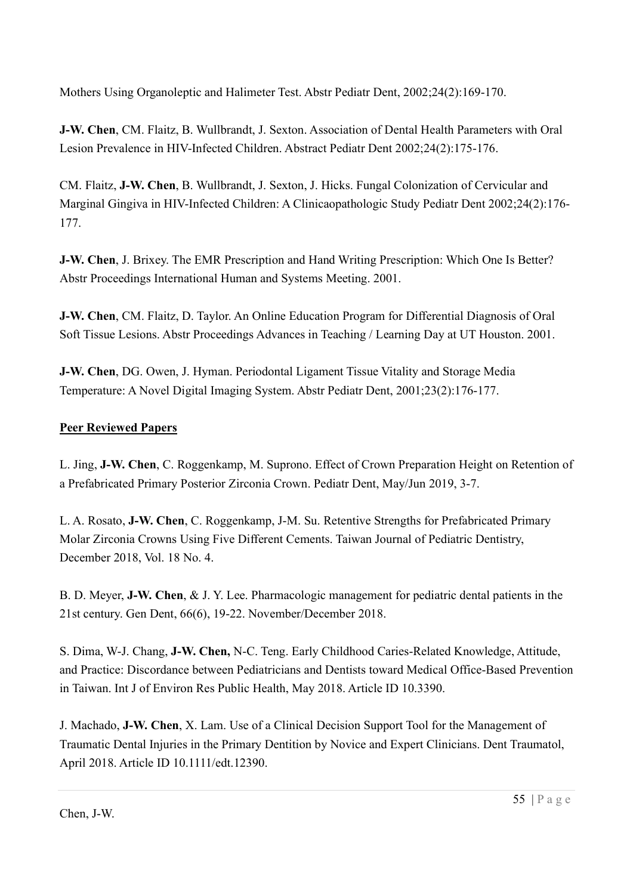Mothers Using Organoleptic and Halimeter Test. Abstr Pediatr Dent, 2002;24(2):169-170.

J-W. Chen, CM. Flaitz, B. Wullbrandt, J. Sexton. Association of Dental Health Parameters with Oral Lesion Prevalence in HIV-Infected Children. Abstract Pediatr Dent 2002;24(2):175-176.

CM. Flaitz, J-W. Chen, B. Wullbrandt, J. Sexton, J. Hicks. Fungal Colonization of Cervicular and Marginal Gingiva in HIV-Infected Children: A Clinicaopathologic Study Pediatr Dent 2002;24(2):176- 177.

J-W. Chen, J. Brixey. The EMR Prescription and Hand Writing Prescription: Which One Is Better? Abstr Proceedings International Human and Systems Meeting. 2001.

J-W. Chen, CM. Flaitz, D. Taylor. An Online Education Program for Differential Diagnosis of Oral Soft Tissue Lesions. Abstr Proceedings Advances in Teaching / Learning Day at UT Houston. 2001.

J-W. Chen, DG. Owen, J. Hyman. Periodontal Ligament Tissue Vitality and Storage Media Temperature: A Novel Digital Imaging System. Abstr Pediatr Dent, 2001;23(2):176-177.

## Peer Reviewed Papers

L. Jing, J-W. Chen, C. Roggenkamp, M. Suprono. Effect of Crown Preparation Height on Retention of a Prefabricated Primary Posterior Zirconia Crown. Pediatr Dent, May/Jun 2019, 3-7.

L. A. Rosato, J-W. Chen, C. Roggenkamp, J-M. Su. Retentive Strengths for Prefabricated Primary Molar Zirconia Crowns Using Five Different Cements. Taiwan Journal of Pediatric Dentistry, December 2018, Vol. 18 No. 4.

B. D. Meyer, J-W. Chen, & J. Y. Lee. Pharmacologic management for pediatric dental patients in the 21st century. Gen Dent, 66(6), 19-22. November/December 2018.

S. Dima, W-J. Chang, J-W. Chen, N-C. Teng. Early Childhood Caries-Related Knowledge, Attitude, and Practice: Discordance between Pediatricians and Dentists toward Medical Office-Based Prevention in Taiwan. Int J of Environ Res Public Health, May 2018. Article ID 10.3390.

J. Machado, J-W. Chen, X. Lam. Use of a Clinical Decision Support Tool for the Management of Traumatic Dental Injuries in the Primary Dentition by Novice and Expert Clinicians. Dent Traumatol, April 2018. Article ID 10.1111/edt.12390.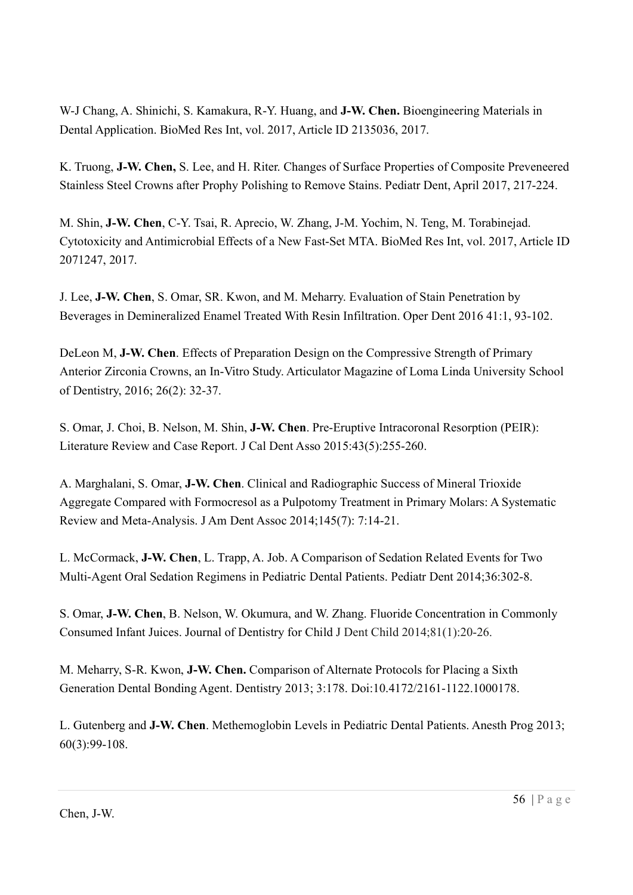W-J Chang, A. Shinichi, S. Kamakura, R-Y. Huang, and J-W. Chen. Bioengineering Materials in Dental Application. BioMed Res Int, vol. 2017, Article ID 2135036, 2017.

K. Truong, J-W. Chen, S. Lee, and H. Riter. Changes of Surface Properties of Composite Preveneered Stainless Steel Crowns after Prophy Polishing to Remove Stains. Pediatr Dent, April 2017, 217-224.

M. Shin, J-W. Chen, C-Y. Tsai, R. Aprecio, W. Zhang, J-M. Yochim, N. Teng, M. Torabinejad. Cytotoxicity and Antimicrobial Effects of a New Fast-Set MTA. BioMed Res Int, vol. 2017, Article ID 2071247, 2017.

J. Lee, J-W. Chen, S. Omar, SR. Kwon, and M. Meharry. Evaluation of Stain Penetration by Beverages in Demineralized Enamel Treated With Resin Infiltration. Oper Dent 2016 41:1, 93-102.

DeLeon M, J-W. Chen. Effects of Preparation Design on the Compressive Strength of Primary Anterior Zirconia Crowns, an In-Vitro Study. Articulator Magazine of Loma Linda University School of Dentistry, 2016; 26(2): 32-37.

S. Omar, J. Choi, B. Nelson, M. Shin, J-W. Chen. Pre-Eruptive Intracoronal Resorption (PEIR): Literature Review and Case Report. J Cal Dent Asso 2015:43(5):255-260.

A. Marghalani, S. Omar, J-W. Chen. Clinical and Radiographic Success of Mineral Trioxide Aggregate Compared with Formocresol as a Pulpotomy Treatment in Primary Molars: A Systematic Review and Meta-Analysis. J Am Dent Assoc 2014;145(7): 7:14-21.

L. McCormack, J-W. Chen, L. Trapp, A. Job. A Comparison of Sedation Related Events for Two Multi-Agent Oral Sedation Regimens in Pediatric Dental Patients. Pediatr Dent 2014;36:302-8.

S. Omar, J-W. Chen, B. Nelson, W. Okumura, and W. Zhang. Fluoride Concentration in Commonly Consumed Infant Juices. Journal of Dentistry for Child J Dent Child 2014;81(1):20-26.

M. Meharry, S-R. Kwon, J-W. Chen. Comparison of Alternate Protocols for Placing a Sixth Generation Dental Bonding Agent. Dentistry 2013; 3:178. Doi:10.4172/2161-1122.1000178.

L. Gutenberg and J-W. Chen. Methemoglobin Levels in Pediatric Dental Patients. Anesth Prog 2013; 60(3):99-108.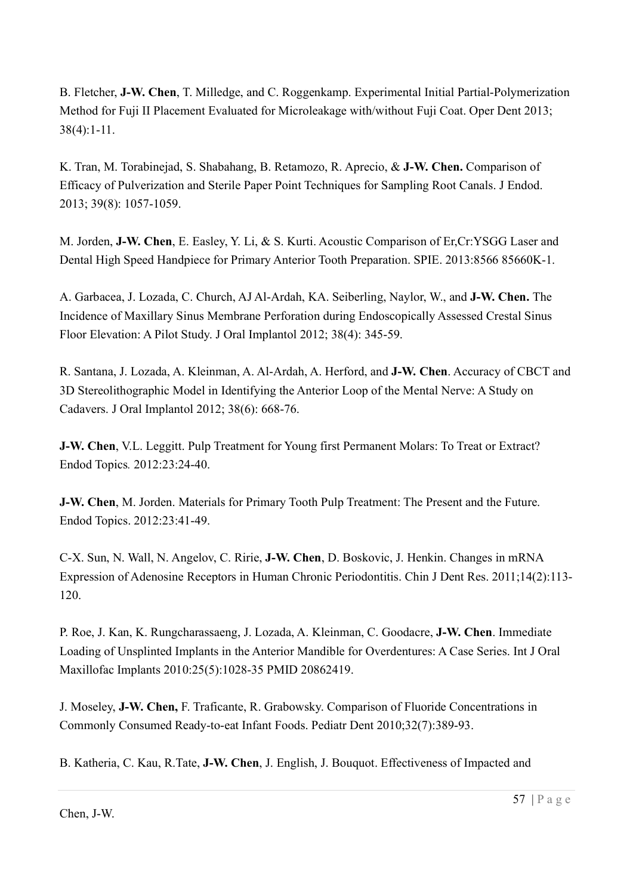B. Fletcher, J-W. Chen, T. Milledge, and C. Roggenkamp. Experimental Initial Partial-Polymerization Method for Fuji II Placement Evaluated for Microleakage with/without Fuji Coat. Oper Dent 2013; 38(4):1-11.

K. Tran, M. Torabinejad, S. Shabahang, B. Retamozo, R. Aprecio, & J-W. Chen. Comparison of Efficacy of Pulverization and Sterile Paper Point Techniques for Sampling Root Canals. J Endod. 2013; 39(8): 1057-1059.

M. Jorden, J-W. Chen, E. Easley, Y. Li, & S. Kurti. Acoustic Comparison of Er,Cr:YSGG Laser and Dental High Speed Handpiece for Primary Anterior Tooth Preparation. SPIE. 2013:8566 85660K-1.

A. Garbacea, J. Lozada, C. Church, AJ Al-Ardah, KA. Seiberling, Naylor, W., and J-W. Chen. The Incidence of Maxillary Sinus Membrane Perforation during Endoscopically Assessed Crestal Sinus Floor Elevation: A Pilot Study. J Oral Implantol 2012; 38(4): 345-59.

R. Santana, J. Lozada, A. Kleinman, A. Al-Ardah, A. Herford, and J-W. Chen. Accuracy of CBCT and 3D Stereolithographic Model in Identifying the Anterior Loop of the Mental Nerve: A Study on Cadavers. J Oral Implantol 2012; 38(6): 668-76.

J-W. Chen, V.L. Leggitt. Pulp Treatment for Young first Permanent Molars: To Treat or Extract? Endod Topics. 2012:23:24-40.

J-W. Chen, M. Jorden. Materials for Primary Tooth Pulp Treatment: The Present and the Future. Endod Topics. 2012:23:41-49.

C-X. Sun, N. Wall, N. Angelov, C. Ririe, J-W. Chen, D. Boskovic, J. Henkin. Changes in mRNA Expression of Adenosine Receptors in Human Chronic Periodontitis. Chin J Dent Res. 2011;14(2):113- 120.

P. Roe, J. Kan, K. Rungcharassaeng, J. Lozada, A. Kleinman, C. Goodacre, J-W. Chen. Immediate Loading of Unsplinted Implants in the Anterior Mandible for Overdentures: A Case Series. Int J Oral Maxillofac Implants 2010:25(5):1028-35 PMID 20862419.

J. Moseley, J-W. Chen, F. Traficante, R. Grabowsky. Comparison of Fluoride Concentrations in Commonly Consumed Ready-to-eat Infant Foods. Pediatr Dent 2010;32(7):389-93.

B. Katheria, C. Kau, R.Tate, J-W. Chen, J. English, J. Bouquot. Effectiveness of Impacted and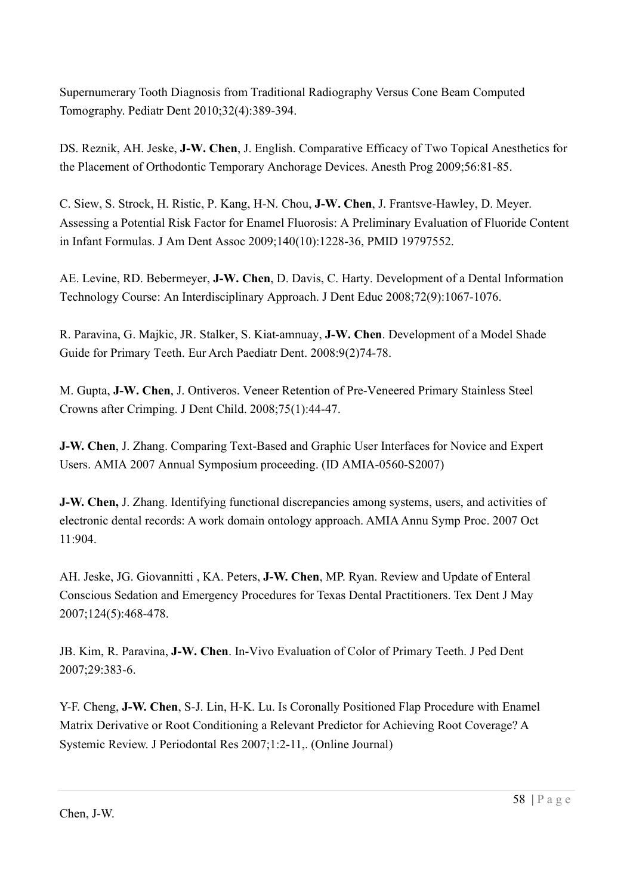Supernumerary Tooth Diagnosis from Traditional Radiography Versus Cone Beam Computed Tomography. Pediatr Dent 2010;32(4):389-394.

DS. Reznik, AH. Jeske, J-W. Chen, J. English. Comparative Efficacy of Two Topical Anesthetics for the Placement of Orthodontic Temporary Anchorage Devices. Anesth Prog 2009;56:81-85.

C. Siew, S. Strock, H. Ristic, P. Kang, H-N. Chou, J-W. Chen, J. Frantsve-Hawley, D. Meyer. Assessing a Potential Risk Factor for Enamel Fluorosis: A Preliminary Evaluation of Fluoride Content in Infant Formulas. J Am Dent Assoc 2009;140(10):1228-36, PMID 19797552.

AE. Levine, RD. Bebermeyer, J-W. Chen, D. Davis, C. Harty. Development of a Dental Information Technology Course: An Interdisciplinary Approach. J Dent Educ 2008;72(9):1067-1076.

R. Paravina, G. Majkic, JR. Stalker, S. Kiat-amnuay, J-W. Chen. Development of a Model Shade Guide for Primary Teeth. Eur Arch Paediatr Dent. 2008:9(2)74-78.

M. Gupta, J-W. Chen, J. Ontiveros. Veneer Retention of Pre-Veneered Primary Stainless Steel Crowns after Crimping. J Dent Child. 2008;75(1):44-47.

J-W. Chen, J. Zhang. Comparing Text-Based and Graphic User Interfaces for Novice and Expert Users. AMIA 2007 Annual Symposium proceeding. (ID AMIA-0560-S2007)

J-W. Chen, J. Zhang. Identifying functional discrepancies among systems, users, and activities of electronic dental records: A work domain ontology approach. AMIA Annu Symp Proc. 2007 Oct 11:904.

AH. Jeske, JG. Giovannitti , KA. Peters, J-W. Chen, MP. Ryan. Review and Update of Enteral Conscious Sedation and Emergency Procedures for Texas Dental Practitioners. Tex Dent J May 2007;124(5):468-478.

JB. Kim, R. Paravina, J-W. Chen. In-Vivo Evaluation of Color of Primary Teeth. J Ped Dent 2007;29:383-6.

Y-F. Cheng, J-W. Chen, S-J. Lin, H-K. Lu. Is Coronally Positioned Flap Procedure with Enamel Matrix Derivative or Root Conditioning a Relevant Predictor for Achieving Root Coverage? A Systemic Review. J Periodontal Res 2007;1:2-11,. (Online Journal)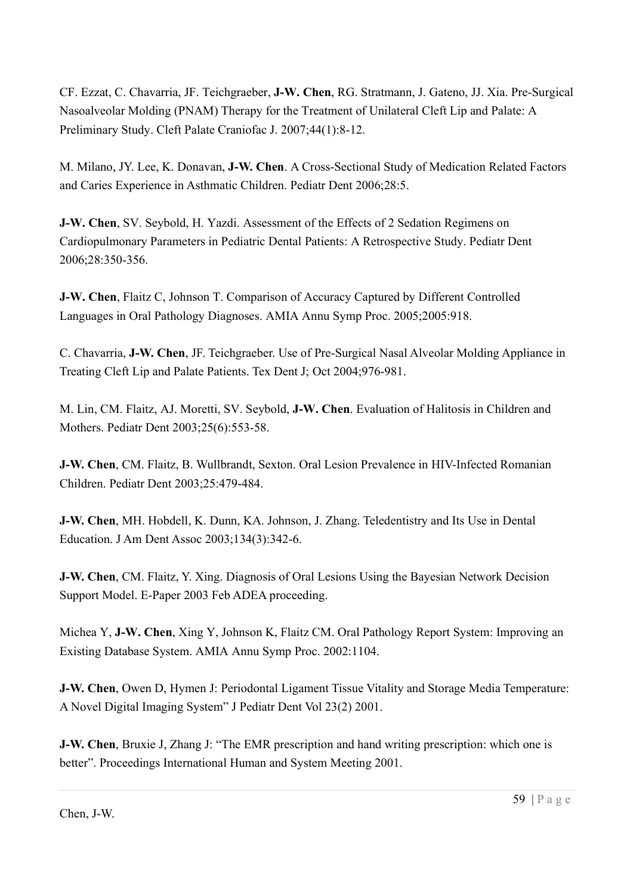CF. Ezzat, C. Chavarria, JF. Teichgraeber, J-W. Chen, RG. Stratmann, J. Gateno, JJ. Xia. Pre-Surgical Nasoalveolar Molding (PNAM) Therapy for the Treatment of Unilateral Cleft Lip and Palate: A Preliminary Study. Cleft Palate Craniofac J. 2007;44(1):8-12.

M. Milano, JY. Lee, K. Donavan, J-W. Chen. A Cross-Sectional Study of Medication Related Factors and Caries Experience in Asthmatic Children. Pediatr Dent 2006;28:5.

J-W. Chen, SV. Seybold, H. Yazdi. Assessment of the Effects of 2 Sedation Regimens on Cardiopulmonary Parameters in Pediatric Dental Patients: A Retrospective Study. Pediatr Dent 2006;28:350-356.

J-W. Chen, Flaitz C, Johnson T. Comparison of Accuracy Captured by Different Controlled Languages in Oral Pathology Diagnoses. AMIA Annu Symp Proc. 2005;2005:918.

C. Chavarria, J-W. Chen, JF. Teichgraeber. Use of Pre-Surgical Nasal Alveolar Molding Appliance in Treating Cleft Lip and Palate Patients. Tex Dent J; Oct 2004;976-981.

M. Lin, CM. Flaitz, AJ. Moretti, SV. Seybold, J-W. Chen. Evaluation of Halitosis in Children and Mothers. Pediatr Dent 2003;25(6):553-58.

J-W. Chen, CM. Flaitz, B. Wullbrandt, Sexton. Oral Lesion Prevalence in HIV-Infected Romanian Children. Pediatr Dent 2003;25:479-484.

J-W. Chen, MH. Hobdell, K. Dunn, KA. Johnson, J. Zhang. Teledentistry and Its Use in Dental Education. J Am Dent Assoc 2003;134(3):342-6.

J-W. Chen, CM. Flaitz, Y. Xing. Diagnosis of Oral Lesions Using the Bayesian Network Decision Support Model. E-Paper 2003 Feb ADEA proceeding.

Michea Y, J-W. Chen, Xing Y, Johnson K, Flaitz CM. Oral Pathology Report System: Improving an Existing Database System. AMIA Annu Symp Proc. 2002:1104.

J-W. Chen, Owen D, Hymen J: Periodontal Ligament Tissue Vitality and Storage Media Temperature: A Novel Digital Imaging System" J Pediatr Dent Vol 23(2) 2001.

J-W. Chen, Bruxie J, Zhang J: "The EMR prescription and hand writing prescription: which one is better". Proceedings International Human and System Meeting 2001.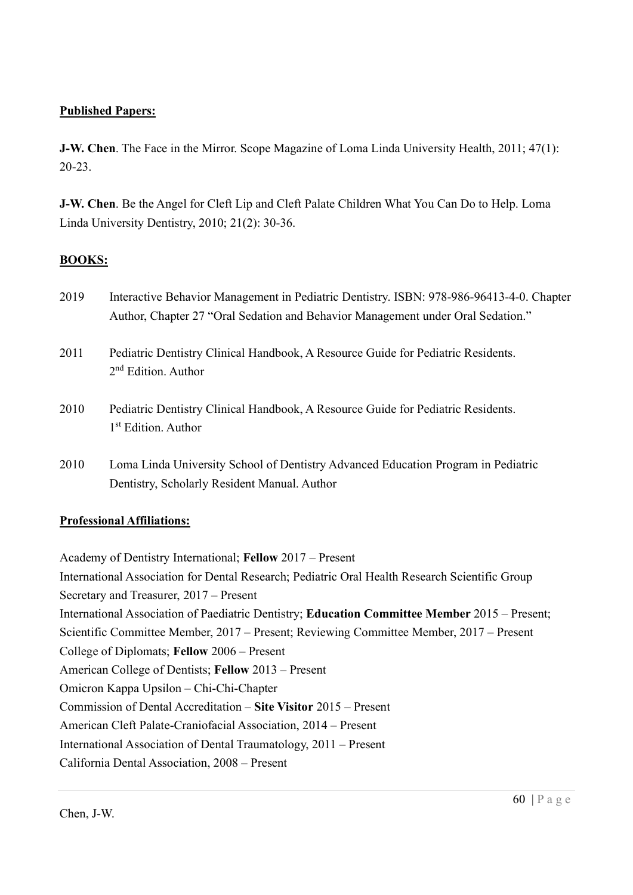## Published Papers:

J-W. Chen. The Face in the Mirror. Scope Magazine of Loma Linda University Health, 2011; 47(1): 20-23.

J-W. Chen. Be the Angel for Cleft Lip and Cleft Palate Children What You Can Do to Help. Loma Linda University Dentistry, 2010; 21(2): 30-36.

## BOOKS:

- 2019 Interactive Behavior Management in Pediatric Dentistry. ISBN: 978-986-96413-4-0. Chapter Author, Chapter 27 "Oral Sedation and Behavior Management under Oral Sedation."
- 2011 Pediatric Dentistry Clinical Handbook, A Resource Guide for Pediatric Residents. 2<sup>nd</sup> Edition. Author
- 2010 Pediatric Dentistry Clinical Handbook, A Resource Guide for Pediatric Residents. 1 st Edition. Author
- 2010 Loma Linda University School of Dentistry Advanced Education Program in Pediatric Dentistry, Scholarly Resident Manual. Author

## Professional Affiliations:

Academy of Dentistry International; Fellow 2017 – Present International Association for Dental Research; Pediatric Oral Health Research Scientific Group Secretary and Treasurer, 2017 – Present International Association of Paediatric Dentistry; Education Committee Member 2015 – Present; Scientific Committee Member, 2017 – Present; Reviewing Committee Member, 2017 – Present College of Diplomats; Fellow 2006 – Present American College of Dentists; Fellow 2013 – Present Omicron Kappa Upsilon – Chi-Chi-Chapter Commission of Dental Accreditation – Site Visitor 2015 – Present American Cleft Palate-Craniofacial Association, 2014 – Present International Association of Dental Traumatology, 2011 – Present California Dental Association, 2008 – Present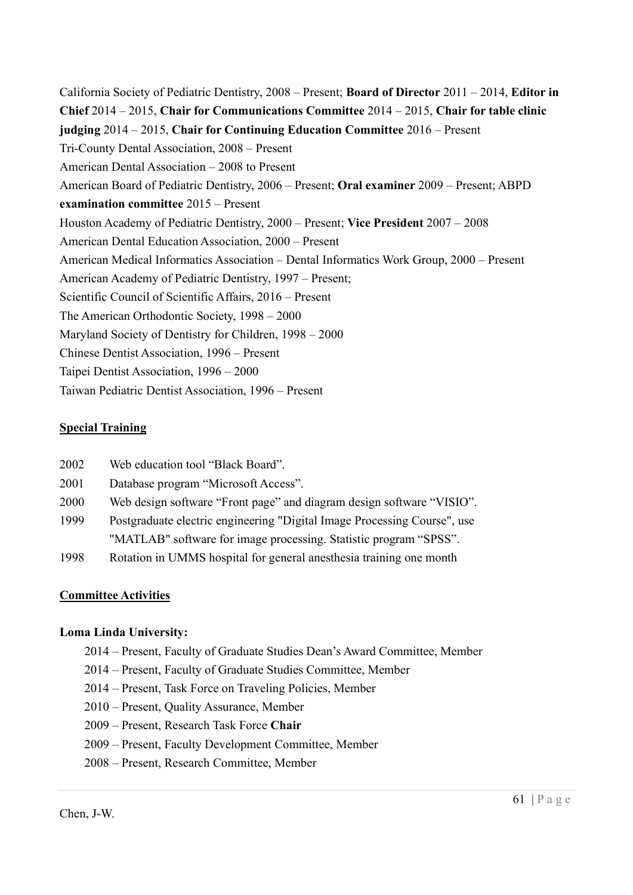California Society of Pediatric Dentistry,  $2008 -$  Present; **Board of Director**  $2011 - 2014$ , **Editor in** Chief 2014 – 2015, Chair for Communications Committee 2014 – 2015, Chair for table clinic judging 2014 – 2015, Chair for Continuing Education Committee 2016 – Present Tri-County Dental Association, 2008 – Present American Dental Association – 2008 to Present American Board of Pediatric Dentistry, 2006 – Present; Oral examiner 2009 – Present; ABPD examination committee 2015 – Present Houston Academy of Pediatric Dentistry, 2000 – Present; Vice President 2007 – 2008 American Dental Education Association, 2000 – Present American Medical Informatics Association – Dental Informatics Work Group, 2000 – Present American Academy of Pediatric Dentistry, 1997 – Present; Scientific Council of Scientific Affairs, 2016 – Present The American Orthodontic Society, 1998 – 2000 Maryland Society of Dentistry for Children, 1998 – 2000 Chinese Dentist Association, 1996 – Present Taipei Dentist Association, 1996 – 2000 Taiwan Pediatric Dentist Association, 1996 – Present

## Special Training

- 2002 Web education tool "Black Board".
- 2001 Database program "Microsoft Access".
- 2000 Web design software "Front page" and diagram design software "VISIO".
- 1999 Postgraduate electric engineering "Digital Image Processing Course", use "MATLAB" software for image processing. Statistic program "SPSS".
- 1998 Rotation in UMMS hospital for general anesthesia training one month

#### Committee Activities

#### Loma Linda University:

- 2014 Present, Faculty of Graduate Studies Dean's Award Committee, Member
- 2014 Present, Faculty of Graduate Studies Committee, Member
- 2014 Present, Task Force on Traveling Policies, Member
- 2010 Present, Quality Assurance, Member
- 2009 Present, Research Task Force Chair
- 2009 Present, Faculty Development Committee, Member
- 2008 Present, Research Committee, Member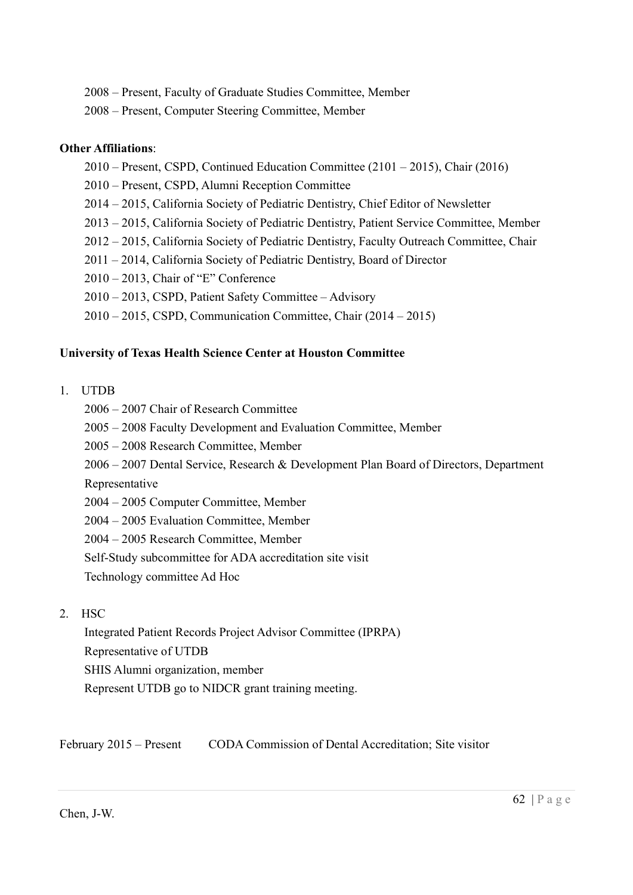- 2008 Present, Faculty of Graduate Studies Committee, Member
- 2008 Present, Computer Steering Committee, Member

#### Other Affiliations:

- 2010 Present, CSPD, Continued Education Committee (2101 2015), Chair (2016)
- 2010 Present, CSPD, Alumni Reception Committee
- 2014 2015, California Society of Pediatric Dentistry, Chief Editor of Newsletter
- 2013 2015, California Society of Pediatric Dentistry, Patient Service Committee, Member
- 2012 2015, California Society of Pediatric Dentistry, Faculty Outreach Committee, Chair
- 2011 2014, California Society of Pediatric Dentistry, Board of Director
- 2010 2013, Chair of "E" Conference
- 2010 2013, CSPD, Patient Safety Committee Advisory
- 2010 2015, CSPD, Communication Committee, Chair (2014 2015)

#### University of Texas Health Science Center at Houston Committee

- 1. UTDB
	- 2006 2007 Chair of Research Committee
	- 2005 2008 Faculty Development and Evaluation Committee, Member
	- 2005 2008 Research Committee, Member
	- 2006 2007 Dental Service, Research & Development Plan Board of Directors, Department

Representative

- 2004 2005 Computer Committee, Member
- 2004 2005 Evaluation Committee, Member
- 2004 2005 Research Committee, Member
- Self-Study subcommittee for ADA accreditation site visit

Technology committee Ad Hoc

2. HSC

 Integrated Patient Records Project Advisor Committee (IPRPA) Representative of UTDB SHIS Alumni organization, member Represent UTDB go to NIDCR grant training meeting.

February 2015 – Present CODA Commission of Dental Accreditation; Site visitor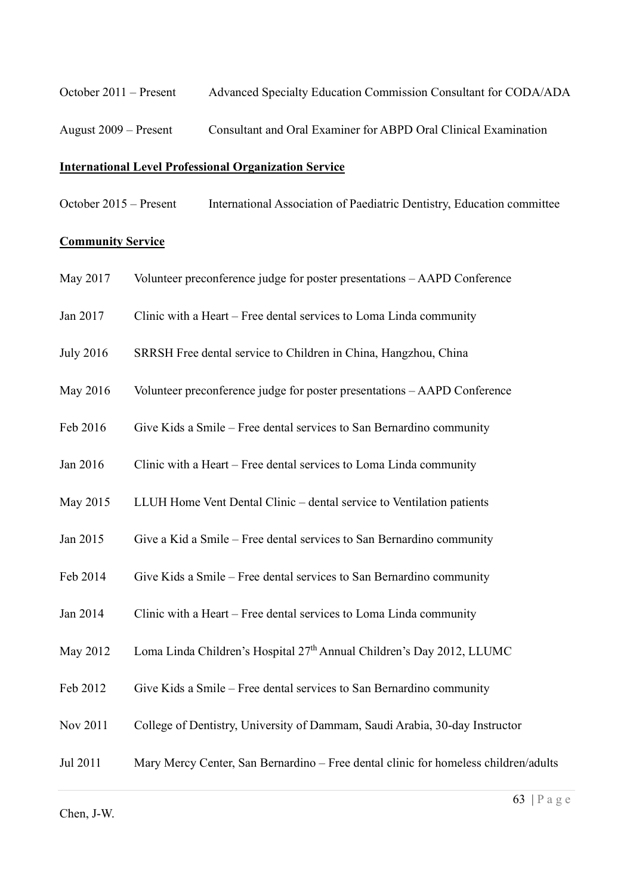October 2011 – Present Advanced Specialty Education Commission Consultant for CODA/ADA

August 2009 – Present Consultant and Oral Examiner for ABPD Oral Clinical Examination

#### International Level Professional Organization Service

October 2015 – Present International Association of Paediatric Dentistry, Education committee

#### **Community Service**

- May 2017 Volunteer preconference judge for poster presentations AAPD Conference
- Jan 2017 Clinic with a Heart Free dental services to Loma Linda community
- July 2016 SRRSH Free dental service to Children in China, Hangzhou, China
- May 2016 Volunteer preconference judge for poster presentations AAPD Conference
- Feb 2016 Give Kids a Smile Free dental services to San Bernardino community
- Jan 2016 Clinic with a Heart Free dental services to Loma Linda community
- May 2015 LLUH Home Vent Dental Clinic dental service to Ventilation patients
- Jan 2015 Give a Kid a Smile Free dental services to San Bernardino community
- Feb 2014 Give Kids a Smile Free dental services to San Bernardino community
- Jan 2014 Clinic with a Heart Free dental services to Loma Linda community
- May 2012 Loma Linda Children's Hospital 27<sup>th</sup> Annual Children's Day 2012, LLUMC
- Feb 2012 Give Kids a Smile Free dental services to San Bernardino community
- Nov 2011 College of Dentistry, University of Dammam, Saudi Arabia, 30-day Instructor
- Jul 2011 Mary Mercy Center, San Bernardino Free dental clinic for homeless children/adults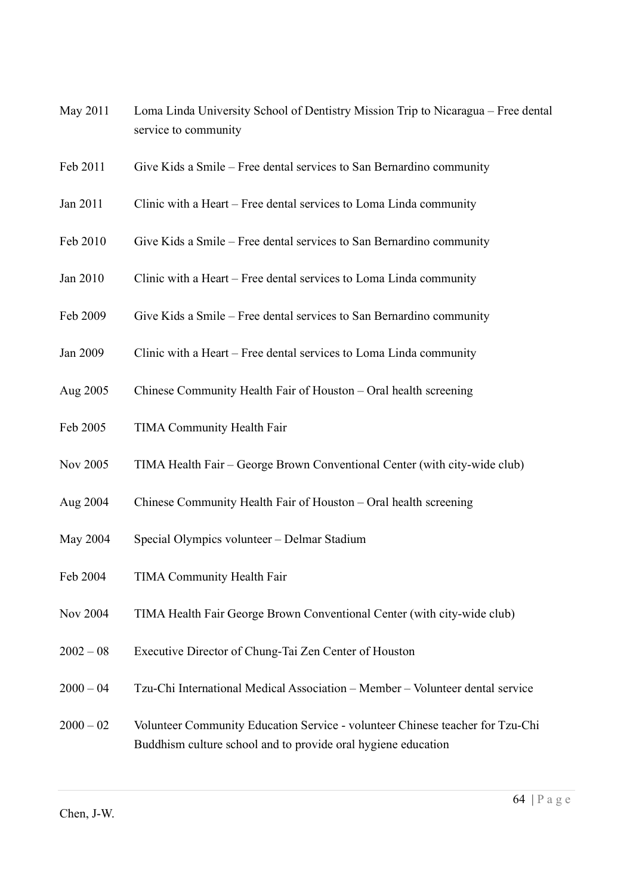- May 2011 Loma Linda University School of Dentistry Mission Trip to Nicaragua Free dental service to community
- Feb 2011 Give Kids a Smile Free dental services to San Bernardino community
- Jan 2011 Clinic with a Heart Free dental services to Loma Linda community
- Feb 2010 Give Kids a Smile Free dental services to San Bernardino community
- Jan 2010 Clinic with a Heart Free dental services to Loma Linda community
- Feb 2009 Give Kids a Smile Free dental services to San Bernardino community
- Jan 2009 Clinic with a Heart Free dental services to Loma Linda community
- Aug 2005 Chinese Community Health Fair of Houston Oral health screening
- Feb 2005 TIMA Community Health Fair
- Nov 2005 TIMA Health Fair George Brown Conventional Center (with city-wide club)
- Aug 2004 Chinese Community Health Fair of Houston Oral health screening
- May 2004 Special Olympics volunteer Delmar Stadium
- Feb 2004 TIMA Community Health Fair
- Nov 2004 TIMA Health Fair George Brown Conventional Center (with city-wide club)
- 2002 08 Executive Director of Chung-Tai Zen Center of Houston
- 2000 04 Tzu-Chi International Medical Association Member Volunteer dental service
- 2000 02 Volunteer Community Education Service volunteer Chinese teacher for Tzu-Chi Buddhism culture school and to provide oral hygiene education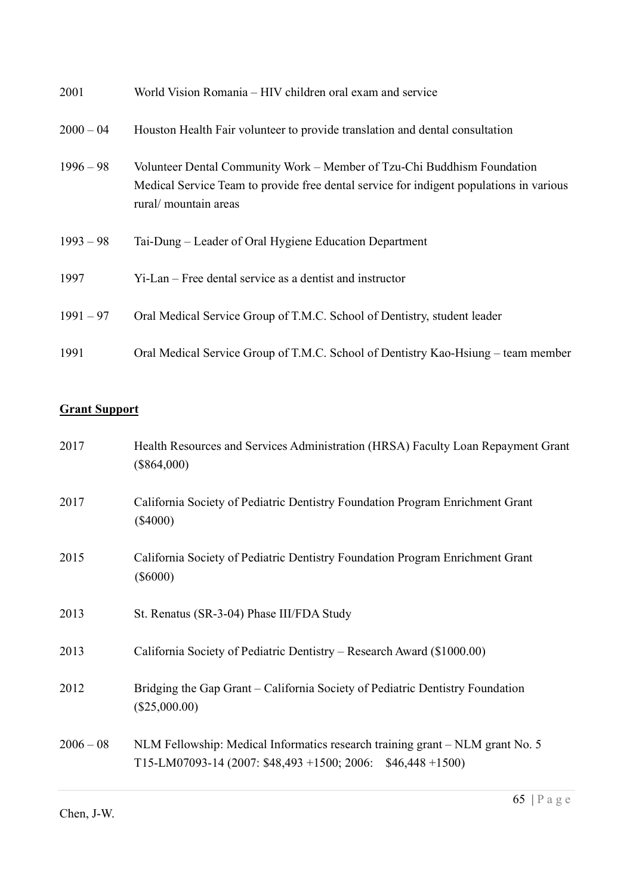| 2001        | World Vision Romania – HIV children oral exam and service                                                                                                                                   |
|-------------|---------------------------------------------------------------------------------------------------------------------------------------------------------------------------------------------|
| $2000 - 04$ | Houston Health Fair volunteer to provide translation and dental consultation                                                                                                                |
| $1996 - 98$ | Volunteer Dental Community Work – Member of Tzu-Chi Buddhism Foundation<br>Medical Service Team to provide free dental service for indigent populations in various<br>rural/ mountain areas |
| $1993 - 98$ | Tai-Dung – Leader of Oral Hygiene Education Department                                                                                                                                      |
| 1997        | Yi-Lan – Free dental service as a dentist and instructor                                                                                                                                    |
| $1991 - 97$ | Oral Medical Service Group of T.M.C. School of Dentistry, student leader                                                                                                                    |
| 1991        | Oral Medical Service Group of T.M.C. School of Dentistry Kao-Hsiung – team member                                                                                                           |

# Grant Support

| 2017        | Health Resources and Services Administration (HRSA) Faculty Loan Repayment Grant<br>$(\$864,000)$                                            |
|-------------|----------------------------------------------------------------------------------------------------------------------------------------------|
| 2017        | California Society of Pediatric Dentistry Foundation Program Enrichment Grant<br>$(\$4000)$                                                  |
| 2015        | California Society of Pediatric Dentistry Foundation Program Enrichment Grant<br>$(\$6000)$                                                  |
| 2013        | St. Renatus (SR-3-04) Phase III/FDA Study                                                                                                    |
| 2013        | California Society of Pediatric Dentistry – Research Award (\$1000.00)                                                                       |
| 2012        | Bridging the Gap Grant – California Society of Pediatric Dentistry Foundation<br>$(\$25,000.00)$                                             |
| $2006 - 08$ | NLM Fellowship: Medical Informatics research training grant - NLM grant No. 5<br>T15-LM07093-14 (2007: \$48,493 +1500; 2006: \$46,448 +1500) |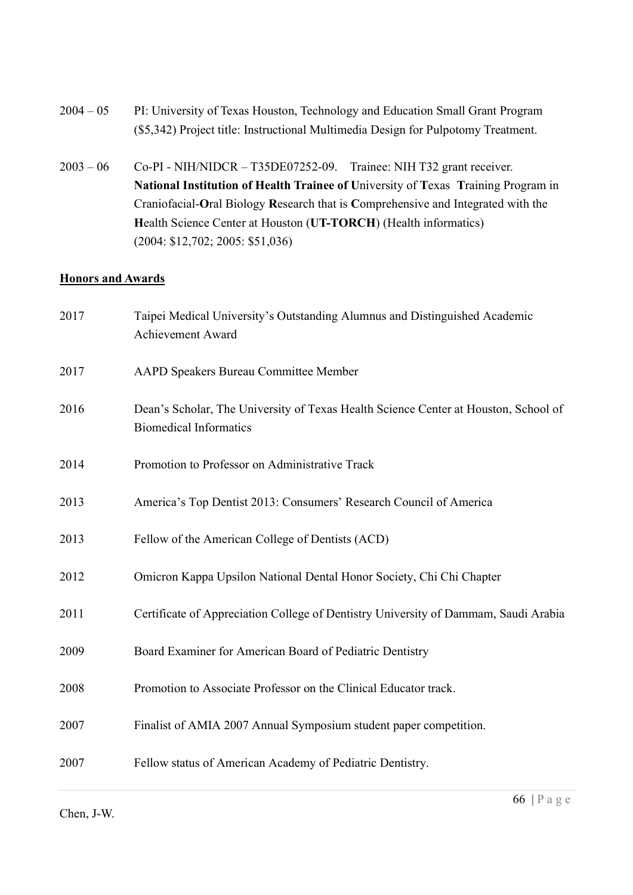- 2004 05 PI: University of Texas Houston, Technology and Education Small Grant Program (\$5,342) Project title: Instructional Multimedia Design for Pulpotomy Treatment.
- 2003 06 Co-PI NIH/NIDCR T35DE07252-09. Trainee: NIH T32 grant receiver. National Institution of Health Trainee of University of Texas Training Program in Craniofacial-Oral Biology Research that is Comprehensive and Integrated with the Health Science Center at Houston (UT-TORCH) (Health informatics) (2004: \$12,702; 2005: \$51,036)

## **Honors and Awards**

| 2017 | Taipei Medical University's Outstanding Alumnus and Distinguished Academic<br>Achievement Award                      |
|------|----------------------------------------------------------------------------------------------------------------------|
| 2017 | AAPD Speakers Bureau Committee Member                                                                                |
| 2016 | Dean's Scholar, The University of Texas Health Science Center at Houston, School of<br><b>Biomedical Informatics</b> |
| 2014 | Promotion to Professor on Administrative Track                                                                       |
| 2013 | America's Top Dentist 2013: Consumers' Research Council of America                                                   |
| 2013 | Fellow of the American College of Dentists (ACD)                                                                     |
| 2012 | Omicron Kappa Upsilon National Dental Honor Society, Chi Chi Chapter                                                 |
| 2011 | Certificate of Appreciation College of Dentistry University of Dammam, Saudi Arabia                                  |
| 2009 | Board Examiner for American Board of Pediatric Dentistry                                                             |
| 2008 | Promotion to Associate Professor on the Clinical Educator track.                                                     |
| 2007 | Finalist of AMIA 2007 Annual Symposium student paper competition.                                                    |
| 2007 | Fellow status of American Academy of Pediatric Dentistry.                                                            |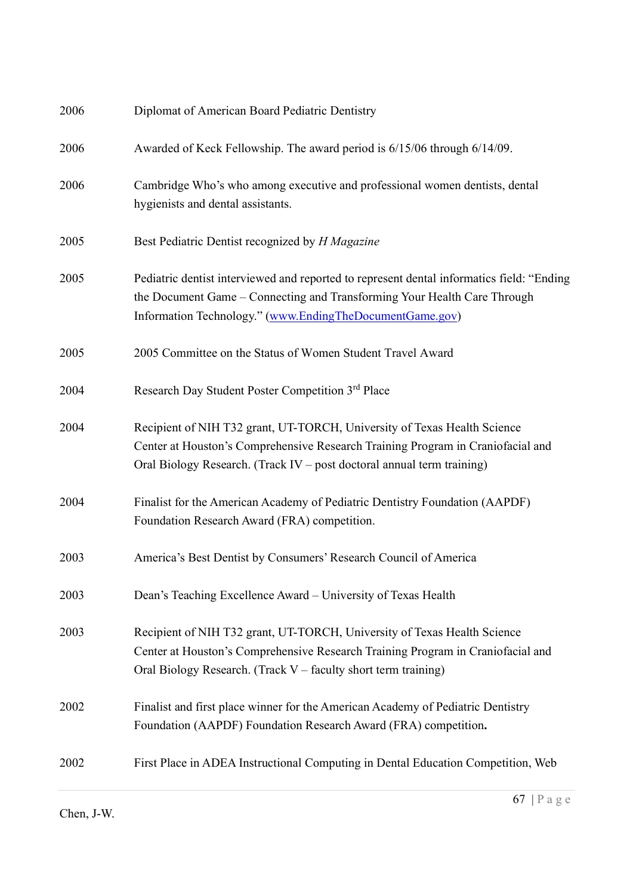| 2006 | Diplomat of American Board Pediatric Dentistry                                                                                                                                                                                        |
|------|---------------------------------------------------------------------------------------------------------------------------------------------------------------------------------------------------------------------------------------|
| 2006 | Awarded of Keck Fellowship. The award period is 6/15/06 through 6/14/09.                                                                                                                                                              |
| 2006 | Cambridge Who's who among executive and professional women dentists, dental<br>hygienists and dental assistants.                                                                                                                      |
| 2005 | Best Pediatric Dentist recognized by H Magazine                                                                                                                                                                                       |
| 2005 | Pediatric dentist interviewed and reported to represent dental informatics field: "Ending"<br>the Document Game - Connecting and Transforming Your Health Care Through<br>Information Technology." (www.EndingTheDocumentGame.gov)    |
| 2005 | 2005 Committee on the Status of Women Student Travel Award                                                                                                                                                                            |
| 2004 | Research Day Student Poster Competition 3rd Place                                                                                                                                                                                     |
| 2004 | Recipient of NIH T32 grant, UT-TORCH, University of Texas Health Science<br>Center at Houston's Comprehensive Research Training Program in Craniofacial and<br>Oral Biology Research. (Track IV – post doctoral annual term training) |
| 2004 | Finalist for the American Academy of Pediatric Dentistry Foundation (AAPDF)<br>Foundation Research Award (FRA) competition.                                                                                                           |
| 2003 | America's Best Dentist by Consumers' Research Council of America                                                                                                                                                                      |
| 2003 | Dean's Teaching Excellence Award - University of Texas Health                                                                                                                                                                         |
| 2003 | Recipient of NIH T32 grant, UT-TORCH, University of Texas Health Science<br>Center at Houston's Comprehensive Research Training Program in Craniofacial and<br>Oral Biology Research. (Track V – faculty short term training)         |
| 2002 | Finalist and first place winner for the American Academy of Pediatric Dentistry<br>Foundation (AAPDF) Foundation Research Award (FRA) competition.                                                                                    |
| 2002 | First Place in ADEA Instructional Computing in Dental Education Competition, Web                                                                                                                                                      |
|      |                                                                                                                                                                                                                                       |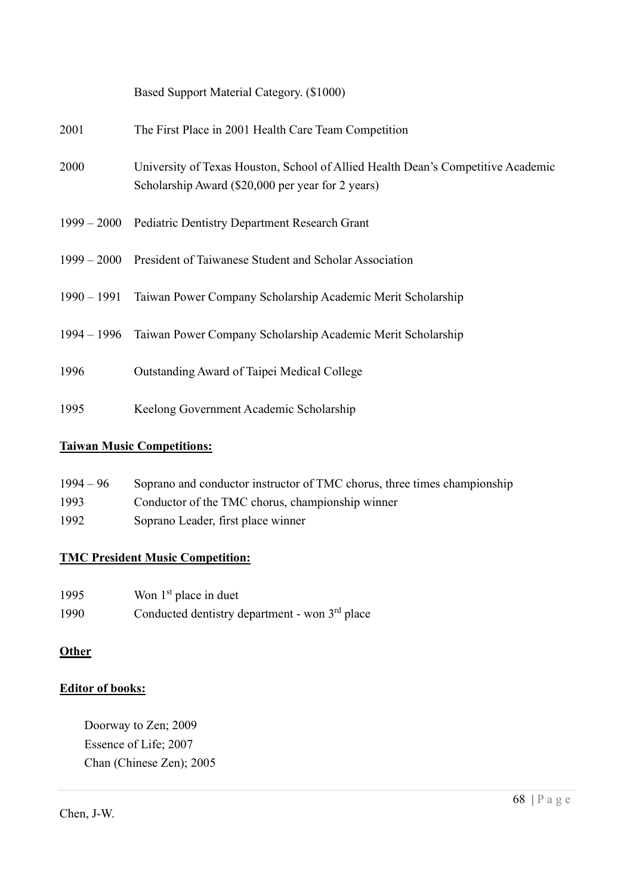|      | Based Support Material Category. (\$1000)                                                                                             |
|------|---------------------------------------------------------------------------------------------------------------------------------------|
| 2001 | The First Place in 2001 Health Care Team Competition                                                                                  |
| 2000 | University of Texas Houston, School of Allied Health Dean's Competitive Academic<br>Scholarship Award (\$20,000 per year for 2 years) |
|      | 1999 – 2000 Pediatric Dentistry Department Research Grant                                                                             |
|      | 1999 – 2000 President of Taiwanese Student and Scholar Association                                                                    |
|      | 1990 – 1991 Taiwan Power Company Scholarship Academic Merit Scholarship                                                               |
|      | 1994 – 1996 Taiwan Power Company Scholarship Academic Merit Scholarship                                                               |
| 1996 | Outstanding Award of Taipei Medical College                                                                                           |
| 1995 | Keelong Government Academic Scholarship                                                                                               |

# Taiwan Music Competitions:

| $1994 - 96$ | Soprano and conductor instructor of TMC chorus, three times championship |
|-------------|--------------------------------------------------------------------------|
| 1993        | Conductor of the TMC chorus, championship winner                         |
| 1992        | Soprano Leader, first place winner                                       |

# TMC President Music Competition:

| 1995 | Won $1st$ place in duet                          |
|------|--------------------------------------------------|
| 1990 | Conducted dentistry department - won $3rd$ place |

## **Other**

# Editor of books:

 Doorway to Zen; 2009 Essence of Life; 2007 Chan (Chinese Zen); 2005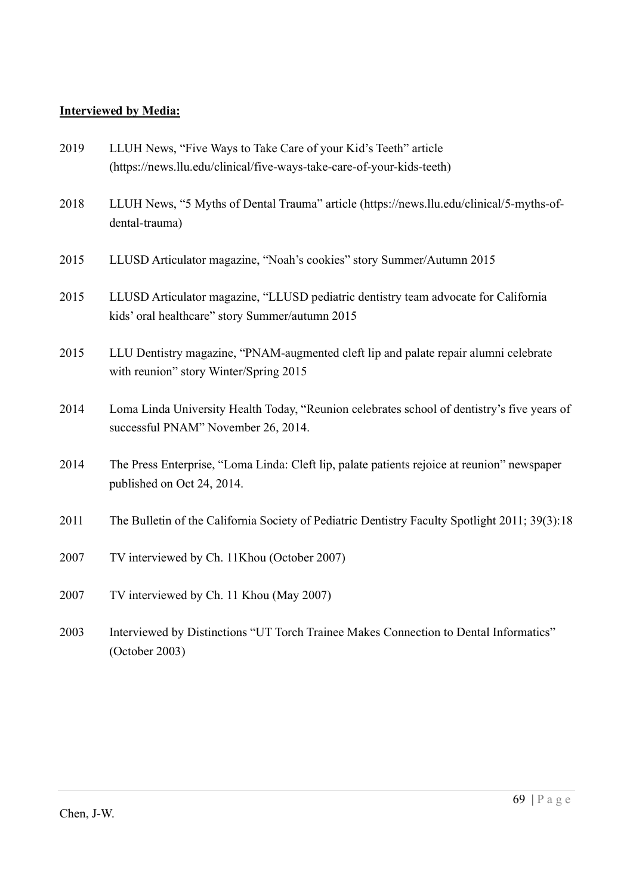## Interviewed by Media:

| 2019 | LLUH News, "Five Ways to Take Care of your Kid's Teeth" article<br>(https://news.llu.edu/clinical/five-ways-take-care-of-your-kids-teeth) |
|------|-------------------------------------------------------------------------------------------------------------------------------------------|
| 2018 | LLUH News, "5 Myths of Dental Trauma" article (https://news.llu.edu/clinical/5-myths-of-<br>dental-trauma)                                |
| 2015 | LLUSD Articulator magazine, "Noah's cookies" story Summer/Autumn 2015                                                                     |
| 2015 | LLUSD Articulator magazine, "LLUSD pediatric dentistry team advocate for California<br>kids' oral healthcare" story Summer/autumn 2015    |
| 2015 | LLU Dentistry magazine, "PNAM-augmented cleft lip and palate repair alumni celebrate<br>with reunion" story Winter/Spring 2015            |
| 2014 | Loma Linda University Health Today, "Reunion celebrates school of dentistry's five years of<br>successful PNAM" November 26, 2014.        |
| 2014 | The Press Enterprise, "Loma Linda: Cleft lip, palate patients rejoice at reunion" newspaper<br>published on Oct 24, 2014.                 |
| 2011 | The Bulletin of the California Society of Pediatric Dentistry Faculty Spotlight 2011; 39(3):18                                            |
| 2007 | TV interviewed by Ch. 11Khou (October 2007)                                                                                               |
| 2007 | TV interviewed by Ch. 11 Khou (May 2007)                                                                                                  |
| 2003 | Interviewed by Distinctions "UT Torch Trainee Makes Connection to Dental Informatics"<br>(October 2003)                                   |